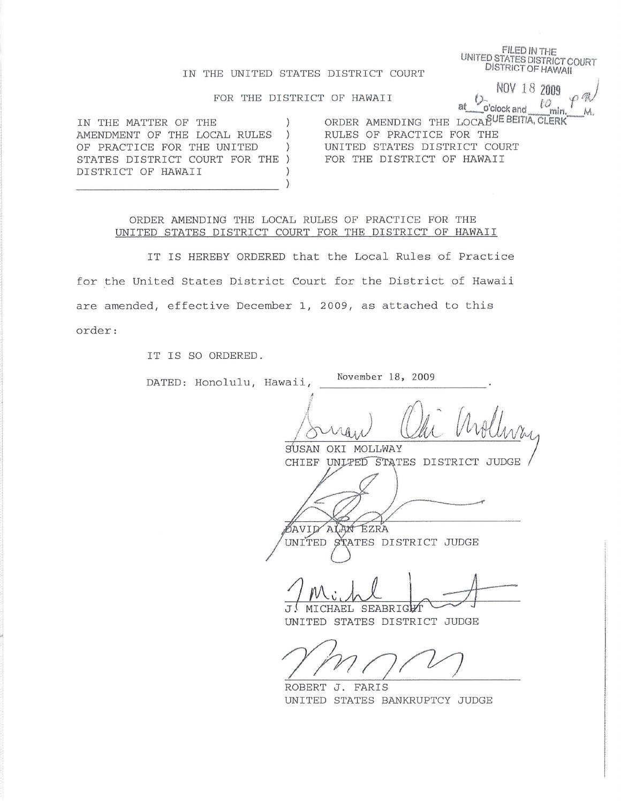**FILED IN THE** UNITED STATES DISTRICT COURT **DISTRICT OF HAWAII** 

NOV 18 2009

 $\iota_{\alpha_{\min}}$ 

仁

at

o'clock and

or Co

# IN THE UNITED STATES DISTRICT COURT

#### FOR THE DISTRICT OF HAWAII

IN THE MATTER OF THE  $\left( \right)$ AMENDMENT OF THE LOCAL RULES  $\rightarrow$ OF PRACTICE FOR THE UNITED  $\rightarrow$ STATES DISTRICT COURT FOR THE ) DISTRICT OF HAWAII  $\mathcal{E}$  $\mathcal{E}$ 

ORDER AMENDING THE LOCAPUE BEITIA, CLERK RULES OF PRACTICE FOR THE UNITED STATES DISTRICT COURT FOR THE DISTRICT OF HAWAII

ORDER AMENDING THE LOCAL RULES OF PRACTICE FOR THE UNITED STATES DISTRICT COURT FOR THE DISTRICT OF HAWAII

IT IS HEREBY ORDERED that the Local Rules of Practice for the United States District Court for the District of Hawaii are amended, effective December 1, 2009, as attached to this order:

IT IS SO ORDERED.

| DATED: Honolulu, Hawaii, | November 18, 2009                                                 |
|--------------------------|-------------------------------------------------------------------|
|                          | vollivan                                                          |
|                          | MOLLWAY<br>SUSAN<br>OKI                                           |
|                          | CHIEF UNLPED STATES DISTRICT JUDGE                                |
|                          |                                                                   |
|                          |                                                                   |
|                          | EZRA<br>AVID<br>ALAN                                              |
|                          | UNITED STATES DISTRICT JUDGE                                      |
|                          | MICHAEL SEABRIGHT<br>$\mathsf{T}$<br>UNITED STATES DISTRICT JUDGE |
|                          |                                                                   |
|                          | ROBERT<br>FARIS<br>J.                                             |
|                          | UNITED STATES BANKRUPTCY JUDGE                                    |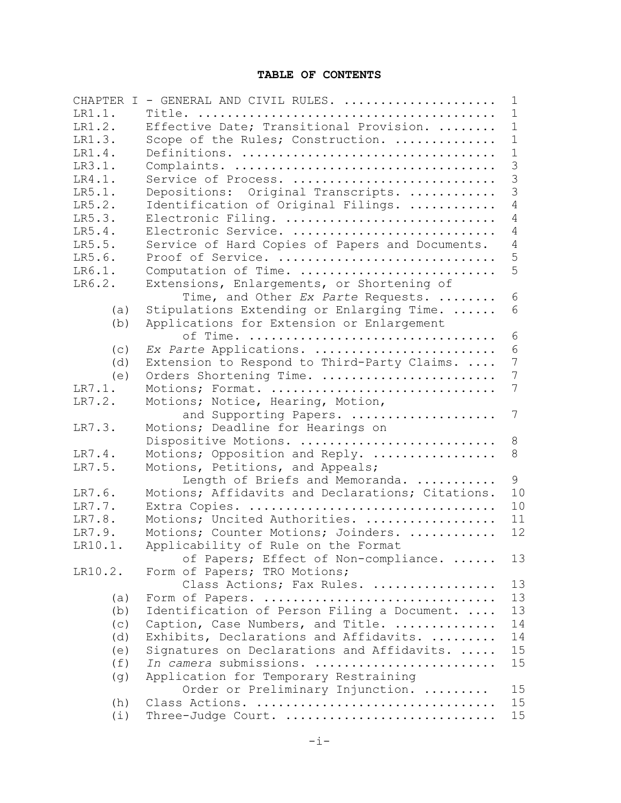# **TABLE OF CONTENTS**

| CHAPTER I | - GENERAL AND CIVIL RULES.                       | 1            |
|-----------|--------------------------------------------------|--------------|
| LR1.1.    |                                                  | $\mathbf{1}$ |
| LR1.2.    | Effective Date; Transitional Provision.          | $\mathbf 1$  |
| LR1.3.    | Scope of the Rules; Construction.                | $\mathbf 1$  |
| LR1.4.    |                                                  | $\mathbf 1$  |
| LR3.1.    |                                                  | 3            |
| LR4.1.    | Service of Process.                              | 3            |
| LR5.1.    | Depositions: Original Transcripts.               | 3            |
| LR5.2.    | Identification of Original Filings.              | 4            |
| LR5.3.    | Electronic Filing.                               | 4            |
| LR5.4.    | Electronic Service.                              | 4            |
| LR5.5.    | Service of Hard Copies of Papers and Documents.  | 4            |
| LR5.6.    | Proof of Service.                                | 5            |
| LR6.1.    | Computation of Time.                             | 5            |
| LR6.2.    | Extensions, Enlargements, or Shortening of       |              |
|           | Time, and Other Ex Parte Requests.               | 6            |
| (a)       | Stipulations Extending or Enlarging Time.        | 6            |
| (b)       | Applications for Extension or Enlargement        |              |
|           |                                                  | 6            |
| (c)       | Ex Parte Applications.                           | 6            |
| (d)       | Extension to Respond to Third-Party Claims.      | 7            |
| (e)       | Orders Shortening Time.                          | 7            |
| LR7.1.    | Motions; Format.                                 | 7            |
| LR7.2.    | Motions; Notice, Hearing, Motion,                |              |
|           | and Supporting Papers.                           | 7            |
| LR7.3.    | Motions; Deadline for Hearings on                |              |
|           | Dispositive Motions.                             | 8            |
| LR7.4.    | Motions; Opposition and Reply.                   | 8            |
| LR7.5.    | Motions, Petitions, and Appeals;                 |              |
|           | Length of Briefs and Memoranda.                  | 9            |
| LR7.6.    | Motions; Affidavits and Declarations; Citations. | 10           |
| LR7.7.    | Extra Copies.                                    | 10           |
| LR7.8.    | Motions; Uncited Authorities.                    | 11           |
| LR7.9.    | Motions; Counter Motions; Joinders.              | 12           |
| LR10.1    | Applicability of Rule on the Format              |              |
|           | of Papers; Effect of Non-compliance.             | 13           |
| LR10.2.   | Form of Papers; TRO Motions;                     |              |
|           | Class Actions; Fax Rules.                        | 13           |
| (a)       | Form of Papers.                                  | 13           |
| (b)       | Identification of Person Filing a Document.      | 13           |
| (c)       | Caption, Case Numbers, and Title.                | 14           |
| (d)       | Exhibits, Declarations and Affidavits.           | 14           |
| (e)       | Signatures on Declarations and Affidavits.       | 15           |
| (f)       | In camera submissions.                           | 15           |
| (g)       | Application for Temporary Restraining            |              |
|           | Order or Preliminary Injunction.                 | 15           |
| (h)       | Class Actions.                                   | 15           |
| (i)       | Three-Judge Court.                               | 15           |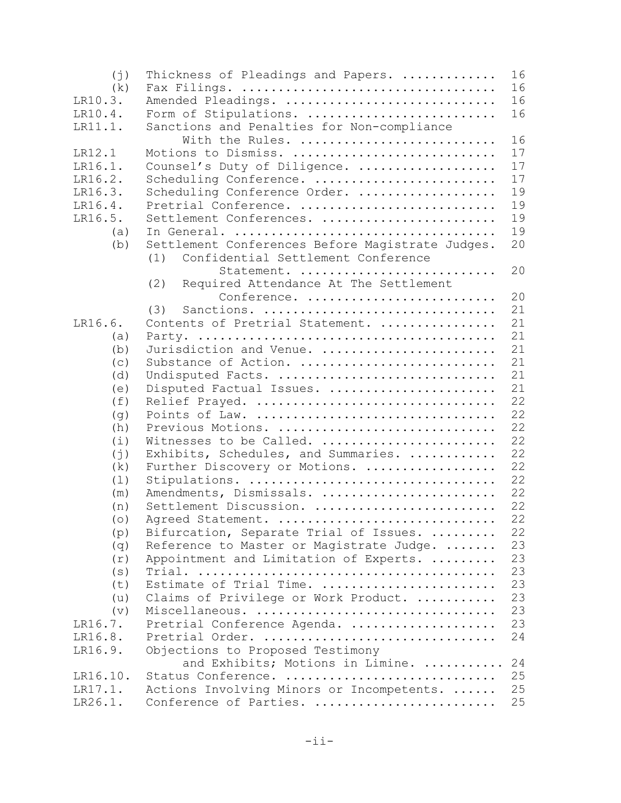| 16<br>(k)<br>16<br>LR10.3.<br>Amended Pleadings.<br>16<br>LR10.4.<br>Form of Stipulations.<br>Sanctions and Penalties for Non-compliance<br>LR11.1.<br>16<br>With the Rules.<br>17<br>LR12.1<br>Motions to Dismiss.<br>17<br>Counsel's Duty of Diligence.<br>LR16.1.<br>17<br>LR16.2.<br>Scheduling Conference.<br>19<br>LR16.3.<br>Scheduling Conference Order.<br>19<br>Pretrial Conference.<br>LR16.4.<br>LR16.5.<br>19<br>Settlement Conferences.<br>19<br>(a)<br>Settlement Conferences Before Magistrate Judges.<br>20<br>(b)<br>Confidential Settlement Conference<br>(1)<br>20<br>Statement.<br>Required Attendance At The Settlement<br>(2)<br>20<br>Conference.<br>21<br>Sanctions.<br>(3)<br>Contents of Pretrial Statement.<br>LR16.6.<br>21<br>21<br>(a)<br>Jurisdiction and Venue.<br>21<br>(b)<br>21<br>Substance of Action.<br>(c)<br>21<br>Undisputed Facts.<br>(d)<br>21<br>Disputed Factual Issues.<br>(e)<br>22<br>Relief Prayed.<br>(f)<br>22<br>(g)<br>22<br>(h)<br>Previous Motions.<br>22<br>Witnesses to be Called.<br>(i)<br>22<br>Exhibits, Schedules, and Summaries.<br>$(\dagger)$<br>22<br>Further Discovery or Motions.<br>(k)<br>22<br>Stipulations.<br>(1)<br>Amendments, Dismissals.<br>22<br>(m)<br>22<br>Settlement Discussion.<br>(n)<br>22<br>Agreed Statement.<br>(0)<br>22<br>Bifurcation, Separate Trial of Issues.<br>(p)<br>23<br>Reference to Master or Magistrate Judge.<br>(q)<br>23<br>Appointment and Limitation of Experts.<br>(r)<br>23<br>(s)<br>Estimate of Trial Time.<br>23<br>(t)<br>Claims of Privilege or Work Product.<br>23<br>(u)<br>23<br>Miscellaneous.<br>(v)<br>Pretrial Conference Agenda.<br>23<br>LR16.7.<br>24<br>LR16.8.<br>Pretrial Order. | (i)     | Thickness of Pleadings and Papers. | 16 |
|------------------------------------------------------------------------------------------------------------------------------------------------------------------------------------------------------------------------------------------------------------------------------------------------------------------------------------------------------------------------------------------------------------------------------------------------------------------------------------------------------------------------------------------------------------------------------------------------------------------------------------------------------------------------------------------------------------------------------------------------------------------------------------------------------------------------------------------------------------------------------------------------------------------------------------------------------------------------------------------------------------------------------------------------------------------------------------------------------------------------------------------------------------------------------------------------------------------------------------------------------------------------------------------------------------------------------------------------------------------------------------------------------------------------------------------------------------------------------------------------------------------------------------------------------------------------------------------------------------------------------------------------------------------------------------------------------------------|---------|------------------------------------|----|
|                                                                                                                                                                                                                                                                                                                                                                                                                                                                                                                                                                                                                                                                                                                                                                                                                                                                                                                                                                                                                                                                                                                                                                                                                                                                                                                                                                                                                                                                                                                                                                                                                                                                                                                  |         |                                    |    |
|                                                                                                                                                                                                                                                                                                                                                                                                                                                                                                                                                                                                                                                                                                                                                                                                                                                                                                                                                                                                                                                                                                                                                                                                                                                                                                                                                                                                                                                                                                                                                                                                                                                                                                                  |         |                                    |    |
|                                                                                                                                                                                                                                                                                                                                                                                                                                                                                                                                                                                                                                                                                                                                                                                                                                                                                                                                                                                                                                                                                                                                                                                                                                                                                                                                                                                                                                                                                                                                                                                                                                                                                                                  |         |                                    |    |
|                                                                                                                                                                                                                                                                                                                                                                                                                                                                                                                                                                                                                                                                                                                                                                                                                                                                                                                                                                                                                                                                                                                                                                                                                                                                                                                                                                                                                                                                                                                                                                                                                                                                                                                  |         |                                    |    |
|                                                                                                                                                                                                                                                                                                                                                                                                                                                                                                                                                                                                                                                                                                                                                                                                                                                                                                                                                                                                                                                                                                                                                                                                                                                                                                                                                                                                                                                                                                                                                                                                                                                                                                                  |         |                                    |    |
|                                                                                                                                                                                                                                                                                                                                                                                                                                                                                                                                                                                                                                                                                                                                                                                                                                                                                                                                                                                                                                                                                                                                                                                                                                                                                                                                                                                                                                                                                                                                                                                                                                                                                                                  |         |                                    |    |
|                                                                                                                                                                                                                                                                                                                                                                                                                                                                                                                                                                                                                                                                                                                                                                                                                                                                                                                                                                                                                                                                                                                                                                                                                                                                                                                                                                                                                                                                                                                                                                                                                                                                                                                  |         |                                    |    |
|                                                                                                                                                                                                                                                                                                                                                                                                                                                                                                                                                                                                                                                                                                                                                                                                                                                                                                                                                                                                                                                                                                                                                                                                                                                                                                                                                                                                                                                                                                                                                                                                                                                                                                                  |         |                                    |    |
|                                                                                                                                                                                                                                                                                                                                                                                                                                                                                                                                                                                                                                                                                                                                                                                                                                                                                                                                                                                                                                                                                                                                                                                                                                                                                                                                                                                                                                                                                                                                                                                                                                                                                                                  |         |                                    |    |
|                                                                                                                                                                                                                                                                                                                                                                                                                                                                                                                                                                                                                                                                                                                                                                                                                                                                                                                                                                                                                                                                                                                                                                                                                                                                                                                                                                                                                                                                                                                                                                                                                                                                                                                  |         |                                    |    |
|                                                                                                                                                                                                                                                                                                                                                                                                                                                                                                                                                                                                                                                                                                                                                                                                                                                                                                                                                                                                                                                                                                                                                                                                                                                                                                                                                                                                                                                                                                                                                                                                                                                                                                                  |         |                                    |    |
|                                                                                                                                                                                                                                                                                                                                                                                                                                                                                                                                                                                                                                                                                                                                                                                                                                                                                                                                                                                                                                                                                                                                                                                                                                                                                                                                                                                                                                                                                                                                                                                                                                                                                                                  |         |                                    |    |
|                                                                                                                                                                                                                                                                                                                                                                                                                                                                                                                                                                                                                                                                                                                                                                                                                                                                                                                                                                                                                                                                                                                                                                                                                                                                                                                                                                                                                                                                                                                                                                                                                                                                                                                  |         |                                    |    |
|                                                                                                                                                                                                                                                                                                                                                                                                                                                                                                                                                                                                                                                                                                                                                                                                                                                                                                                                                                                                                                                                                                                                                                                                                                                                                                                                                                                                                                                                                                                                                                                                                                                                                                                  |         |                                    |    |
|                                                                                                                                                                                                                                                                                                                                                                                                                                                                                                                                                                                                                                                                                                                                                                                                                                                                                                                                                                                                                                                                                                                                                                                                                                                                                                                                                                                                                                                                                                                                                                                                                                                                                                                  |         |                                    |    |
|                                                                                                                                                                                                                                                                                                                                                                                                                                                                                                                                                                                                                                                                                                                                                                                                                                                                                                                                                                                                                                                                                                                                                                                                                                                                                                                                                                                                                                                                                                                                                                                                                                                                                                                  |         |                                    |    |
|                                                                                                                                                                                                                                                                                                                                                                                                                                                                                                                                                                                                                                                                                                                                                                                                                                                                                                                                                                                                                                                                                                                                                                                                                                                                                                                                                                                                                                                                                                                                                                                                                                                                                                                  |         |                                    |    |
|                                                                                                                                                                                                                                                                                                                                                                                                                                                                                                                                                                                                                                                                                                                                                                                                                                                                                                                                                                                                                                                                                                                                                                                                                                                                                                                                                                                                                                                                                                                                                                                                                                                                                                                  |         |                                    |    |
|                                                                                                                                                                                                                                                                                                                                                                                                                                                                                                                                                                                                                                                                                                                                                                                                                                                                                                                                                                                                                                                                                                                                                                                                                                                                                                                                                                                                                                                                                                                                                                                                                                                                                                                  |         |                                    |    |
|                                                                                                                                                                                                                                                                                                                                                                                                                                                                                                                                                                                                                                                                                                                                                                                                                                                                                                                                                                                                                                                                                                                                                                                                                                                                                                                                                                                                                                                                                                                                                                                                                                                                                                                  |         |                                    |    |
|                                                                                                                                                                                                                                                                                                                                                                                                                                                                                                                                                                                                                                                                                                                                                                                                                                                                                                                                                                                                                                                                                                                                                                                                                                                                                                                                                                                                                                                                                                                                                                                                                                                                                                                  |         |                                    |    |
|                                                                                                                                                                                                                                                                                                                                                                                                                                                                                                                                                                                                                                                                                                                                                                                                                                                                                                                                                                                                                                                                                                                                                                                                                                                                                                                                                                                                                                                                                                                                                                                                                                                                                                                  |         |                                    |    |
|                                                                                                                                                                                                                                                                                                                                                                                                                                                                                                                                                                                                                                                                                                                                                                                                                                                                                                                                                                                                                                                                                                                                                                                                                                                                                                                                                                                                                                                                                                                                                                                                                                                                                                                  |         |                                    |    |
|                                                                                                                                                                                                                                                                                                                                                                                                                                                                                                                                                                                                                                                                                                                                                                                                                                                                                                                                                                                                                                                                                                                                                                                                                                                                                                                                                                                                                                                                                                                                                                                                                                                                                                                  |         |                                    |    |
|                                                                                                                                                                                                                                                                                                                                                                                                                                                                                                                                                                                                                                                                                                                                                                                                                                                                                                                                                                                                                                                                                                                                                                                                                                                                                                                                                                                                                                                                                                                                                                                                                                                                                                                  |         |                                    |    |
|                                                                                                                                                                                                                                                                                                                                                                                                                                                                                                                                                                                                                                                                                                                                                                                                                                                                                                                                                                                                                                                                                                                                                                                                                                                                                                                                                                                                                                                                                                                                                                                                                                                                                                                  |         |                                    |    |
|                                                                                                                                                                                                                                                                                                                                                                                                                                                                                                                                                                                                                                                                                                                                                                                                                                                                                                                                                                                                                                                                                                                                                                                                                                                                                                                                                                                                                                                                                                                                                                                                                                                                                                                  |         |                                    |    |
|                                                                                                                                                                                                                                                                                                                                                                                                                                                                                                                                                                                                                                                                                                                                                                                                                                                                                                                                                                                                                                                                                                                                                                                                                                                                                                                                                                                                                                                                                                                                                                                                                                                                                                                  |         |                                    |    |
|                                                                                                                                                                                                                                                                                                                                                                                                                                                                                                                                                                                                                                                                                                                                                                                                                                                                                                                                                                                                                                                                                                                                                                                                                                                                                                                                                                                                                                                                                                                                                                                                                                                                                                                  |         |                                    |    |
|                                                                                                                                                                                                                                                                                                                                                                                                                                                                                                                                                                                                                                                                                                                                                                                                                                                                                                                                                                                                                                                                                                                                                                                                                                                                                                                                                                                                                                                                                                                                                                                                                                                                                                                  |         |                                    |    |
|                                                                                                                                                                                                                                                                                                                                                                                                                                                                                                                                                                                                                                                                                                                                                                                                                                                                                                                                                                                                                                                                                                                                                                                                                                                                                                                                                                                                                                                                                                                                                                                                                                                                                                                  |         |                                    |    |
|                                                                                                                                                                                                                                                                                                                                                                                                                                                                                                                                                                                                                                                                                                                                                                                                                                                                                                                                                                                                                                                                                                                                                                                                                                                                                                                                                                                                                                                                                                                                                                                                                                                                                                                  |         |                                    |    |
|                                                                                                                                                                                                                                                                                                                                                                                                                                                                                                                                                                                                                                                                                                                                                                                                                                                                                                                                                                                                                                                                                                                                                                                                                                                                                                                                                                                                                                                                                                                                                                                                                                                                                                                  |         |                                    |    |
|                                                                                                                                                                                                                                                                                                                                                                                                                                                                                                                                                                                                                                                                                                                                                                                                                                                                                                                                                                                                                                                                                                                                                                                                                                                                                                                                                                                                                                                                                                                                                                                                                                                                                                                  |         |                                    |    |
|                                                                                                                                                                                                                                                                                                                                                                                                                                                                                                                                                                                                                                                                                                                                                                                                                                                                                                                                                                                                                                                                                                                                                                                                                                                                                                                                                                                                                                                                                                                                                                                                                                                                                                                  |         |                                    |    |
|                                                                                                                                                                                                                                                                                                                                                                                                                                                                                                                                                                                                                                                                                                                                                                                                                                                                                                                                                                                                                                                                                                                                                                                                                                                                                                                                                                                                                                                                                                                                                                                                                                                                                                                  |         |                                    |    |
|                                                                                                                                                                                                                                                                                                                                                                                                                                                                                                                                                                                                                                                                                                                                                                                                                                                                                                                                                                                                                                                                                                                                                                                                                                                                                                                                                                                                                                                                                                                                                                                                                                                                                                                  |         |                                    |    |
|                                                                                                                                                                                                                                                                                                                                                                                                                                                                                                                                                                                                                                                                                                                                                                                                                                                                                                                                                                                                                                                                                                                                                                                                                                                                                                                                                                                                                                                                                                                                                                                                                                                                                                                  |         |                                    |    |
|                                                                                                                                                                                                                                                                                                                                                                                                                                                                                                                                                                                                                                                                                                                                                                                                                                                                                                                                                                                                                                                                                                                                                                                                                                                                                                                                                                                                                                                                                                                                                                                                                                                                                                                  |         |                                    |    |
|                                                                                                                                                                                                                                                                                                                                                                                                                                                                                                                                                                                                                                                                                                                                                                                                                                                                                                                                                                                                                                                                                                                                                                                                                                                                                                                                                                                                                                                                                                                                                                                                                                                                                                                  |         |                                    |    |
|                                                                                                                                                                                                                                                                                                                                                                                                                                                                                                                                                                                                                                                                                                                                                                                                                                                                                                                                                                                                                                                                                                                                                                                                                                                                                                                                                                                                                                                                                                                                                                                                                                                                                                                  |         |                                    |    |
|                                                                                                                                                                                                                                                                                                                                                                                                                                                                                                                                                                                                                                                                                                                                                                                                                                                                                                                                                                                                                                                                                                                                                                                                                                                                                                                                                                                                                                                                                                                                                                                                                                                                                                                  |         |                                    |    |
|                                                                                                                                                                                                                                                                                                                                                                                                                                                                                                                                                                                                                                                                                                                                                                                                                                                                                                                                                                                                                                                                                                                                                                                                                                                                                                                                                                                                                                                                                                                                                                                                                                                                                                                  | LR16.9. | Objections to Proposed Testimony   |    |
| and Exhibits; Motions in Limine.<br>24                                                                                                                                                                                                                                                                                                                                                                                                                                                                                                                                                                                                                                                                                                                                                                                                                                                                                                                                                                                                                                                                                                                                                                                                                                                                                                                                                                                                                                                                                                                                                                                                                                                                           |         |                                    |    |
| 25<br>Status Conference.<br>LR16.10.                                                                                                                                                                                                                                                                                                                                                                                                                                                                                                                                                                                                                                                                                                                                                                                                                                                                                                                                                                                                                                                                                                                                                                                                                                                                                                                                                                                                                                                                                                                                                                                                                                                                             |         |                                    |    |
| 25<br>LR17.1.<br>Actions Involving Minors or Incompetents.                                                                                                                                                                                                                                                                                                                                                                                                                                                                                                                                                                                                                                                                                                                                                                                                                                                                                                                                                                                                                                                                                                                                                                                                                                                                                                                                                                                                                                                                                                                                                                                                                                                       |         |                                    |    |
| 25<br>LR26.1.<br>Conference of Parties.                                                                                                                                                                                                                                                                                                                                                                                                                                                                                                                                                                                                                                                                                                                                                                                                                                                                                                                                                                                                                                                                                                                                                                                                                                                                                                                                                                                                                                                                                                                                                                                                                                                                          |         |                                    |    |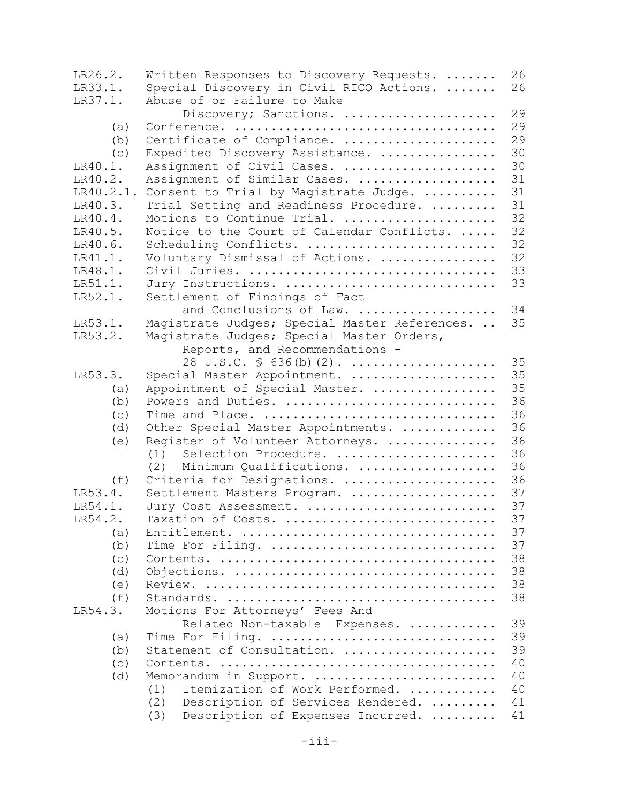| LR26.2.   | Written Responses to Discovery Requests.      | 26 |
|-----------|-----------------------------------------------|----|
| LR33.1.   | Special Discovery in Civil RICO Actions.      | 26 |
| LR37.1.   | Abuse of or Failure to Make                   |    |
|           | Discovery; Sanctions.                         | 29 |
| (a)       |                                               | 29 |
| (b)       | Certificate of Compliance.                    | 29 |
| (c)       | Expedited Discovery Assistance.               | 30 |
| LR40.1.   | Assignment of Civil Cases.                    | 30 |
| LR40.2.   | Assignment of Similar Cases.                  | 31 |
| LR40.2.1. | Consent to Trial by Magistrate Judge.         | 31 |
| LR40.3.   | Trial Setting and Readiness Procedure.        | 31 |
| LR40.4.   | Motions to Continue Trial.                    | 32 |
| LR40.5.   | Notice to the Court of Calendar Conflicts.    | 32 |
| LR40.6.   | Scheduling Conflicts.                         | 32 |
| LR41.1.   | Voluntary Dismissal of Actions.               | 32 |
| LR48.1.   | Civil Juries.                                 | 33 |
| LR51.1.   | Jury Instructions.                            | 33 |
| LR52.1.   | Settlement of Findings of Fact                |    |
|           | and Conclusions of Law.                       | 34 |
| LR53.1.   | Magistrate Judges; Special Master References. | 35 |
| LR53.2.   | Magistrate Judges; Special Master Orders,     |    |
|           | Reports, and Recommendations -                |    |
|           | 28 U.S.C. $\frac{1}{5}$ 636(b)(2).            | 35 |
| LR53.3.   | Special Master Appointment.                   | 35 |
| (a)       | Appointment of Special Master.                | 35 |
| (b)       | Powers and Duties.                            | 36 |
| (c)       | Time and Place.                               | 36 |
| (d)       | Other Special Master Appointments.            | 36 |
| (e)       | Register of Volunteer Attorneys.              | 36 |
|           | Selection Procedure.<br>(1)                   | 36 |
|           | Minimum Qualifications.<br>(2)                | 36 |
| (f)       | Criteria for Designations.                    | 36 |
| LR53.4.   | Settlement Masters Program.                   | 37 |
| LR54.1.   | Jury Cost Assessment.                         | 37 |
| LR54.2.   | Taxation of Costs.                            | 37 |
| (a)       |                                               | 37 |
| (b)       | Time For Filing.                              | 37 |
| (c)       |                                               | 38 |
| (d)       |                                               | 38 |
| (e)       |                                               | 38 |
| (f)       |                                               | 38 |
| LR54.3.   | Motions For Attorneys' Fees And               |    |
|           | Related Non-taxable Expenses.                 | 39 |
| (a)       | Time For Filing.                              | 39 |
| (b)       | Statement of Consultation.                    | 39 |
| (c)       |                                               | 40 |
| (d)       | Memorandum in Support.                        | 40 |
|           | Itemization of Work Performed.<br>(1)         | 40 |
|           | (2)<br>Description of Services Rendered.      | 41 |
|           | (3)<br>Description of Expenses Incurred.      | 41 |
|           |                                               |    |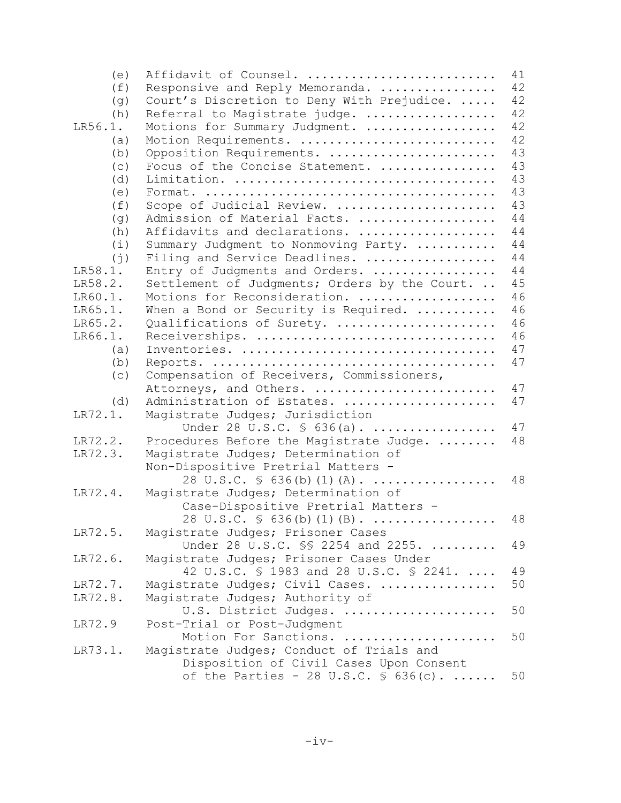| (e)         | Affidavit of Counsel.                            | 41 |
|-------------|--------------------------------------------------|----|
| (f)         | Responsive and Reply Memoranda.                  | 42 |
| (g)         | Court's Discretion to Deny With Prejudice.       | 42 |
| (h)         | Referral to Magistrate judge.                    | 42 |
| LR56.1.     | Motions for Summary Judgment.                    | 42 |
| (a)         | Motion Requirements.                             | 42 |
| (b)         | Opposition Requirements.                         | 43 |
| (c)         | Focus of the Concise Statement.                  | 43 |
| (d)         |                                                  | 43 |
| (e)         |                                                  | 43 |
| (f)         | Scope of Judicial Review.                        | 43 |
| (g)         | Admission of Material Facts.                     | 44 |
| (h)         | Affidavits and declarations.                     | 44 |
| (i)         | Summary Judgment to Nonmoving Party.             | 44 |
| $(\dagger)$ | Filing and Service Deadlines.                    | 44 |
| LR58.1.     | Entry of Judgments and Orders.                   | 44 |
| LR58.2.     | Settlement of Judgments; Orders by the Court.    | 45 |
| LR60.1.     | Motions for Reconsideration.                     | 46 |
| LR65.1.     | When a Bond or Security is Required.             | 46 |
| LR65.2.     | Qualifications of Surety.                        | 46 |
| LR66.1.     | Receiverships.                                   | 46 |
| (a)         |                                                  | 47 |
| (b)         |                                                  | 47 |
| (c)         | Compensation of Receivers, Commissioners,        |    |
|             | Attorneys, and Others.                           | 47 |
| (d)         | Administration of Estates.                       | 47 |
| LR72.1.     | Magistrate Judges; Jurisdiction                  |    |
|             | Under 28 U.S.C. § 636(a).                        | 47 |
| LR72.2.     | Procedures Before the Magistrate Judge.          | 48 |
| LR72.3.     | Magistrate Judges; Determination of              |    |
|             | Non-Dispositive Pretrial Matters -               |    |
|             | 28 U.S.C. $\frac{1}{5}$ 636(b)(1)(A).            | 48 |
| LR72.4.     | Magistrate Judges; Determination of              |    |
|             | Case-Dispositive Pretrial Matters -              |    |
|             | 28 U.S.C. $\frac{1}{5}$ 636(b)(1)(B).            | 48 |
| LR72.5.     | Magistrate Judges; Prisoner Cases                |    |
|             | Under 28 U.S.C. SS 2254 and 2255.                | 49 |
| LR72.6.     | Magistrate Judges; Prisoner Cases Under          |    |
|             | 42 U.S.C. § 1983 and 28 U.S.C. § 2241.           | 49 |
| LR72.7.     | Magistrate Judges; Civil Cases.                  | 50 |
| LR72.8.     | Magistrate Judges; Authority of                  |    |
|             |                                                  | 50 |
| LR72.9      | U.S. District Judges.                            |    |
|             | Post-Trial or Post-Judgment                      |    |
|             | Motion For Sanctions.                            | 50 |
| LR73.1.     | Magistrate Judges; Conduct of Trials and         |    |
|             | Disposition of Civil Cases Upon Consent          |    |
|             | of the Parties - 28 U.S.C. $\frac{1}{5}$ 636(c). | 50 |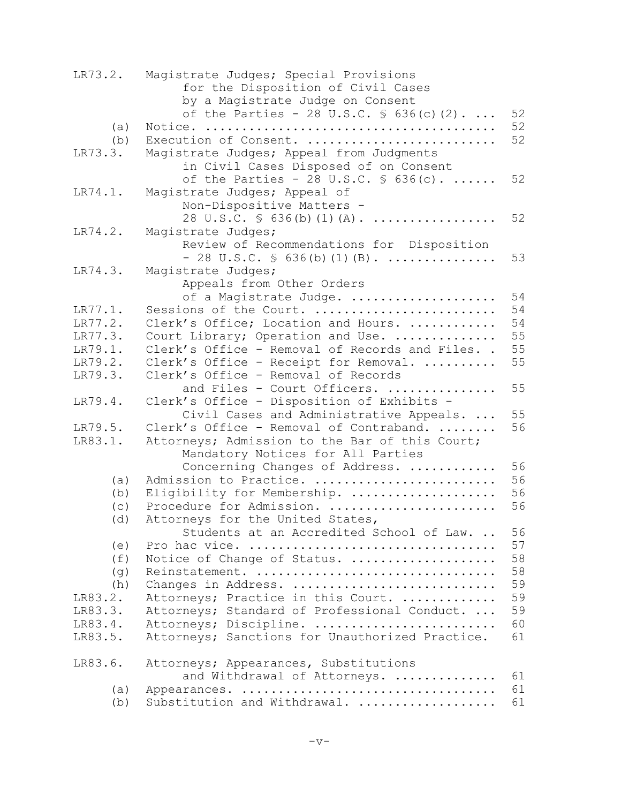| LR73.2. | Magistrate Judges; Special Provisions<br>for the Disposition of Civil Cases<br>by a Magistrate Judge on Consent |          |
|---------|-----------------------------------------------------------------------------------------------------------------|----------|
|         | of the Parties - 28 U.S.C. $\frac{1}{5}$ 636(c)(2).                                                             | 52<br>52 |
| (a)     | Execution of Consent.                                                                                           | 52       |
| (b)     |                                                                                                                 |          |
| LR73.3. | Magistrate Judges; Appeal from Judgments                                                                        |          |
|         | in Civil Cases Disposed of on Consent                                                                           |          |
|         | of the Parties - 28 U.S.C. $\frac{1}{5}$ 636(c).                                                                | 52       |
| LR74.1. | Magistrate Judges; Appeal of                                                                                    |          |
|         | Non-Dispositive Matters -<br>28 U.S.C. $\frac{1}{5}$ 636(b)(1)(A).                                              | 52       |
| LR74.2. |                                                                                                                 |          |
|         | Magistrate Judges;<br>Review of Recommendations for Disposition                                                 |          |
|         | $-28$ U.S.C. $\frac{1}{5}$ 636(b)(1)(B).                                                                        | 53       |
| LR74.3. | Magistrate Judges;                                                                                              |          |
|         | Appeals from Other Orders                                                                                       |          |
|         | of a Magistrate Judge.                                                                                          | 54       |
| LR77.1. | Sessions of the Court.                                                                                          | 54       |
| LR77.2. | Clerk's Office; Location and Hours.                                                                             | 54       |
| LR77.3. | Court Library; Operation and Use.                                                                               | 55       |
| LR79.1. | Clerk's Office - Removal of Records and Files. .                                                                | 55       |
| LR79.2. | Clerk's Office - Receipt for Removal.                                                                           | 55       |
| LR79.3. | Clerk's Office - Removal of Records                                                                             |          |
|         | and Files - Court Officers.                                                                                     | 55       |
| LR79.4. | Clerk's Office - Disposition of Exhibits -                                                                      |          |
|         | Civil Cases and Administrative Appeals.                                                                         | 55       |
| LR79.5. | Clerk's Office - Removal of Contraband.                                                                         | 56       |
| LR83.1. | Attorneys; Admission to the Bar of this Court;                                                                  |          |
|         | Mandatory Notices for All Parties                                                                               |          |
|         | Concerning Changes of Address.                                                                                  | 56       |
| (a)     | Admission to Practice.                                                                                          | 56       |
| (b)     | Eligibility for Membership.                                                                                     | 56       |
| (c)     | Procedure for Admission.                                                                                        | 56       |
| (d)     | Attorneys for the United States,                                                                                |          |
|         | Students at an Accredited School of Law.                                                                        | 56       |
| (e)     |                                                                                                                 | 57       |
| (f)     | Notice of Change of Status.                                                                                     | 58       |
| (g)     | Reinstatement.                                                                                                  | 58       |
| (h)     | Changes in Address.                                                                                             | 59       |
| LR83.2. | Attorneys; Practice in this Court.                                                                              | 59       |
| LR83.3. | Attorneys; Standard of Professional Conduct.                                                                    | 59       |
| LR83.4. | Attorneys; Discipline.                                                                                          | 60       |
| LR83.5. | Attorneys; Sanctions for Unauthorized Practice.                                                                 | 61       |
| LR83.6. | Attorneys; Appearances, Substitutions                                                                           |          |
|         | and Withdrawal of Attorneys.                                                                                    | 61       |
| (a)     |                                                                                                                 | 61       |
| (b)     | Substitution and Withdrawal.                                                                                    | 61       |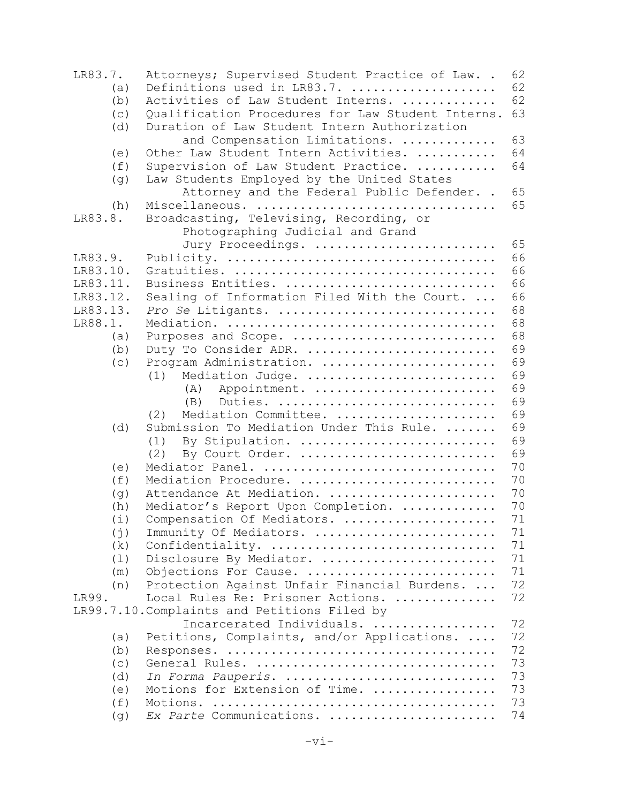| LR83.7.  | Attorneys; Supervised Student Practice of Law. .  | 62 |
|----------|---------------------------------------------------|----|
| (a)      | Definitions used in LR83.7.                       | 62 |
| (b)      | Activities of Law Student Interns.                | 62 |
| (c)      | Qualification Procedures for Law Student Interns. | 63 |
| (d)      | Duration of Law Student Intern Authorization      |    |
|          | and Compensation Limitations.                     | 63 |
| (e)      | Other Law Student Intern Activities.              | 64 |
| (f)      | Supervision of Law Student Practice.              | 64 |
| (g)      | Law Students Employed by the United States        |    |
|          | Attorney and the Federal Public Defender. .       | 65 |
| (h)      | Miscellaneous.                                    | 65 |
| LR83.8.  | Broadcasting, Televising, Recording, or           |    |
|          | Photographing Judicial and Grand                  |    |
|          | Jury Proceedings.                                 | 65 |
| LR83.9.  |                                                   | 66 |
| LR83.10. |                                                   | 66 |
| LR83.11. | Business Entities.                                | 66 |
|          |                                                   |    |
| LR83.12. | Sealing of Information Filed With the Court.      | 66 |
| LR83.13. | Pro Se Litigants.                                 | 68 |
| LR88.1.  |                                                   | 68 |
| (a)      | Purposes and Scope.                               | 68 |
| (b)      | Duty To Consider ADR.                             | 69 |
| (c)      | Program Administration.                           | 69 |
|          | Mediation Judge.<br>(1)                           | 69 |
|          | Appointment.<br>(A)                               | 69 |
|          | Duties.<br>(B)                                    | 69 |
|          | Mediation Committee.<br>(2)                       | 69 |
| (d)      | Submission To Mediation Under This Rule.          | 69 |
|          | By Stipulation.<br>(1)                            | 69 |
|          | By Court Order.<br>(2)                            | 69 |
| (e)      | Mediator Panel.                                   | 70 |
| (f)      | Mediation Procedure.                              | 70 |
|          | Attendance At Mediation.                          | 70 |
| (g)      |                                                   | 70 |
| (h)      | Mediator's Report Upon Completion.                |    |
| (i)      | Compensation Of Mediators.                        | 71 |
| (j)      | Immunity Of Mediators.                            | 71 |
| (k)      | Confidentiality.                                  | 71 |
| (1)      | Disclosure By Mediator.                           | 71 |
| (m)      | Objections For Cause.                             | 71 |
| (n)      | Protection Against Unfair Financial Burdens.      | 72 |
| LR99.    | Local Rules Re: Prisoner Actions.                 | 72 |
|          | LR99.7.10. Complaints and Petitions Filed by      |    |
|          | Incarcerated Individuals.                         | 72 |
| (a)      | Petitions, Complaints, and/or Applications.       | 72 |
| (b)      |                                                   | 72 |
| (c)      | General Rules.                                    | 73 |
| (d)      | In Forma Pauperis.                                | 73 |
| (e)      | Motions for Extension of Time.                    | 73 |
| (f)      |                                                   | 73 |
|          |                                                   |    |
| (g)      | Ex Parte Communications.                          | 74 |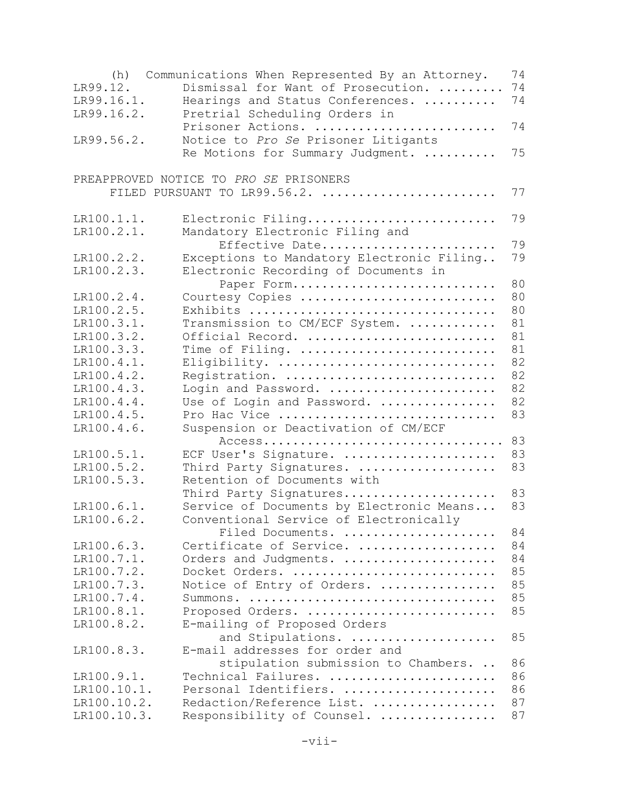| (h)                       | Communications When Represented By an Attorney.            | 74       |
|---------------------------|------------------------------------------------------------|----------|
| LR99.12.                  | Dismissal for Want of Prosecution.                         | 74       |
| LR99.16.1.                | Hearings and Status Conferences.                           | 74       |
| LR99.16.2.                | Pretrial Scheduling Orders in                              |          |
|                           | Prisoner Actions.                                          | 74       |
| LR99.56.2.                | Notice to Pro Se Prisoner Litigants                        |          |
|                           | Re Motions for Summary Judgment.                           | 75       |
|                           |                                                            |          |
|                           | PREAPPROVED NOTICE TO PRO SE PRISONERS                     |          |
|                           | FILED PURSUANT TO LR99.56.2.                               | 77       |
|                           |                                                            |          |
| LR100.1.1.                | Electronic Filing                                          | 79       |
| LR100.2.1.                | Mandatory Electronic Filing and                            |          |
|                           | Effective Date                                             | 79       |
| LR100.2.2.                | Exceptions to Mandatory Electronic Filing                  | 79       |
| LR100.2.3.                | Electronic Recording of Documents in                       |          |
|                           | Paper Form                                                 | 80       |
| LR100.2.4.                | Courtesy Copies                                            | 80       |
| LR100.2.5.                | Exhibits                                                   | 80       |
| LR100.3.1.                | Transmission to CM/ECF System.                             | 81       |
| LR100.3.2.                | Official Record.                                           | 81       |
| LR100.3.3.                | Time of Filing.                                            | 81       |
| LR100.4.1.                | Eligibility.                                               | 82       |
| LR100.4.2.                | Registration.                                              | 82       |
| LR100.4.3.                | Login and Password.                                        | 82       |
| LR100.4.4.                | Use of Login and Password.                                 | 82       |
| LR100.4.5.                | Pro Hac Vice                                               | 83       |
| LR100.4.6.                | Suspension or Deactivation of CM/ECF                       |          |
|                           |                                                            | 83       |
| LR100.5.1.                | ECF User's Signature.                                      | 83       |
| LR100.5.2.                | Third Party Signatures.                                    | 83       |
| LR100.5.3.                | Retention of Documents with                                |          |
|                           | Third Party Signatures                                     | 83       |
| LR100.6.1.                | Service of Documents by Electronic Means                   | 83       |
| LR100.6.2.                | Conventional Service of Electronically                     |          |
|                           | Filed Documents.                                           | 84       |
| LR100.6.3.                | Certificate of Service.                                    | 84       |
| LR100.7.1.                | Orders and Judgments.                                      | 84       |
| LR100.7.2.                | Docket Orders.                                             | 85       |
| LR100.7.3.                |                                                            | 85       |
| LR100.7.4.                | Notice of Entry of Orders.                                 | 85       |
| LR100.8.1.                | Summons.<br>Proposed Orders.                               | 85       |
| LR100.8.2.                |                                                            |          |
|                           | E-mailing of Proposed Orders                               | 85       |
|                           | and Stipulations.<br>E-mail addresses for order and        |          |
| LR100.8.3.                |                                                            |          |
|                           | stipulation submission to Chambers.<br>Technical Failures. | 86<br>86 |
| LR100.9.1.<br>LR100.10.1. | Personal Identifiers.                                      | 86       |
| LR100.10.2.               |                                                            | 87       |
|                           | Redaction/Reference List.                                  | 87       |
| LR100.10.3.               | Responsibility of Counsel.                                 |          |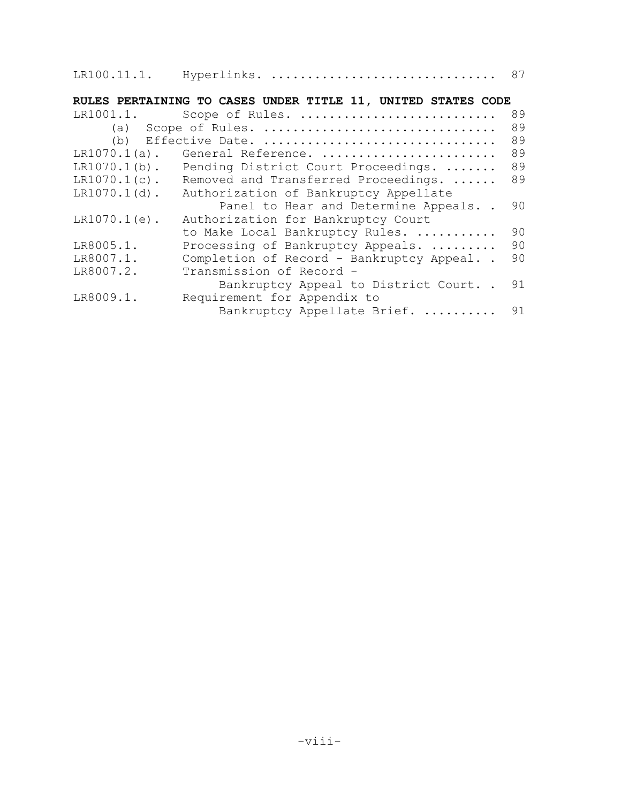| LR100.11.1. |  | Hyperlinks. |  |  |
|-------------|--|-------------|--|--|
|-------------|--|-------------|--|--|

# **RULES PERTAINING TO CASES UNDER TITLE 11, UNITED STATES CODE**

| (a) Scope of Rules.<br>Effective Date.<br>(b)<br>$LR1070.1(a)$ .<br>General Reference.<br>$LR1070.1(b)$ .<br>Pending District Court Proceedings.<br>$LR1070.1(c)$ .<br>Removed and Transferred Proceedings.<br>$LR1070.1(d)$ .<br>Authorization of Bankruptcy Appellate | 89<br>89<br>89<br>89<br>89      |
|-------------------------------------------------------------------------------------------------------------------------------------------------------------------------------------------------------------------------------------------------------------------------|---------------------------------|
|                                                                                                                                                                                                                                                                         |                                 |
|                                                                                                                                                                                                                                                                         |                                 |
|                                                                                                                                                                                                                                                                         |                                 |
|                                                                                                                                                                                                                                                                         |                                 |
|                                                                                                                                                                                                                                                                         |                                 |
|                                                                                                                                                                                                                                                                         |                                 |
| Panel to Hear and Determine Appeals                                                                                                                                                                                                                                     | 90                              |
| $LR1070.1(e)$ .<br>Authorization for Bankruptcy Court                                                                                                                                                                                                                   |                                 |
| to Make Local Bankruptcy Rules.                                                                                                                                                                                                                                         | 90                              |
| LR8005.1.<br>Processing of Bankruptcy Appeals.                                                                                                                                                                                                                          | 90                              |
| Completion of Record - Bankruptcy Appeal<br>LR8007.1.                                                                                                                                                                                                                   | 90                              |
| LR8007.2.<br>Transmission of Record -                                                                                                                                                                                                                                   |                                 |
| Bankruptcy Appeal to District Court                                                                                                                                                                                                                                     | 91                              |
| LR8009.1.<br>Requirement for Appendix to                                                                                                                                                                                                                                |                                 |
|                                                                                                                                                                                                                                                                         | Bankruptcy Appellate Brief.  91 |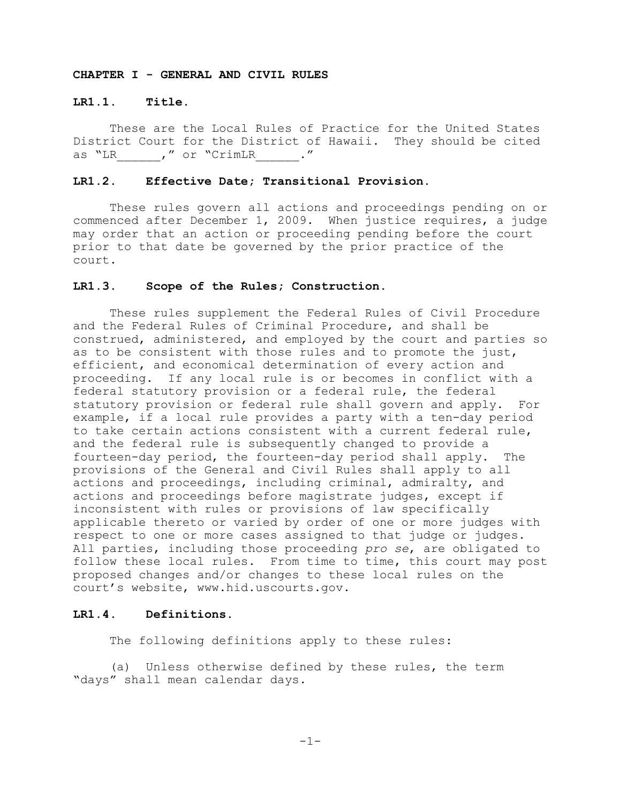# **CHAPTER I - GENERAL AND CIVIL RULES**

### **LR1.1. Title.**

These are the Local Rules of Practice for the United States District Court for the District of Hawaii. They should be cited as "LR (a) we do not "CrimLR (as  $\cdot$  "

# **LR1.2. Effective Date; Transitional Provision.**

These rules govern all actions and proceedings pending on or commenced after December 1, 2009. When justice requires, a judge may order that an action or proceeding pending before the court prior to that date be governed by the prior practice of the court.

#### **LR1.3. Scope of the Rules; Construction.**

These rules supplement the Federal Rules of Civil Procedure and the Federal Rules of Criminal Procedure, and shall be construed, administered, and employed by the court and parties so as to be consistent with those rules and to promote the just, efficient, and economical determination of every action and proceeding. If any local rule is or becomes in conflict with a federal statutory provision or a federal rule, the federal statutory provision or federal rule shall govern and apply. For example, if a local rule provides a party with a ten-day period to take certain actions consistent with a current federal rule, and the federal rule is subsequently changed to provide a fourteen-day period, the fourteen-day period shall apply. The provisions of the General and Civil Rules shall apply to all actions and proceedings, including criminal, admiralty, and actions and proceedings before magistrate judges, except if inconsistent with rules or provisions of law specifically applicable thereto or varied by order of one or more judges with respect to one or more cases assigned to that judge or judges. All parties, including those proceeding *pro se*, are obligated to follow these local rules. From time to time, this court may post proposed changes and/or changes to these local rules on the court's website, www.hid.uscourts.gov.

### **LR1.4. Definitions.**

The following definitions apply to these rules:

(a) Unless otherwise defined by these rules, the term "days" shall mean calendar days.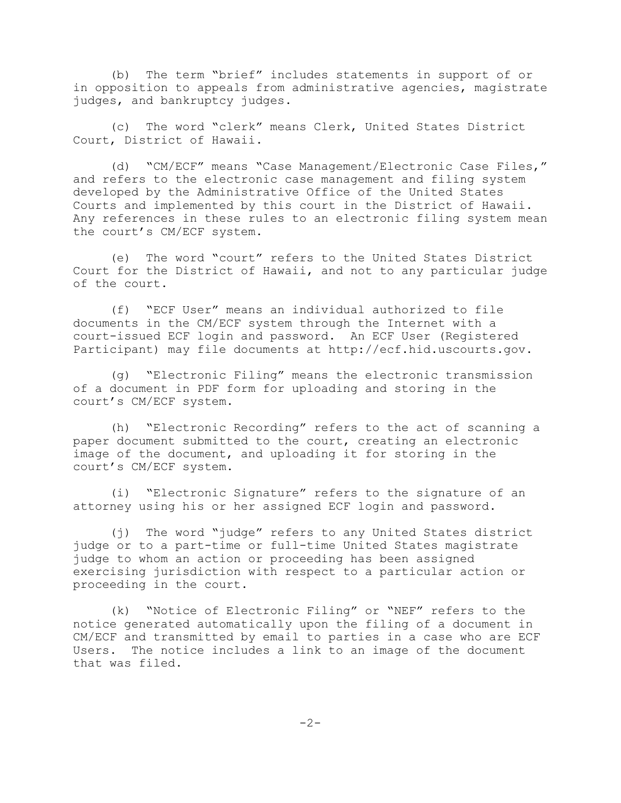(b) The term "brief" includes statements in support of or in opposition to appeals from administrative agencies, magistrate judges, and bankruptcy judges.

(c) The word "clerk" means Clerk, United States District Court, District of Hawaii.

(d) "CM/ECF" means "Case Management/Electronic Case Files," and refers to the electronic case management and filing system developed by the Administrative Office of the United States Courts and implemented by this court in the District of Hawaii. Any references in these rules to an electronic filing system mean the court's CM/ECF system.

(e) The word "court" refers to the United States District Court for the District of Hawaii, and not to any particular judge of the court.

(f) "ECF User" means an individual authorized to file documents in the CM/ECF system through the Internet with a court-issued ECF login and password. An ECF User (Registered Participant) may file documents at http://ecf.hid.uscourts.gov.

(g) "Electronic Filing" means the electronic transmission of a document in PDF form for uploading and storing in the court's CM/ECF system.

(h) "Electronic Recording" refers to the act of scanning a paper document submitted to the court, creating an electronic image of the document, and uploading it for storing in the court's CM/ECF system.

(i) "Electronic Signature" refers to the signature of an attorney using his or her assigned ECF login and password.

(j) The word "judge" refers to any United States district judge or to a part-time or full-time United States magistrate judge to whom an action or proceeding has been assigned exercising jurisdiction with respect to a particular action or proceeding in the court.

(k) "Notice of Electronic Filing" or "NEF" refers to the notice generated automatically upon the filing of a document in CM/ECF and transmitted by email to parties in a case who are ECF Users. The notice includes a link to an image of the document that was filed.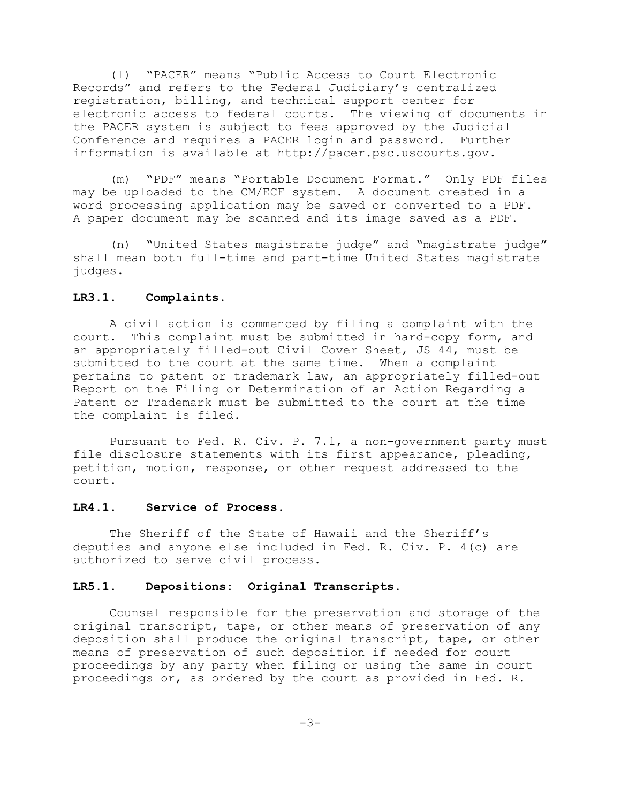(l) "PACER" means "Public Access to Court Electronic Records" and refers to the Federal Judiciary's centralized registration, billing, and technical support center for electronic access to federal courts. The viewing of documents in the PACER system is subject to fees approved by the Judicial Conference and requires a PACER login and password. Further information is available at http://pacer.psc.uscourts.gov.

(m) "PDF" means "Portable Document Format." Only PDF files may be uploaded to the CM/ECF system. A document created in a word processing application may be saved or converted to a PDF. A paper document may be scanned and its image saved as a PDF.

(n) "United States magistrate judge" and "magistrate judge" shall mean both full-time and part-time United States magistrate judges.

#### **LR3.1. Complaints.**

A civil action is commenced by filing a complaint with the court. This complaint must be submitted in hard-copy form, and an appropriately filled-out Civil Cover Sheet, JS 44, must be submitted to the court at the same time. When a complaint pertains to patent or trademark law, an appropriately filled-out Report on the Filing or Determination of an Action Regarding a Patent or Trademark must be submitted to the court at the time the complaint is filed.

Pursuant to Fed. R. Civ. P. 7.1, a non-government party must file disclosure statements with its first appearance, pleading, petition, motion, response, or other request addressed to the court.

## **LR4.1. Service of Process.**

The Sheriff of the State of Hawaii and the Sheriff's deputies and anyone else included in Fed. R. Civ. P. 4(c) are authorized to serve civil process.

### **LR5.1. Depositions: Original Transcripts.**

Counsel responsible for the preservation and storage of the original transcript, tape, or other means of preservation of any deposition shall produce the original transcript, tape, or other means of preservation of such deposition if needed for court proceedings by any party when filing or using the same in court proceedings or, as ordered by the court as provided in Fed. R.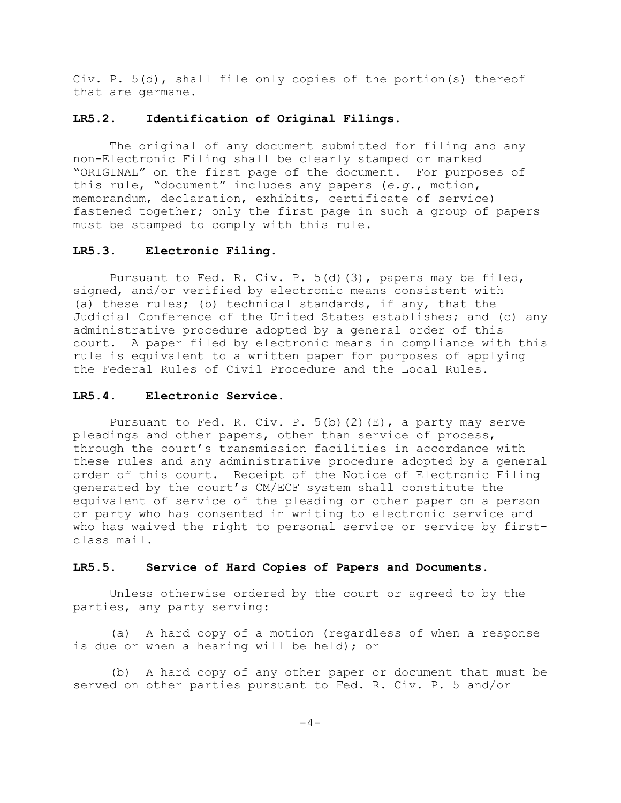Civ. P. 5(d), shall file only copies of the portion(s) thereof that are germane.

# **LR5.2. Identification of Original Filings.**

The original of any document submitted for filing and any non-Electronic Filing shall be clearly stamped or marked "ORIGINAL" on the first page of the document. For purposes of this rule, "document" includes any papers (*e.g.*, motion, memorandum, declaration, exhibits, certificate of service) fastened together; only the first page in such a group of papers must be stamped to comply with this rule.

# **LR5.3. Electronic Filing.**

Pursuant to Fed. R. Civ. P. 5(d)(3), papers may be filed, signed, and/or verified by electronic means consistent with (a) these rules; (b) technical standards, if any, that the Judicial Conference of the United States establishes; and (c) any administrative procedure adopted by a general order of this court. A paper filed by electronic means in compliance with this rule is equivalent to a written paper for purposes of applying the Federal Rules of Civil Procedure and the Local Rules.

### **LR5.4. Electronic Service.**

Pursuant to Fed. R. Civ. P. 5(b)(2)(E), a party may serve pleadings and other papers, other than service of process, through the court's transmission facilities in accordance with these rules and any administrative procedure adopted by a general order of this court. Receipt of the Notice of Electronic Filing generated by the court's CM/ECF system shall constitute the equivalent of service of the pleading or other paper on a person or party who has consented in writing to electronic service and who has waived the right to personal service or service by firstclass mail.

#### **LR5.5. Service of Hard Copies of Papers and Documents.**

Unless otherwise ordered by the court or agreed to by the parties, any party serving:

(a) A hard copy of a motion (regardless of when a response is due or when a hearing will be held); or

(b) A hard copy of any other paper or document that must be served on other parties pursuant to Fed. R. Civ. P. 5 and/or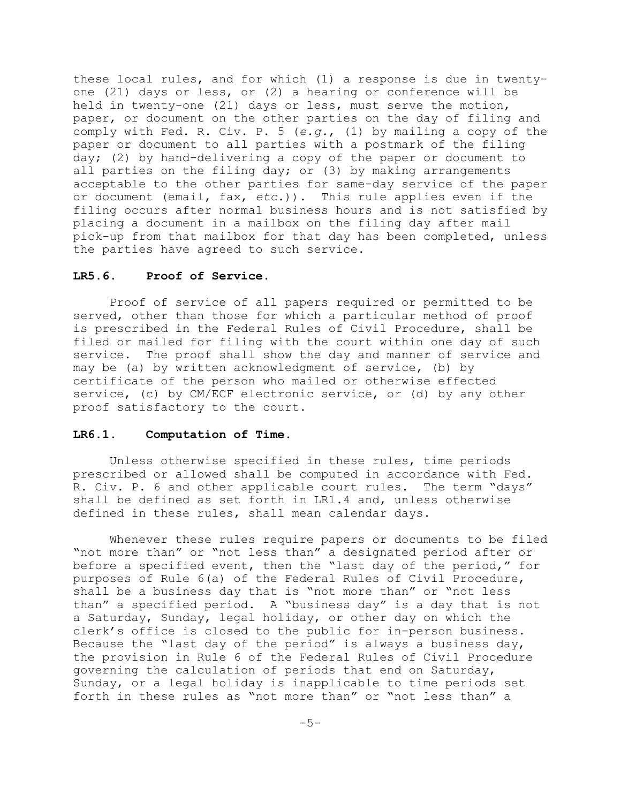these local rules, and for which (1) a response is due in twentyone (21) days or less, or (2) a hearing or conference will be held in twenty-one (21) days or less, must serve the motion, paper, or document on the other parties on the day of filing and comply with Fed. R. Civ. P. 5 (*e.g.*, (1) by mailing a copy of the paper or document to all parties with a postmark of the filing day; (2) by hand-delivering a copy of the paper or document to all parties on the filing day; or (3) by making arrangements acceptable to the other parties for same-day service of the paper or document (email, fax, *etc.*)). This rule applies even if the filing occurs after normal business hours and is not satisfied by placing a document in a mailbox on the filing day after mail pick-up from that mailbox for that day has been completed, unless the parties have agreed to such service.

#### **LR5.6. Proof of Service.**

Proof of service of all papers required or permitted to be served, other than those for which a particular method of proof is prescribed in the Federal Rules of Civil Procedure, shall be filed or mailed for filing with the court within one day of such service. The proof shall show the day and manner of service and may be (a) by written acknowledgment of service, (b) by certificate of the person who mailed or otherwise effected service, (c) by CM/ECF electronic service, or (d) by any other proof satisfactory to the court.

# **LR6.1. Computation of Time.**

Unless otherwise specified in these rules, time periods prescribed or allowed shall be computed in accordance with Fed. R. Civ. P. 6 and other applicable court rules. The term "days" shall be defined as set forth in LR1.4 and, unless otherwise defined in these rules, shall mean calendar days.

Whenever these rules require papers or documents to be filed "not more than" or "not less than" a designated period after or before a specified event, then the "last day of the period," for purposes of Rule 6(a) of the Federal Rules of Civil Procedure, shall be a business day that is "not more than" or "not less than" a specified period. A "business day" is a day that is not a Saturday, Sunday, legal holiday, or other day on which the clerk's office is closed to the public for in-person business. Because the "last day of the period" is always a business day, the provision in Rule 6 of the Federal Rules of Civil Procedure governing the calculation of periods that end on Saturday, Sunday, or a legal holiday is inapplicable to time periods set forth in these rules as "not more than" or "not less than" a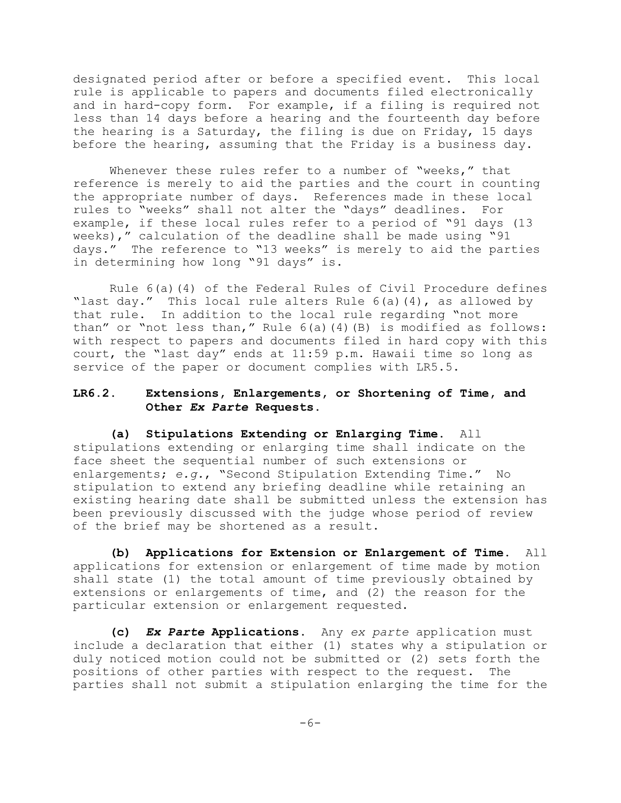designated period after or before a specified event. This local rule is applicable to papers and documents filed electronically and in hard-copy form. For example, if a filing is required not less than 14 days before a hearing and the fourteenth day before the hearing is a Saturday, the filing is due on Friday, 15 days before the hearing, assuming that the Friday is a business day.

Whenever these rules refer to a number of "weeks," that reference is merely to aid the parties and the court in counting the appropriate number of days. References made in these local rules to "weeks" shall not alter the "days" deadlines. For example, if these local rules refer to a period of "91 days (13 weeks)," calculation of the deadline shall be made using "91 days." The reference to "13 weeks" is merely to aid the parties in determining how long "91 days" is.

Rule 6(a)(4) of the Federal Rules of Civil Procedure defines "last day." This local rule alters Rule 6(a)(4), as allowed by that rule. In addition to the local rule regarding "not more than" or "not less than," Rule 6(a)(4)(B) is modified as follows: with respect to papers and documents filed in hard copy with this court, the "last day" ends at 11:59 p.m. Hawaii time so long as service of the paper or document complies with LR5.5.

# **LR6.2. Extensions, Enlargements, or Shortening of Time, and Other** *Ex Parte* **Requests.**

**(a) Stipulations Extending or Enlarging Time.** All stipulations extending or enlarging time shall indicate on the face sheet the sequential number of such extensions or enlargements; *e.g.*, "Second Stipulation Extending Time." No stipulation to extend any briefing deadline while retaining an existing hearing date shall be submitted unless the extension has been previously discussed with the judge whose period of review of the brief may be shortened as a result.

**(b) Applications for Extension or Enlargement of Time.** All applications for extension or enlargement of time made by motion shall state (1) the total amount of time previously obtained by extensions or enlargements of time, and (2) the reason for the particular extension or enlargement requested.

**(c)** *Ex Parte* **Applications.** Any *ex parte* application must include a declaration that either (1) states why a stipulation or duly noticed motion could not be submitted or (2) sets forth the positions of other parties with respect to the request. The parties shall not submit a stipulation enlarging the time for the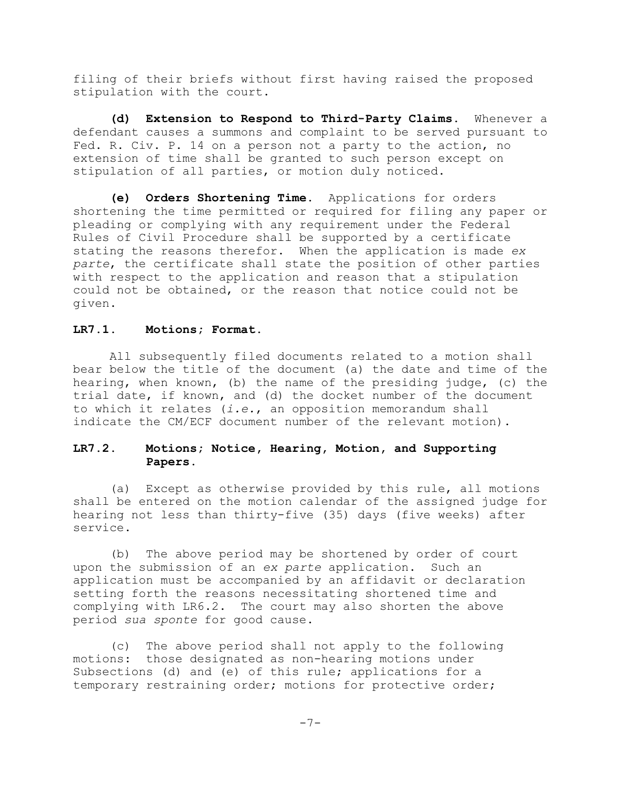filing of their briefs without first having raised the proposed stipulation with the court.

**(d) Extension to Respond to Third-Party Claims.** Whenever a defendant causes a summons and complaint to be served pursuant to Fed. R. Civ. P. 14 on a person not a party to the action, no extension of time shall be granted to such person except on stipulation of all parties, or motion duly noticed.

**(e) Orders Shortening Time.** Applications for orders shortening the time permitted or required for filing any paper or pleading or complying with any requirement under the Federal Rules of Civil Procedure shall be supported by a certificate stating the reasons therefor. When the application is made *ex parte*, the certificate shall state the position of other parties with respect to the application and reason that a stipulation could not be obtained, or the reason that notice could not be given.

#### **LR7.1. Motions; Format.**

All subsequently filed documents related to a motion shall bear below the title of the document (a) the date and time of the hearing, when known, (b) the name of the presiding judge, (c) the trial date, if known, and (d) the docket number of the document to which it relates (*i.e.*, an opposition memorandum shall indicate the CM/ECF document number of the relevant motion).

# **LR7.2. Motions; Notice, Hearing, Motion, and Supporting Papers.**

(a) Except as otherwise provided by this rule, all motions shall be entered on the motion calendar of the assigned judge for hearing not less than thirty-five (35) days (five weeks) after service.

(b) The above period may be shortened by order of court upon the submission of an *ex parte* application. Such an application must be accompanied by an affidavit or declaration setting forth the reasons necessitating shortened time and complying with LR6.2. The court may also shorten the above period *sua sponte* for good cause.

(c) The above period shall not apply to the following motions: those designated as non-hearing motions under Subsections (d) and (e) of this rule; applications for a temporary restraining order; motions for protective order;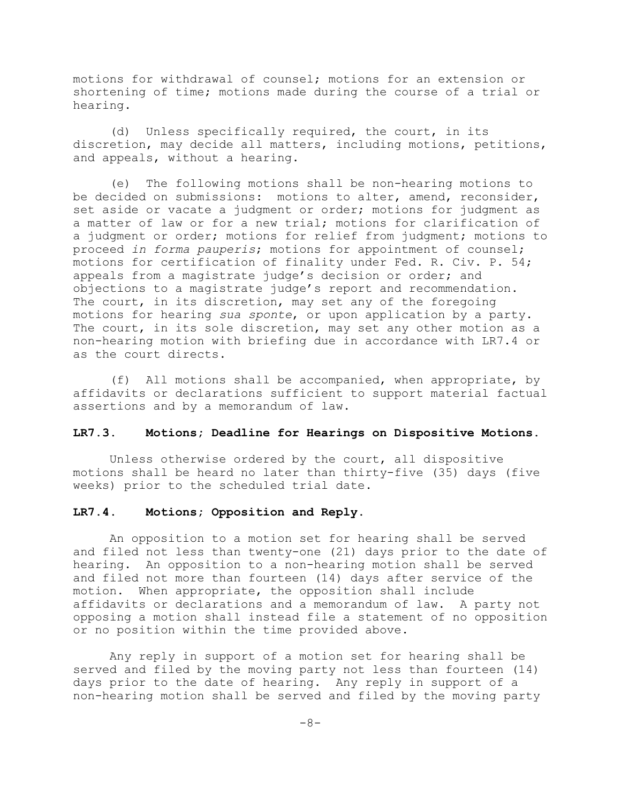motions for withdrawal of counsel; motions for an extension or shortening of time; motions made during the course of a trial or hearing.

(d) Unless specifically required, the court, in its discretion, may decide all matters, including motions, petitions, and appeals, without a hearing.

(e) The following motions shall be non-hearing motions to be decided on submissions: motions to alter, amend, reconsider, set aside or vacate a judgment or order; motions for judgment as a matter of law or for a new trial; motions for clarification of a judgment or order; motions for relief from judgment; motions to proceed *in forma pauperis*; motions for appointment of counsel; motions for certification of finality under Fed. R. Civ. P. 54; appeals from a magistrate judge's decision or order; and objections to a magistrate judge's report and recommendation. The court, in its discretion, may set any of the foregoing motions for hearing *sua sponte*, or upon application by a party. The court, in its sole discretion, may set any other motion as a non-hearing motion with briefing due in accordance with LR7.4 or as the court directs.

(f) All motions shall be accompanied, when appropriate, by affidavits or declarations sufficient to support material factual assertions and by a memorandum of law.

#### **LR7.3. Motions; Deadline for Hearings on Dispositive Motions.**

Unless otherwise ordered by the court, all dispositive motions shall be heard no later than thirty-five (35) days (five weeks) prior to the scheduled trial date.

#### **LR7.4. Motions; Opposition and Reply.**

An opposition to a motion set for hearing shall be served and filed not less than twenty-one (21) days prior to the date of hearing. An opposition to a non-hearing motion shall be served and filed not more than fourteen (14) days after service of the motion. When appropriate, the opposition shall include affidavits or declarations and a memorandum of law. A party not opposing a motion shall instead file a statement of no opposition or no position within the time provided above.

Any reply in support of a motion set for hearing shall be served and filed by the moving party not less than fourteen (14) days prior to the date of hearing. Any reply in support of a non-hearing motion shall be served and filed by the moving party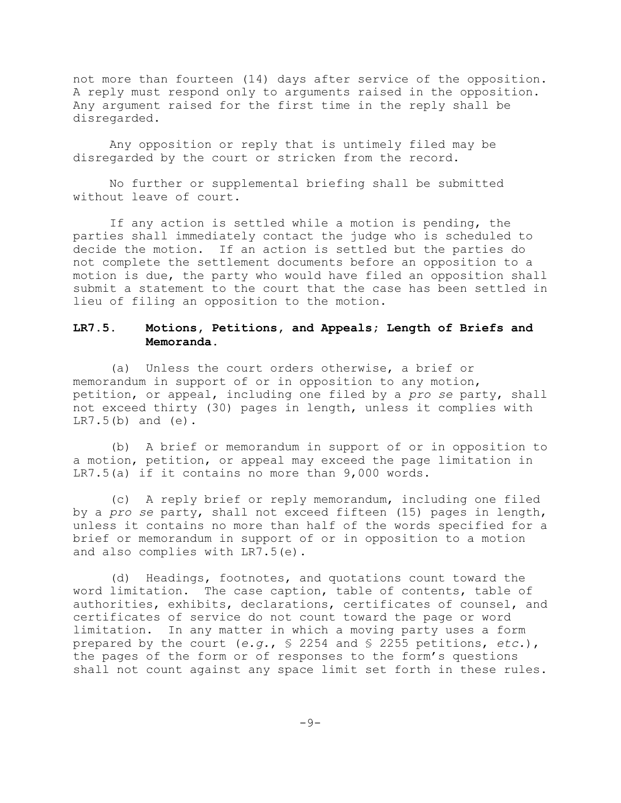not more than fourteen (14) days after service of the opposition. A reply must respond only to arguments raised in the opposition. Any argument raised for the first time in the reply shall be disregarded.

Any opposition or reply that is untimely filed may be disregarded by the court or stricken from the record.

No further or supplemental briefing shall be submitted without leave of court.

If any action is settled while a motion is pending, the parties shall immediately contact the judge who is scheduled to decide the motion. If an action is settled but the parties do not complete the settlement documents before an opposition to a motion is due, the party who would have filed an opposition shall submit a statement to the court that the case has been settled in lieu of filing an opposition to the motion.

# **LR7.5. Motions, Petitions, and Appeals; Length of Briefs and Memoranda.**

(a) Unless the court orders otherwise, a brief or memorandum in support of or in opposition to any motion, petition, or appeal, including one filed by a *pro se* party, shall not exceed thirty (30) pages in length, unless it complies with  $LR7.5(b)$  and  $(e)$ .

(b) A brief or memorandum in support of or in opposition to a motion, petition, or appeal may exceed the page limitation in LR7.5(a) if it contains no more than 9,000 words.

(c) A reply brief or reply memorandum, including one filed by a *pro se* party, shall not exceed fifteen (15) pages in length, unless it contains no more than half of the words specified for a brief or memorandum in support of or in opposition to a motion and also complies with LR7.5(e).

(d) Headings, footnotes, and quotations count toward the word limitation. The case caption, table of contents, table of authorities, exhibits, declarations, certificates of counsel, and certificates of service do not count toward the page or word limitation. In any matter in which a moving party uses a form prepared by the court (*e.g.*, § 2254 and § 2255 petitions, *etc.*), the pages of the form or of responses to the form's questions shall not count against any space limit set forth in these rules.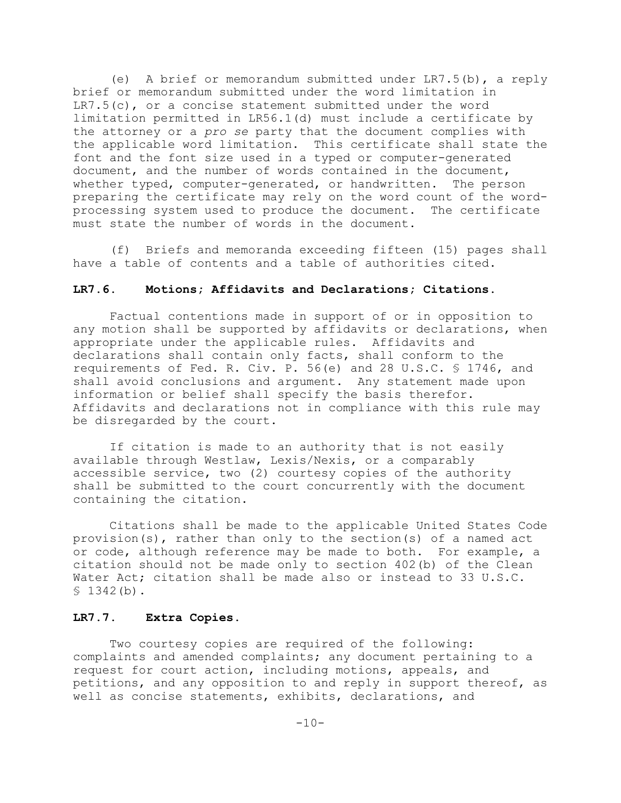(e) A brief or memorandum submitted under LR7.5(b), a reply brief or memorandum submitted under the word limitation in  $LR7.5(c)$ , or a concise statement submitted under the word limitation permitted in LR56.1(d) must include a certificate by the attorney or a *pro se* party that the document complies with the applicable word limitation. This certificate shall state the font and the font size used in a typed or computer-generated document, and the number of words contained in the document, whether typed, computer-generated, or handwritten. The person preparing the certificate may rely on the word count of the wordprocessing system used to produce the document. The certificate must state the number of words in the document**.**

(f) Briefs and memoranda exceeding fifteen (15) pages shall have a table of contents and a table of authorities cited.

# **LR7.6. Motions; Affidavits and Declarations; Citations.**

Factual contentions made in support of or in opposition to any motion shall be supported by affidavits or declarations, when appropriate under the applicable rules. Affidavits and declarations shall contain only facts, shall conform to the requirements of Fed. R. Civ. P. 56(e) and 28 U.S.C. § 1746, and shall avoid conclusions and argument. Any statement made upon information or belief shall specify the basis therefor. Affidavits and declarations not in compliance with this rule may be disregarded by the court.

If citation is made to an authority that is not easily available through Westlaw, Lexis/Nexis, or a comparably accessible service, two (2) courtesy copies of the authority shall be submitted to the court concurrently with the document containing the citation.

Citations shall be made to the applicable United States Code provision(s), rather than only to the section(s) of a named act or code, although reference may be made to both. For example, a citation should not be made only to section 402(b) of the Clean Water Act; citation shall be made also or instead to 33 U.S.C.  $$1342(b)$ .

### **LR7.7. Extra Copies.**

Two courtesy copies are required of the following: complaints and amended complaints; any document pertaining to a request for court action, including motions, appeals, and petitions, and any opposition to and reply in support thereof, as well as concise statements, exhibits, declarations, and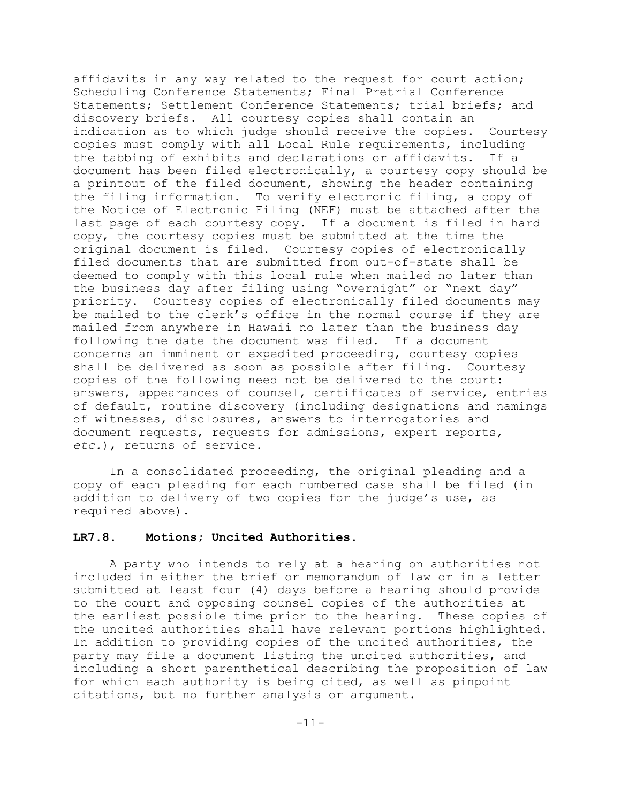affidavits in any way related to the request for court action; Scheduling Conference Statements; Final Pretrial Conference Statements; Settlement Conference Statements; trial briefs; and discovery briefs. All courtesy copies shall contain an indication as to which judge should receive the copies. Courtesy copies must comply with all Local Rule requirements, including the tabbing of exhibits and declarations or affidavits. If a document has been filed electronically, a courtesy copy should be a printout of the filed document, showing the header containing the filing information. To verify electronic filing, a copy of the Notice of Electronic Filing (NEF) must be attached after the last page of each courtesy copy. If a document is filed in hard copy, the courtesy copies must be submitted at the time the original document is filed. Courtesy copies of electronically filed documents that are submitted from out-of-state shall be deemed to comply with this local rule when mailed no later than the business day after filing using "overnight" or "next day" priority. Courtesy copies of electronically filed documents may be mailed to the clerk's office in the normal course if they are mailed from anywhere in Hawaii no later than the business day following the date the document was filed. If a document concerns an imminent or expedited proceeding, courtesy copies shall be delivered as soon as possible after filing. Courtesy copies of the following need not be delivered to the court: answers, appearances of counsel, certificates of service, entries of default, routine discovery (including designations and namings of witnesses, disclosures, answers to interrogatories and document requests, requests for admissions, expert reports, *etc.*), returns of service.

In a consolidated proceeding, the original pleading and a copy of each pleading for each numbered case shall be filed (in addition to delivery of two copies for the judge's use, as required above).

### **LR7.8. Motions; Uncited Authorities.**

A party who intends to rely at a hearing on authorities not included in either the brief or memorandum of law or in a letter submitted at least four (4) days before a hearing should provide to the court and opposing counsel copies of the authorities at the earliest possible time prior to the hearing. These copies of the uncited authorities shall have relevant portions highlighted. In addition to providing copies of the uncited authorities, the party may file a document listing the uncited authorities, and including a short parenthetical describing the proposition of law for which each authority is being cited, as well as pinpoint citations, but no further analysis or argument.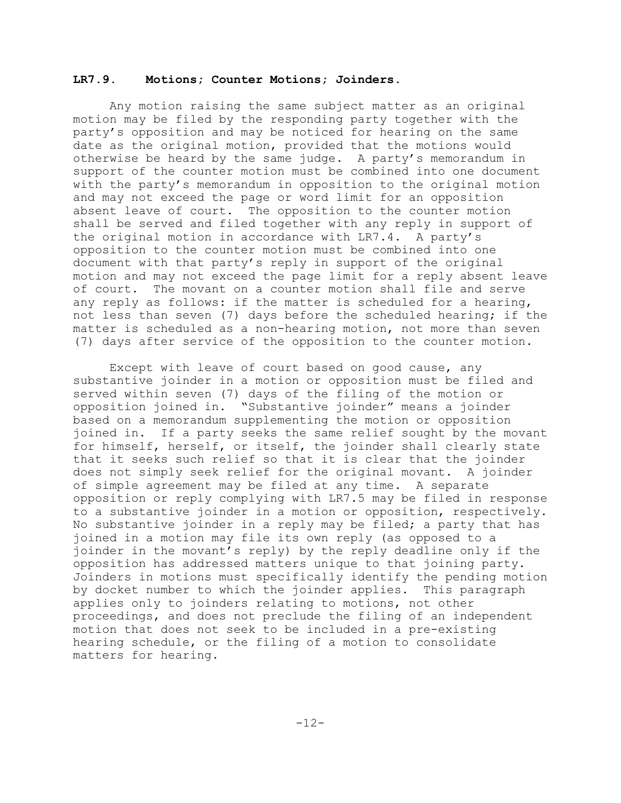#### **LR7.9. Motions; Counter Motions; Joinders.**

Any motion raising the same subject matter as an original motion may be filed by the responding party together with the party's opposition and may be noticed for hearing on the same date as the original motion, provided that the motions would otherwise be heard by the same judge. A party's memorandum in support of the counter motion must be combined into one document with the party's memorandum in opposition to the original motion and may not exceed the page or word limit for an opposition absent leave of court. The opposition to the counter motion shall be served and filed together with any reply in support of the original motion in accordance with LR7.4. A party's opposition to the counter motion must be combined into one document with that party's reply in support of the original motion and may not exceed the page limit for a reply absent leave of court. The movant on a counter motion shall file and serve any reply as follows: if the matter is scheduled for a hearing, not less than seven (7) days before the scheduled hearing; if the matter is scheduled as a non-hearing motion, not more than seven (7) days after service of the opposition to the counter motion.

Except with leave of court based on good cause, any substantive joinder in a motion or opposition must be filed and served within seven (7) days of the filing of the motion or opposition joined in. "Substantive joinder" means a joinder based on a memorandum supplementing the motion or opposition joined in. If a party seeks the same relief sought by the movant for himself, herself, or itself, the joinder shall clearly state that it seeks such relief so that it is clear that the joinder does not simply seek relief for the original movant. A joinder of simple agreement may be filed at any time. A separate opposition or reply complying with LR7.5 may be filed in response to a substantive joinder in a motion or opposition, respectively. No substantive joinder in a reply may be filed; a party that has joined in a motion may file its own reply (as opposed to a joinder in the movant's reply) by the reply deadline only if the opposition has addressed matters unique to that joining party. Joinders in motions must specifically identify the pending motion by docket number to which the joinder applies. This paragraph applies only to joinders relating to motions, not other proceedings, and does not preclude the filing of an independent motion that does not seek to be included in a pre-existing hearing schedule, or the filing of a motion to consolidate matters for hearing.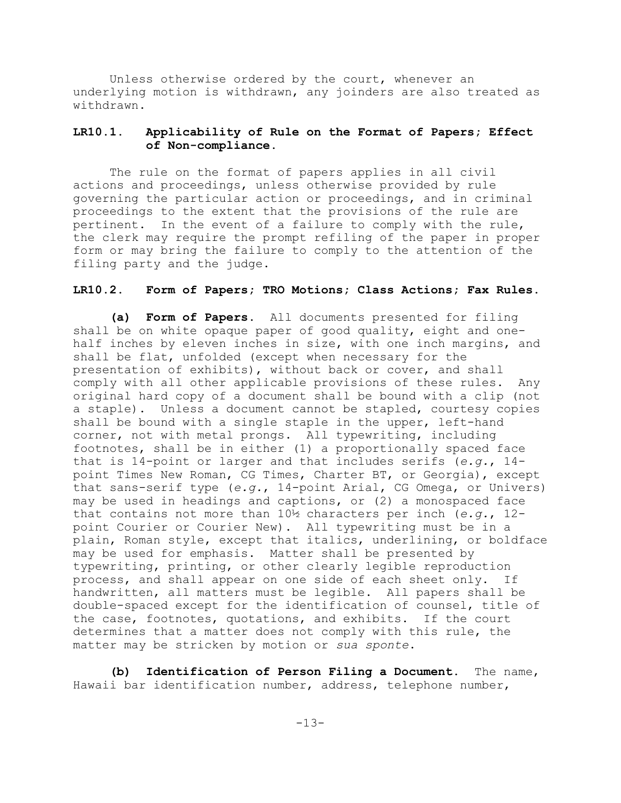Unless otherwise ordered by the court, whenever an underlying motion is withdrawn, any joinders are also treated as withdrawn.

# **LR10.1. Applicability of Rule on the Format of Papers; Effect of Non-compliance.**

The rule on the format of papers applies in all civil actions and proceedings, unless otherwise provided by rule governing the particular action or proceedings, and in criminal proceedings to the extent that the provisions of the rule are pertinent. In the event of a failure to comply with the rule, the clerk may require the prompt refiling of the paper in proper form or may bring the failure to comply to the attention of the filing party and the judge.

# **LR10.2. Form of Papers; TRO Motions; Class Actions; Fax Rules.**

**(a) Form of Papers.** All documents presented for filing shall be on white opaque paper of good quality, eight and onehalf inches by eleven inches in size, with one inch margins, and shall be flat, unfolded (except when necessary for the presentation of exhibits), without back or cover, and shall comply with all other applicable provisions of these rules. Any original hard copy of a document shall be bound with a clip (not a staple). Unless a document cannot be stapled, courtesy copies shall be bound with a single staple in the upper, left-hand corner, not with metal prongs. All typewriting, including footnotes, shall be in either (1) a proportionally spaced face that is 14-point or larger and that includes serifs (*e.g.*, 14 point Times New Roman, CG Times, Charter BT, or Georgia), except that sans-serif type (*e.g.*, 14-point Arial, CG Omega, or Univers) may be used in headings and captions, or (2) a monospaced face that contains not more than 10½ characters per inch (*e.g.*, 12 point Courier or Courier New). All typewriting must be in a plain, Roman style, except that italics, underlining, or boldface may be used for emphasis. Matter shall be presented by typewriting, printing, or other clearly legible reproduction process, and shall appear on one side of each sheet only. If handwritten, all matters must be legible. All papers shall be double-spaced except for the identification of counsel, title of the case, footnotes, quotations, and exhibits. If the court determines that a matter does not comply with this rule, the matter may be stricken by motion or *sua sponte*.

**(b) Identification of Person Filing a Document.** The name, Hawaii bar identification number, address, telephone number,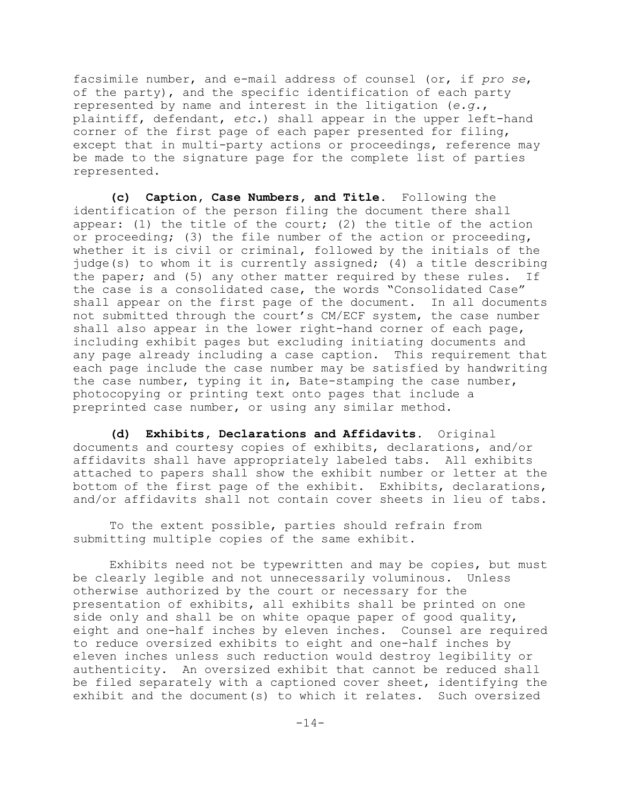facsimile number, and e-mail address of counsel (or, if *pro se*, of the party), and the specific identification of each party represented by name and interest in the litigation (*e.g.*, plaintiff, defendant, *etc.*) shall appear in the upper left-hand corner of the first page of each paper presented for filing, except that in multi-party actions or proceedings, reference may be made to the signature page for the complete list of parties represented.

**(c) Caption, Case Numbers, and Title.** Following the identification of the person filing the document there shall appear: (1) the title of the court; (2) the title of the action or proceeding; (3) the file number of the action or proceeding, whether it is civil or criminal, followed by the initials of the judge(s) to whom it is currently assigned; (4) a title describing the paper; and (5) any other matter required by these rules. If the case is a consolidated case, the words "Consolidated Case" shall appear on the first page of the document. In all documents not submitted through the court's CM/ECF system, the case number shall also appear in the lower right-hand corner of each page, including exhibit pages but excluding initiating documents and any page already including a case caption. This requirement that each page include the case number may be satisfied by handwriting the case number, typing it in, Bate-stamping the case number, photocopying or printing text onto pages that include a preprinted case number, or using any similar method.

**(d) Exhibits, Declarations and Affidavits.** Original documents and courtesy copies of exhibits, declarations, and/or affidavits shall have appropriately labeled tabs. All exhibits attached to papers shall show the exhibit number or letter at the bottom of the first page of the exhibit. Exhibits, declarations, and/or affidavits shall not contain cover sheets in lieu of tabs.

To the extent possible, parties should refrain from submitting multiple copies of the same exhibit.

Exhibits need not be typewritten and may be copies, but must be clearly legible and not unnecessarily voluminous. Unless otherwise authorized by the court or necessary for the presentation of exhibits, all exhibits shall be printed on one side only and shall be on white opaque paper of good quality, eight and one-half inches by eleven inches. Counsel are required to reduce oversized exhibits to eight and one-half inches by eleven inches unless such reduction would destroy legibility or authenticity. An oversized exhibit that cannot be reduced shall be filed separately with a captioned cover sheet, identifying the exhibit and the document(s) to which it relates. Such oversized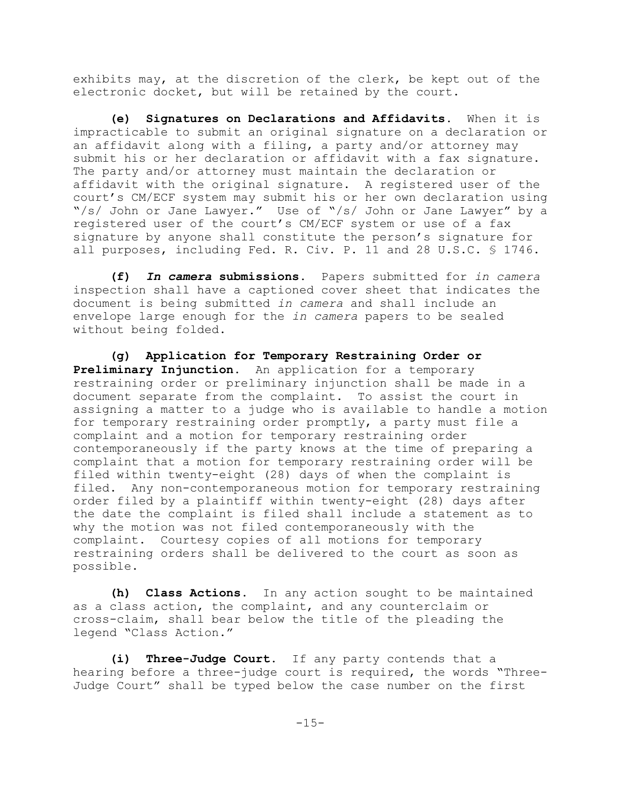exhibits may, at the discretion of the clerk, be kept out of the electronic docket, but will be retained by the court.

**(e) Signatures on Declarations and Affidavits.** When it is impracticable to submit an original signature on a declaration or an affidavit along with a filing, a party and/or attorney may submit his or her declaration or affidavit with a fax signature. The party and/or attorney must maintain the declaration or affidavit with the original signature. A registered user of the court's CM/ECF system may submit his or her own declaration using "/s/ John or Jane Lawyer." Use of "/s/ John or Jane Lawyer" by a registered user of the court's CM/ECF system or use of a fax signature by anyone shall constitute the person's signature for all purposes, including Fed. R. Civ. P. 11 and 28 U.S.C. § 1746.

**(f)** *In camera* **submissions.** Papers submitted for *in camera* inspection shall have a captioned cover sheet that indicates the document is being submitted *in camera* and shall include an envelope large enough for the *in camera* papers to be sealed without being folded.

**(g) Application for Temporary Restraining Order or Preliminary Injunction**. An application for a temporary restraining order or preliminary injunction shall be made in a document separate from the complaint. To assist the court in assigning a matter to a judge who is available to handle a motion for temporary restraining order promptly, a party must file a complaint and a motion for temporary restraining order contemporaneously if the party knows at the time of preparing a complaint that a motion for temporary restraining order will be filed within twenty-eight (28) days of when the complaint is filed. Any non-contemporaneous motion for temporary restraining order filed by a plaintiff within twenty-eight (28) days after the date the complaint is filed shall include a statement as to why the motion was not filed contemporaneously with the complaint. Courtesy copies of all motions for temporary restraining orders shall be delivered to the court as soon as possible.

**(h) Class Actions**. In any action sought to be maintained as a class action, the complaint, and any counterclaim or cross-claim, shall bear below the title of the pleading the legend "Class Action."

**(i) Three-Judge Court**. If any party contends that a hearing before a three-judge court is required, the words "Three-Judge Court" shall be typed below the case number on the first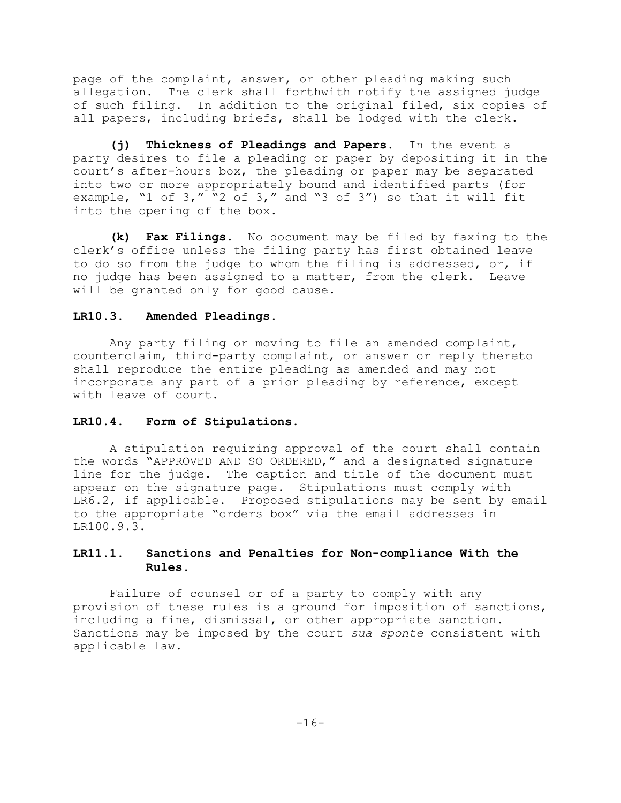page of the complaint, answer, or other pleading making such allegation. The clerk shall forthwith notify the assigned judge of such filing. In addition to the original filed, six copies of all papers, including briefs, shall be lodged with the clerk.

**(j) Thickness of Pleadings and Papers.** In the event a party desires to file a pleading or paper by depositing it in the court's after-hours box, the pleading or paper may be separated into two or more appropriately bound and identified parts (for example, "1 of 3," "2 of 3," and "3 of 3") so that it will fit into the opening of the box.

**(k) Fax Filings.** No document may be filed by faxing to the clerk's office unless the filing party has first obtained leave to do so from the judge to whom the filing is addressed, or, if no judge has been assigned to a matter, from the clerk. Leave will be granted only for good cause.

### **LR10.3. Amended Pleadings.**

Any party filing or moving to file an amended complaint, counterclaim, third-party complaint, or answer or reply thereto shall reproduce the entire pleading as amended and may not incorporate any part of a prior pleading by reference, except with leave of court.

### **LR10.4. Form of Stipulations.**

A stipulation requiring approval of the court shall contain the words "APPROVED AND SO ORDERED," and a designated signature line for the judge. The caption and title of the document must appear on the signature page. Stipulations must comply with LR6.2, if applicable. Proposed stipulations may be sent by email to the appropriate "orders box" via the email addresses in LR100.9.3.

# **LR11.1. Sanctions and Penalties for Non-compliance With the Rules.**

Failure of counsel or of a party to comply with any provision of these rules is a ground for imposition of sanctions, including a fine, dismissal, or other appropriate sanction. Sanctions may be imposed by the court *sua sponte* consistent with applicable law.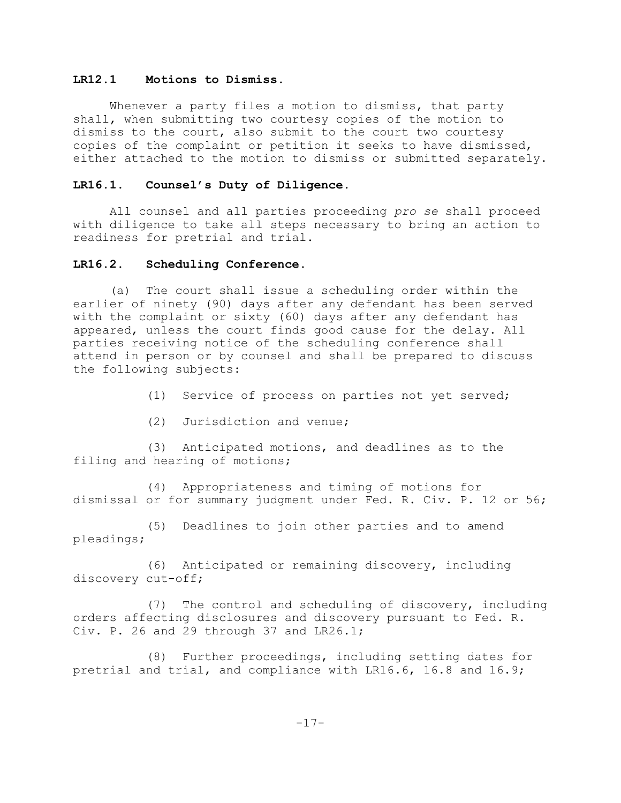### **LR12.1 Motions to Dismiss.**

Whenever a party files a motion to dismiss, that party shall, when submitting two courtesy copies of the motion to dismiss to the court, also submit to the court two courtesy copies of the complaint or petition it seeks to have dismissed, either attached to the motion to dismiss or submitted separately.

#### **LR16.1. Counsel's Duty of Diligence.**

All counsel and all parties proceeding *pro se* shall proceed with diligence to take all steps necessary to bring an action to readiness for pretrial and trial.

# **LR16.2. Scheduling Conference.**

(a) The court shall issue a scheduling order within the earlier of ninety (90) days after any defendant has been served with the complaint or sixty (60) days after any defendant has appeared, unless the court finds good cause for the delay. All parties receiving notice of the scheduling conference shall attend in person or by counsel and shall be prepared to discuss the following subjects:

- (1) Service of process on parties not yet served;
- (2) Jurisdiction and venue;

(3) Anticipated motions, and deadlines as to the filing and hearing of motions;

(4) Appropriateness and timing of motions for dismissal or for summary judgment under Fed. R. Civ. P. 12 or 56;

(5) Deadlines to join other parties and to amend pleadings;

(6) Anticipated or remaining discovery, including discovery cut-off;

(7) The control and scheduling of discovery, including orders affecting disclosures and discovery pursuant to Fed. R. Civ. P. 26 and 29 through 37 and LR26.1;

(8) Further proceedings, including setting dates for pretrial and trial, and compliance with LR16.6, 16.8 and 16.9;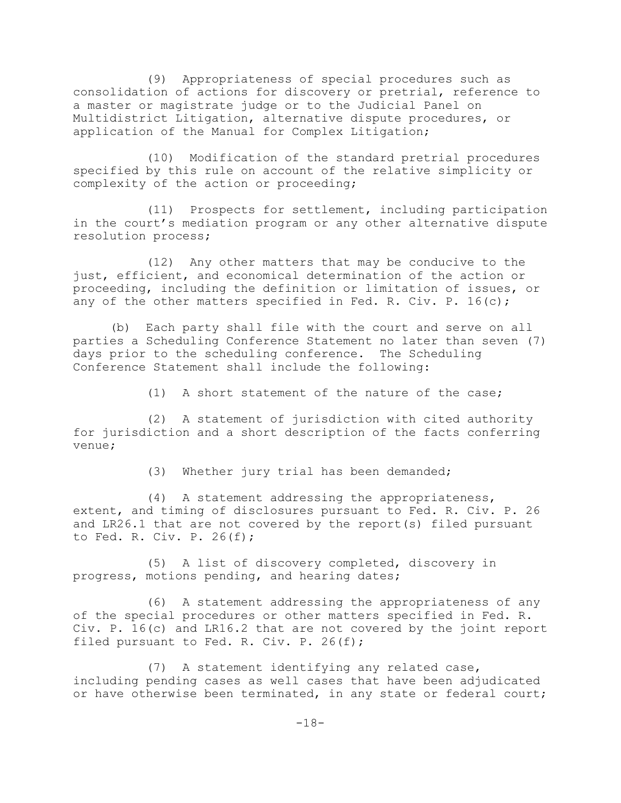(9) Appropriateness of special procedures such as consolidation of actions for discovery or pretrial, reference to a master or magistrate judge or to the Judicial Panel on Multidistrict Litigation, alternative dispute procedures, or application of the Manual for Complex Litigation;

(10) Modification of the standard pretrial procedures specified by this rule on account of the relative simplicity or complexity of the action or proceeding;

(11) Prospects for settlement, including participation in the court's mediation program or any other alternative dispute resolution process;

(12) Any other matters that may be conducive to the just, efficient, and economical determination of the action or proceeding, including the definition or limitation of issues, or any of the other matters specified in Fed. R. Civ. P. 16(c);

(b) Each party shall file with the court and serve on all parties a Scheduling Conference Statement no later than seven (7) days prior to the scheduling conference. The Scheduling Conference Statement shall include the following:

(1) A short statement of the nature of the case;

(2) A statement of jurisdiction with cited authority for jurisdiction and a short description of the facts conferring venue;

(3) Whether jury trial has been demanded;

(4) A statement addressing the appropriateness, extent, and timing of disclosures pursuant to Fed. R. Civ. P. 26 and LR26.1 that are not covered by the report(s) filed pursuant to Fed. R. Civ. P. 26(f);

(5) A list of discovery completed, discovery in progress, motions pending, and hearing dates;

(6) A statement addressing the appropriateness of any of the special procedures or other matters specified in Fed. R. Civ. P. 16(c) and LR16.2 that are not covered by the joint report filed pursuant to Fed. R. Civ. P. 26(f);

(7) A statement identifying any related case, including pending cases as well cases that have been adjudicated or have otherwise been terminated, in any state or federal court;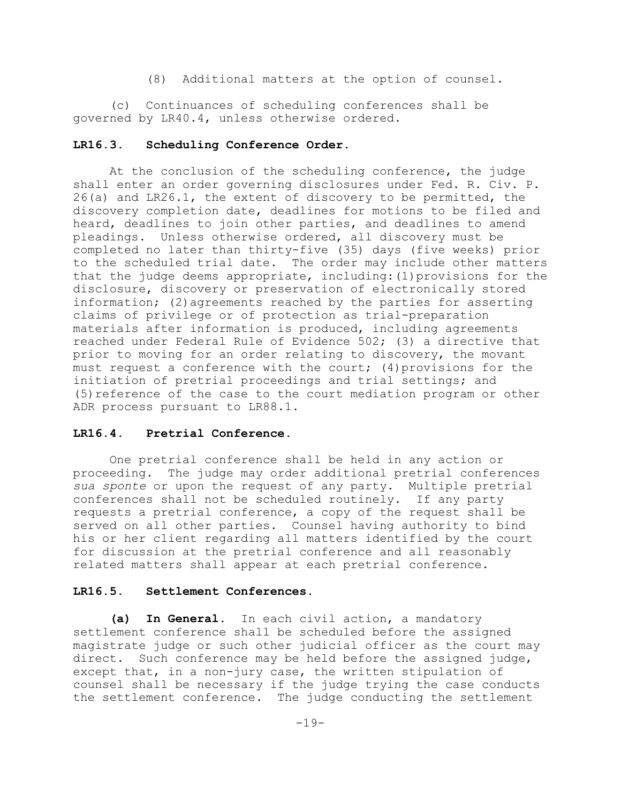(8) Additional matters at the option of counsel.

(c) Continuances of scheduling conferences shall be governed by LR40.4, unless otherwise ordered.

# **LR16.3. Scheduling Conference Order.**

At the conclusion of the scheduling conference, the judge shall enter an order governing disclosures under Fed. R. Civ. P. 26(a) and LR26.1, the extent of discovery to be permitted, the discovery completion date, deadlines for motions to be filed and heard, deadlines to join other parties, and deadlines to amend pleadings. Unless otherwise ordered, all discovery must be completed no later than thirty-five (35) days (five weeks) prior to the scheduled trial date. The order may include other matters that the judge deems appropriate, including:(1)provisions for the disclosure, discovery or preservation of electronically stored information; (2)agreements reached by the parties for asserting claims of privilege or of protection as trial-preparation materials after information is produced, including agreements reached under Federal Rule of Evidence 502; (3) a directive that prior to moving for an order relating to discovery, the movant must request a conference with the court; (4)provisions for the initiation of pretrial proceedings and trial settings; and (5)reference of the case to the court mediation program or other ADR process pursuant to LR88.1.

### **LR16.4. Pretrial Conference.**

One pretrial conference shall be held in any action or proceeding. The judge may order additional pretrial conferences *sua sponte* or upon the request of any party. Multiple pretrial conferences shall not be scheduled routinely. If any party requests a pretrial conference, a copy of the request shall be served on all other parties. Counsel having authority to bind his or her client regarding all matters identified by the court for discussion at the pretrial conference and all reasonably related matters shall appear at each pretrial conference.

### **LR16.5. Settlement Conferences.**

**(a) In General.** In each civil action, a mandatory settlement conference shall be scheduled before the assigned magistrate judge or such other judicial officer as the court may direct. Such conference may be held before the assigned judge, except that, in a non-jury case, the written stipulation of counsel shall be necessary if the judge trying the case conducts the settlement conference. The judge conducting the settlement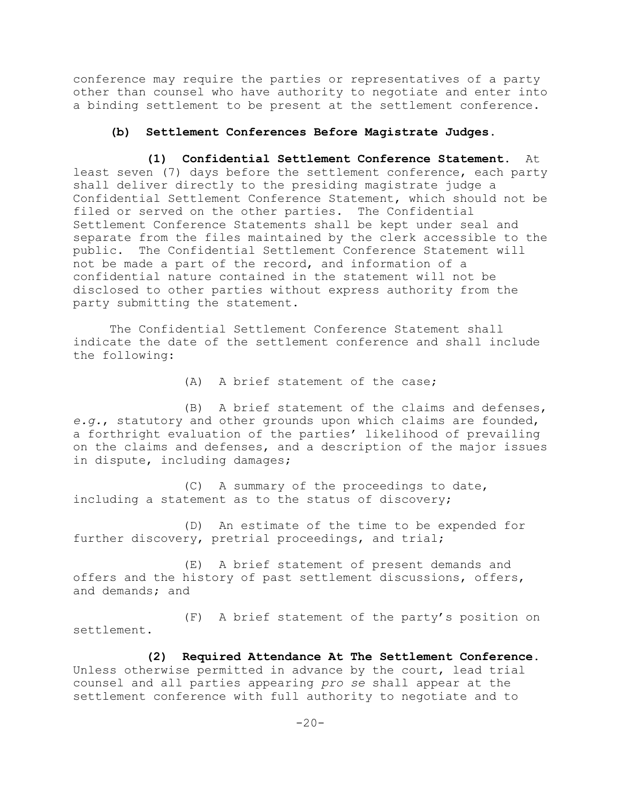conference may require the parties or representatives of a party other than counsel who have authority to negotiate and enter into a binding settlement to be present at the settlement conference.

# **(b) Settlement Conferences Before Magistrate Judges.**

**(1) Confidential Settlement Conference Statement.** At least seven (7) days before the settlement conference, each party shall deliver directly to the presiding magistrate judge a Confidential Settlement Conference Statement, which should not be filed or served on the other parties. The Confidential Settlement Conference Statements shall be kept under seal and separate from the files maintained by the clerk accessible to the public. The Confidential Settlement Conference Statement will not be made a part of the record, and information of a confidential nature contained in the statement will not be disclosed to other parties without express authority from the party submitting the statement.

The Confidential Settlement Conference Statement shall indicate the date of the settlement conference and shall include the following:

(A) A brief statement of the case;

(B) A brief statement of the claims and defenses, *e.g.*, statutory and other grounds upon which claims are founded, a forthright evaluation of the parties' likelihood of prevailing on the claims and defenses, and a description of the major issues in dispute, including damages;

(C) A summary of the proceedings to date, including a statement as to the status of discovery;

(D) An estimate of the time to be expended for further discovery, pretrial proceedings, and trial;

(E) A brief statement of present demands and offers and the history of past settlement discussions, offers, and demands; and

(F) A brief statement of the party's position on settlement.

**(2) Required Attendance At The Settlement Conference.** Unless otherwise permitted in advance by the court, lead trial counsel and all parties appearing *pro se* shall appear at the settlement conference with full authority to negotiate and to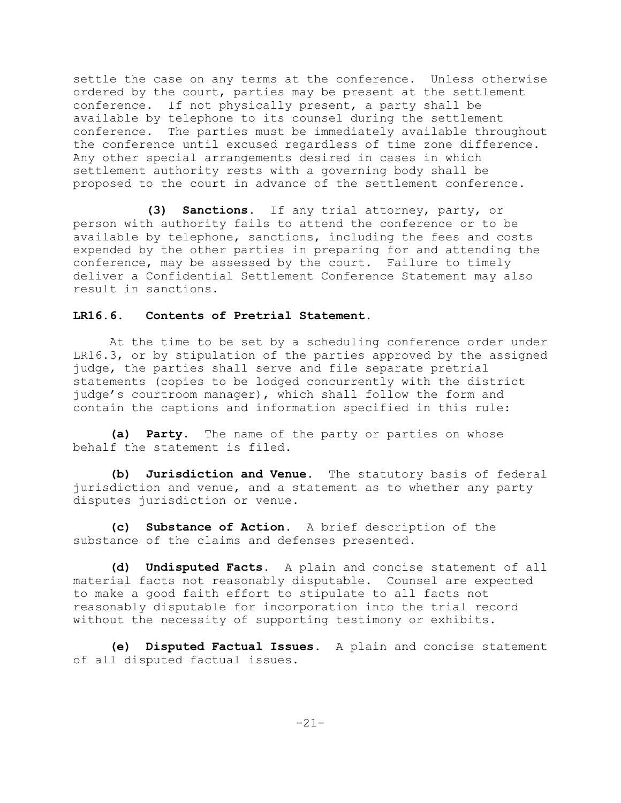settle the case on any terms at the conference. Unless otherwise ordered by the court, parties may be present at the settlement conference. If not physically present, a party shall be available by telephone to its counsel during the settlement conference. The parties must be immediately available throughout the conference until excused regardless of time zone difference. Any other special arrangements desired in cases in which settlement authority rests with a governing body shall be proposed to the court in advance of the settlement conference.

**(3) Sanctions.** If any trial attorney, party, or person with authority fails to attend the conference or to be available by telephone, sanctions, including the fees and costs expended by the other parties in preparing for and attending the conference, may be assessed by the court. Failure to timely deliver a Confidential Settlement Conference Statement may also result in sanctions.

### **LR16.6. Contents of Pretrial Statement.**

At the time to be set by a scheduling conference order under LR16.3, or by stipulation of the parties approved by the assigned judge, the parties shall serve and file separate pretrial statements (copies to be lodged concurrently with the district judge's courtroom manager), which shall follow the form and contain the captions and information specified in this rule:

**(a) Party.** The name of the party or parties on whose behalf the statement is filed.

**(b) Jurisdiction and Venue.** The statutory basis of federal jurisdiction and venue, and a statement as to whether any party disputes jurisdiction or venue.

**(c) Substance of Action.** A brief description of the substance of the claims and defenses presented.

**(d) Undisputed Facts.** A plain and concise statement of all material facts not reasonably disputable. Counsel are expected to make a good faith effort to stipulate to all facts not reasonably disputable for incorporation into the trial record without the necessity of supporting testimony or exhibits.

**(e) Disputed Factual Issues.** A plain and concise statement of all disputed factual issues.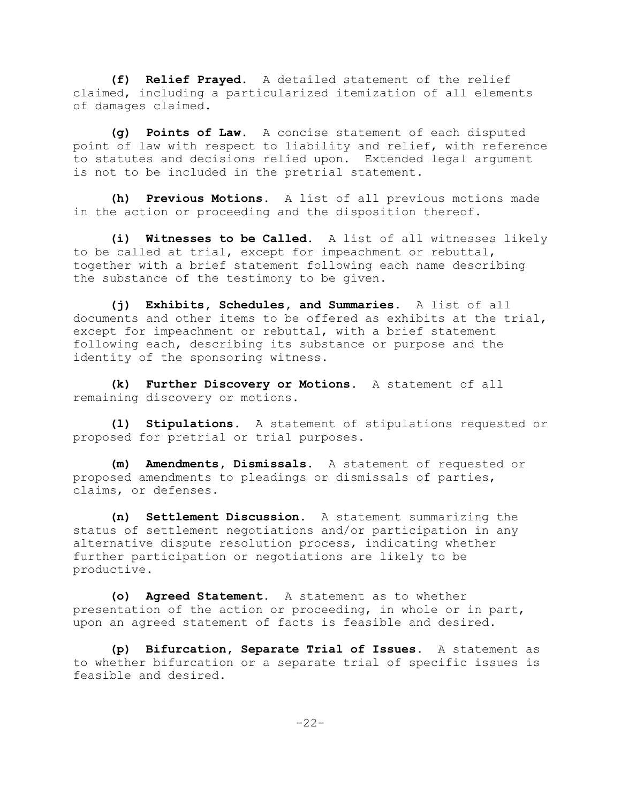**(f) Relief Prayed.** A detailed statement of the relief claimed, including a particularized itemization of all elements of damages claimed.

**(g) Points of Law.** A concise statement of each disputed point of law with respect to liability and relief, with reference to statutes and decisions relied upon. Extended legal argument is not to be included in the pretrial statement.

**(h) Previous Motions.** A list of all previous motions made in the action or proceeding and the disposition thereof.

**(i) Witnesses to be Called.** A list of all witnesses likely to be called at trial, except for impeachment or rebuttal, together with a brief statement following each name describing the substance of the testimony to be given.

**(j) Exhibits, Schedules, and Summaries.** A list of all documents and other items to be offered as exhibits at the trial, except for impeachment or rebuttal, with a brief statement following each, describing its substance or purpose and the identity of the sponsoring witness.

**(k) Further Discovery or Motions.** A statement of all remaining discovery or motions.

**(l) Stipulations.** A statement of stipulations requested or proposed for pretrial or trial purposes.

**(m) Amendments, Dismissals.** A statement of requested or proposed amendments to pleadings or dismissals of parties, claims, or defenses.

**(n) Settlement Discussion.** A statement summarizing the status of settlement negotiations and/or participation in any alternative dispute resolution process, indicating whether further participation or negotiations are likely to be productive.

**(o) Agreed Statement.** A statement as to whether presentation of the action or proceeding, in whole or in part, upon an agreed statement of facts is feasible and desired.

**(p) Bifurcation, Separate Trial of Issues.** A statement as to whether bifurcation or a separate trial of specific issues is feasible and desired.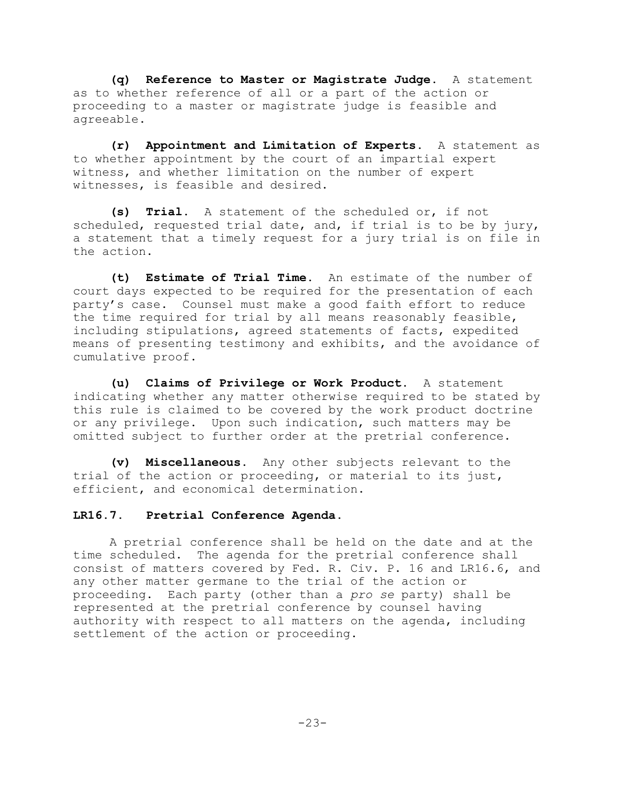**(q) Reference to Master or Magistrate Judge.** A statement as to whether reference of all or a part of the action or proceeding to a master or magistrate judge is feasible and agreeable.

**(r) Appointment and Limitation of Experts.** A statement as to whether appointment by the court of an impartial expert witness, and whether limitation on the number of expert witnesses, is feasible and desired.

**(s) Trial.** A statement of the scheduled or, if not scheduled, requested trial date, and, if trial is to be by jury, a statement that a timely request for a jury trial is on file in the action.

**(t) Estimate of Trial Time.** An estimate of the number of court days expected to be required for the presentation of each party's case. Counsel must make a good faith effort to reduce the time required for trial by all means reasonably feasible, including stipulations, agreed statements of facts, expedited means of presenting testimony and exhibits, and the avoidance of cumulative proof.

**(u) Claims of Privilege or Work Product.** A statement indicating whether any matter otherwise required to be stated by this rule is claimed to be covered by the work product doctrine or any privilege. Upon such indication, such matters may be omitted subject to further order at the pretrial conference.

**(v) Miscellaneous.** Any other subjects relevant to the trial of the action or proceeding, or material to its just, efficient, and economical determination.

# **LR16.7. Pretrial Conference Agenda.**

A pretrial conference shall be held on the date and at the time scheduled. The agenda for the pretrial conference shall consist of matters covered by Fed. R. Civ. P. 16 and LR16.6, and any other matter germane to the trial of the action or proceeding. Each party (other than a *pro se* party) shall be represented at the pretrial conference by counsel having authority with respect to all matters on the agenda, including settlement of the action or proceeding.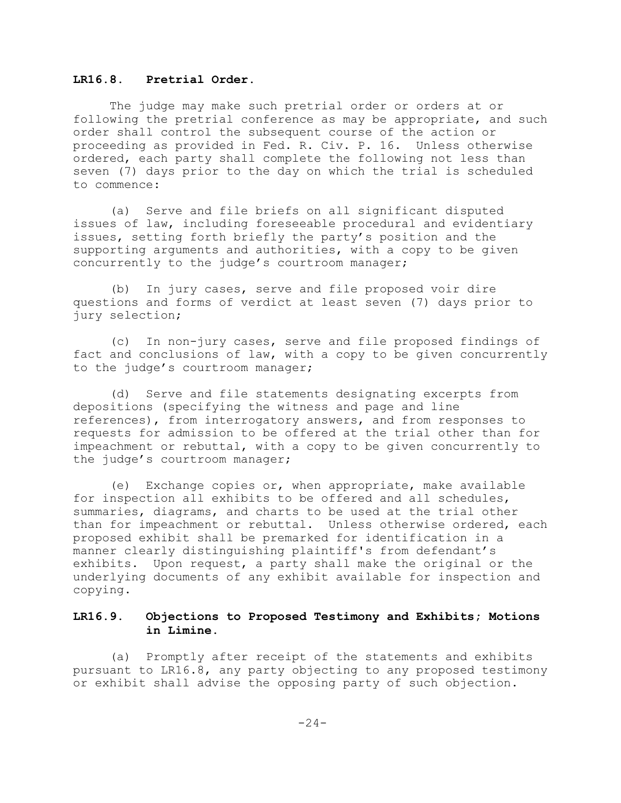### **LR16.8. Pretrial Order.**

The judge may make such pretrial order or orders at or following the pretrial conference as may be appropriate, and such order shall control the subsequent course of the action or proceeding as provided in Fed. R. Civ. P. 16. Unless otherwise ordered, each party shall complete the following not less than seven (7) days prior to the day on which the trial is scheduled to commence:

(a) Serve and file briefs on all significant disputed issues of law, including foreseeable procedural and evidentiary issues, setting forth briefly the party's position and the supporting arguments and authorities, with a copy to be given concurrently to the judge's courtroom manager;

(b) In jury cases, serve and file proposed voir dire questions and forms of verdict at least seven (7) days prior to jury selection;

(c) In non-jury cases, serve and file proposed findings of fact and conclusions of law, with a copy to be given concurrently to the judge's courtroom manager;

(d) Serve and file statements designating excerpts from depositions (specifying the witness and page and line references), from interrogatory answers, and from responses to requests for admission to be offered at the trial other than for impeachment or rebuttal, with a copy to be given concurrently to the judge's courtroom manager;

(e) Exchange copies or, when appropriate, make available for inspection all exhibits to be offered and all schedules, summaries, diagrams, and charts to be used at the trial other than for impeachment or rebuttal. Unless otherwise ordered, each proposed exhibit shall be premarked for identification in a manner clearly distinguishing plaintiff's from defendant's exhibits. Upon request, a party shall make the original or the underlying documents of any exhibit available for inspection and copying.

# **LR16.9. Objections to Proposed Testimony and Exhibits; Motions in Limine.**

(a) Promptly after receipt of the statements and exhibits pursuant to LR16.8, any party objecting to any proposed testimony or exhibit shall advise the opposing party of such objection.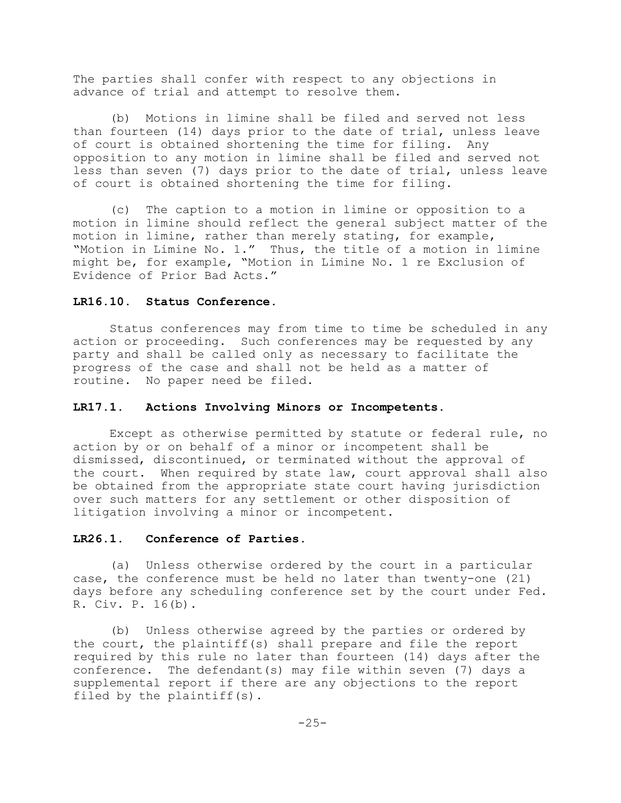The parties shall confer with respect to any objections in advance of trial and attempt to resolve them.

(b) Motions in limine shall be filed and served not less than fourteen (14) days prior to the date of trial, unless leave of court is obtained shortening the time for filing. Any opposition to any motion in limine shall be filed and served not less than seven (7) days prior to the date of trial, unless leave of court is obtained shortening the time for filing.

(c) The caption to a motion in limine or opposition to a motion in limine should reflect the general subject matter of the motion in limine, rather than merely stating, for example, "Motion in Limine No. 1." Thus, the title of a motion in limine might be, for example, "Motion in Limine No. 1 re Exclusion of Evidence of Prior Bad Acts."

#### **LR16.10. Status Conference.**

Status conferences may from time to time be scheduled in any action or proceeding. Such conferences may be requested by any party and shall be called only as necessary to facilitate the progress of the case and shall not be held as a matter of routine. No paper need be filed.

### **LR17.1. Actions Involving Minors or Incompetents.**

Except as otherwise permitted by statute or federal rule, no action by or on behalf of a minor or incompetent shall be dismissed, discontinued, or terminated without the approval of the court. When required by state law, court approval shall also be obtained from the appropriate state court having jurisdiction over such matters for any settlement or other disposition of litigation involving a minor or incompetent.

#### **LR26.1. Conference of Parties.**

(a) Unless otherwise ordered by the court in a particular case, the conference must be held no later than twenty-one (21) days before any scheduling conference set by the court under Fed. R. Civ. P. 16(b).

(b) Unless otherwise agreed by the parties or ordered by the court, the plaintiff(s) shall prepare and file the report required by this rule no later than fourteen (14) days after the conference. The defendant(s) may file within seven (7) days a supplemental report if there are any objections to the report filed by the plaintiff(s).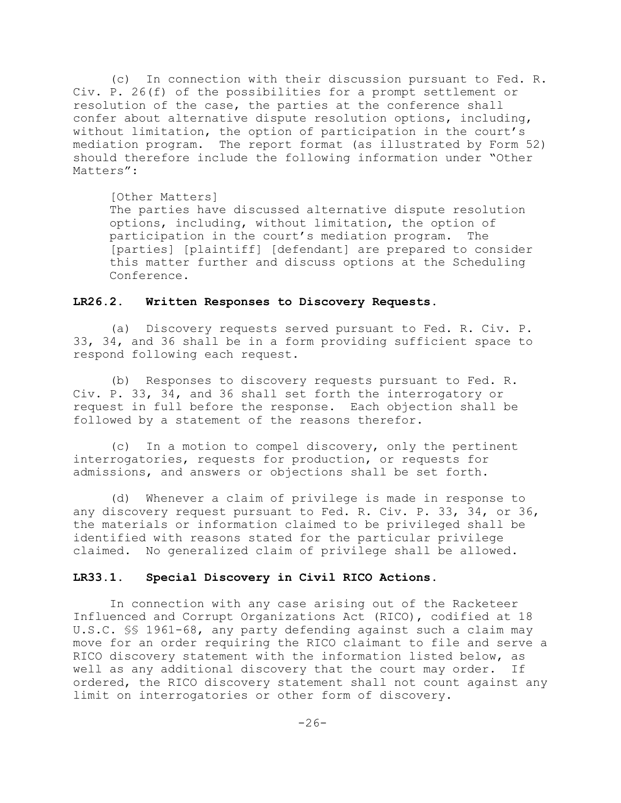(c) In connection with their discussion pursuant to Fed. R. Civ. P. 26(f) of the possibilities for a prompt settlement or resolution of the case, the parties at the conference shall confer about alternative dispute resolution options, including, without limitation, the option of participation in the court's mediation program. The report format (as illustrated by Form 52) should therefore include the following information under "Other Matters":

#### [Other Matters]

The parties have discussed alternative dispute resolution options, including, without limitation, the option of participation in the court's mediation program. The [parties] [plaintiff] [defendant] are prepared to consider this matter further and discuss options at the Scheduling Conference.

### **LR26.2. Written Responses to Discovery Requests.**

(a) Discovery requests served pursuant to Fed. R. Civ. P. 33, 34, and 36 shall be in a form providing sufficient space to respond following each request.

(b) Responses to discovery requests pursuant to Fed. R. Civ. P. 33, 34, and 36 shall set forth the interrogatory or request in full before the response. Each objection shall be followed by a statement of the reasons therefor.

(c) In a motion to compel discovery, only the pertinent interrogatories, requests for production, or requests for admissions, and answers or objections shall be set forth.

(d) Whenever a claim of privilege is made in response to any discovery request pursuant to Fed. R. Civ. P. 33, 34, or 36, the materials or information claimed to be privileged shall be identified with reasons stated for the particular privilege claimed. No generalized claim of privilege shall be allowed.

### **LR33.1. Special Discovery in Civil RICO Actions.**

In connection with any case arising out of the Racketeer Influenced and Corrupt Organizations Act (RICO), codified at 18 U.S.C. §§ 1961-68, any party defending against such a claim may move for an order requiring the RICO claimant to file and serve a RICO discovery statement with the information listed below, as well as any additional discovery that the court may order. If ordered, the RICO discovery statement shall not count against any limit on interrogatories or other form of discovery.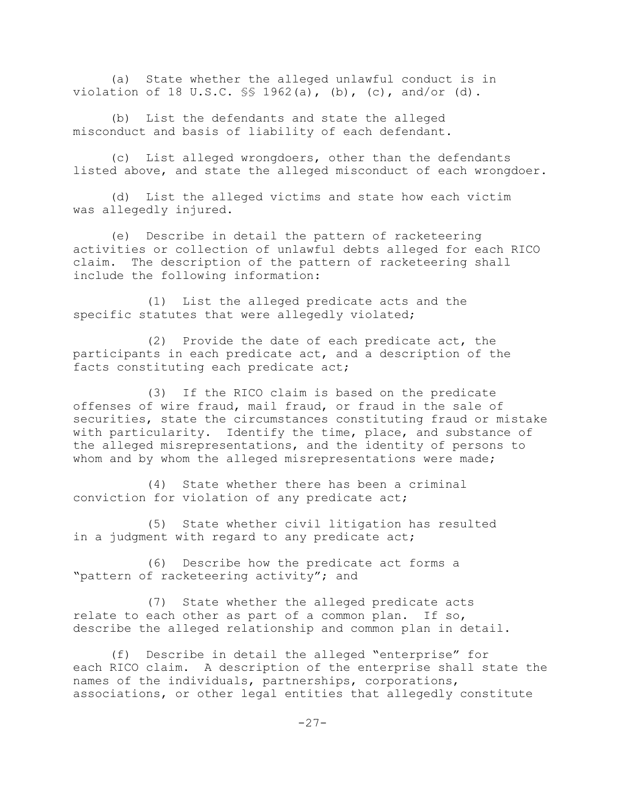(a) State whether the alleged unlawful conduct is in violation of 18 U.S.C.  $\frac{1}{5}$  1962(a), (b), (c), and/or (d).

(b) List the defendants and state the alleged misconduct and basis of liability of each defendant.

(c) List alleged wrongdoers, other than the defendants listed above, and state the alleged misconduct of each wrongdoer.

(d) List the alleged victims and state how each victim was allegedly injured.

(e) Describe in detail the pattern of racketeering activities or collection of unlawful debts alleged for each RICO claim. The description of the pattern of racketeering shall include the following information:

(1) List the alleged predicate acts and the specific statutes that were allegedly violated;

(2) Provide the date of each predicate act, the participants in each predicate act, and a description of the facts constituting each predicate act;

(3) If the RICO claim is based on the predicate offenses of wire fraud, mail fraud, or fraud in the sale of securities, state the circumstances constituting fraud or mistake with particularity. Identify the time, place, and substance of the alleged misrepresentations, and the identity of persons to whom and by whom the alleged misrepresentations were made;

(4) State whether there has been a criminal conviction for violation of any predicate act;

(5) State whether civil litigation has resulted in a judgment with regard to any predicate act;

(6) Describe how the predicate act forms a "pattern of racketeering activity"; and

(7) State whether the alleged predicate acts relate to each other as part of a common plan. If so, describe the alleged relationship and common plan in detail.

(f) Describe in detail the alleged "enterprise" for each RICO claim. A description of the enterprise shall state the names of the individuals, partnerships, corporations, associations, or other legal entities that allegedly constitute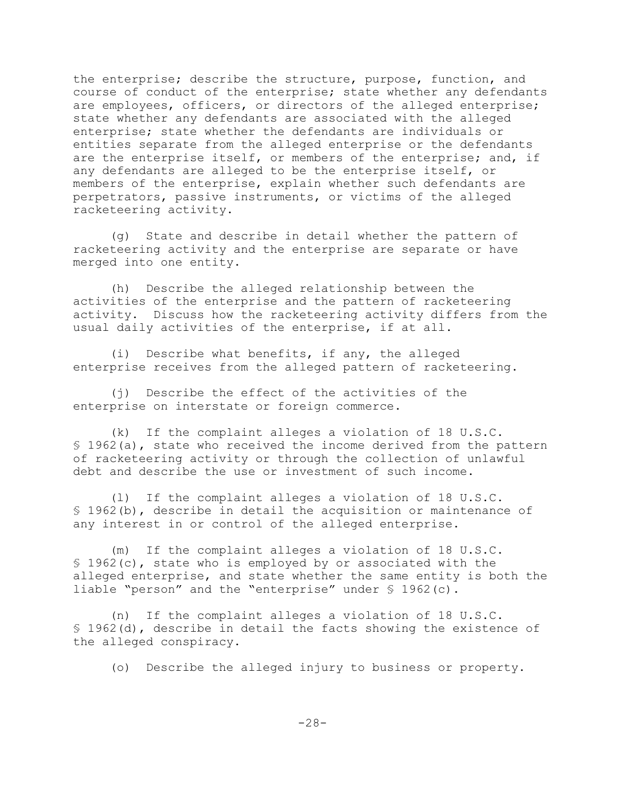the enterprise; describe the structure, purpose, function, and course of conduct of the enterprise; state whether any defendants are employees, officers, or directors of the alleged enterprise; state whether any defendants are associated with the alleged enterprise; state whether the defendants are individuals or entities separate from the alleged enterprise or the defendants are the enterprise itself, or members of the enterprise; and, if any defendants are alleged to be the enterprise itself, or members of the enterprise, explain whether such defendants are perpetrators, passive instruments, or victims of the alleged racketeering activity.

(g) State and describe in detail whether the pattern of racketeering activity and the enterprise are separate or have merged into one entity.

(h) Describe the alleged relationship between the activities of the enterprise and the pattern of racketeering activity. Discuss how the racketeering activity differs from the usual daily activities of the enterprise, if at all.

(i) Describe what benefits, if any, the alleged enterprise receives from the alleged pattern of racketeering.

(j) Describe the effect of the activities of the enterprise on interstate or foreign commerce.

(k) If the complaint alleges a violation of 18 U.S.C. § 1962(a), state who received the income derived from the pattern of racketeering activity or through the collection of unlawful debt and describe the use or investment of such income.

(l) If the complaint alleges a violation of 18 U.S.C. § 1962(b), describe in detail the acquisition or maintenance of any interest in or control of the alleged enterprise.

(m) If the complaint alleges a violation of 18 U.S.C. § 1962(c), state who is employed by or associated with the alleged enterprise, and state whether the same entity is both the liable "person" and the "enterprise" under § 1962(c).

(n) If the complaint alleges a violation of 18 U.S.C. § 1962(d), describe in detail the facts showing the existence of the alleged conspiracy.

(o) Describe the alleged injury to business or property.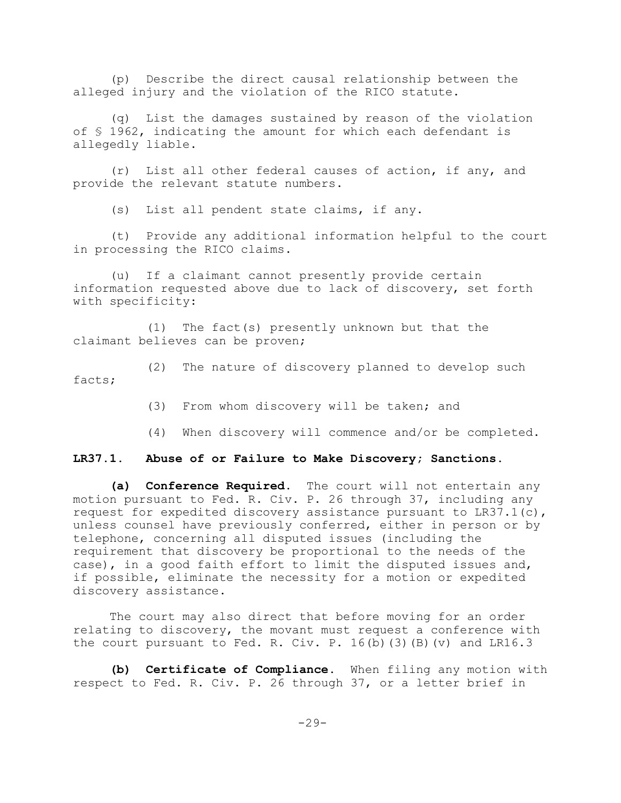(p) Describe the direct causal relationship between the alleged injury and the violation of the RICO statute.

(q) List the damages sustained by reason of the violation of § 1962, indicating the amount for which each defendant is allegedly liable.

(r) List all other federal causes of action, if any, and provide the relevant statute numbers.

(s) List all pendent state claims, if any.

(t) Provide any additional information helpful to the court in processing the RICO claims.

(u) If a claimant cannot presently provide certain information requested above due to lack of discovery, set forth with specificity:

(1) The fact(s) presently unknown but that the claimant believes can be proven;

(2) The nature of discovery planned to develop such facts;

(3) From whom discovery will be taken; and

(4) When discovery will commence and/or be completed.

### **LR37.1. Abuse of or Failure to Make Discovery; Sanctions.**

**(a) Conference Required**. The court will not entertain any motion pursuant to Fed. R. Civ. P. 26 through 37, including any request for expedited discovery assistance pursuant to  $LR37.1(c)$ , unless counsel have previously conferred, either in person or by telephone, concerning all disputed issues (including the requirement that discovery be proportional to the needs of the case), in a good faith effort to limit the disputed issues and, if possible, eliminate the necessity for a motion or expedited discovery assistance.

The court may also direct that before moving for an order relating to discovery, the movant must request a conference with the court pursuant to Fed. R. Civ. P.  $16(b)$  (3)(B)(v) and LR16.3

**(b) Certificate of Compliance.** When filing any motion with respect to Fed. R. Civ. P. 26 through 37, or a letter brief in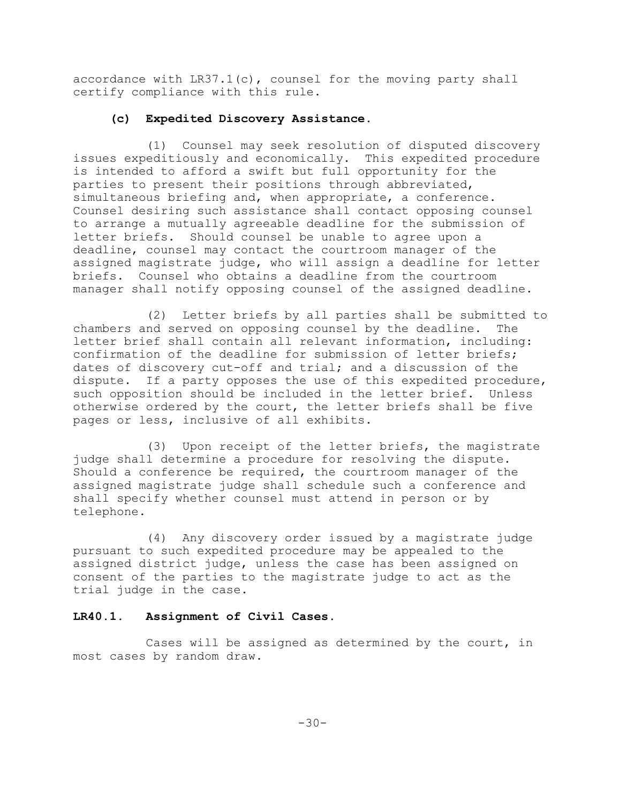accordance with LR37.1(c), counsel for the moving party shall certify compliance with this rule.

## **(c) Expedited Discovery Assistance.**

(1) Counsel may seek resolution of disputed discovery issues expeditiously and economically. This expedited procedure is intended to afford a swift but full opportunity for the parties to present their positions through abbreviated, simultaneous briefing and, when appropriate, a conference. Counsel desiring such assistance shall contact opposing counsel to arrange a mutually agreeable deadline for the submission of letter briefs. Should counsel be unable to agree upon a deadline, counsel may contact the courtroom manager of the assigned magistrate judge, who will assign a deadline for letter briefs. Counsel who obtains a deadline from the courtroom manager shall notify opposing counsel of the assigned deadline.

(2) Letter briefs by all parties shall be submitted to chambers and served on opposing counsel by the deadline. The letter brief shall contain all relevant information, including: confirmation of the deadline for submission of letter briefs; dates of discovery cut-off and trial; and a discussion of the dispute. If a party opposes the use of this expedited procedure, such opposition should be included in the letter brief. Unless otherwise ordered by the court, the letter briefs shall be five pages or less, inclusive of all exhibits.

(3) Upon receipt of the letter briefs, the magistrate judge shall determine a procedure for resolving the dispute. Should a conference be required, the courtroom manager of the assigned magistrate judge shall schedule such a conference and shall specify whether counsel must attend in person or by telephone.

(4) Any discovery order issued by a magistrate judge pursuant to such expedited procedure may be appealed to the assigned district judge, unless the case has been assigned on consent of the parties to the magistrate judge to act as the trial judge in the case.

# **LR40.1. Assignment of Civil Cases.**

Cases will be assigned as determined by the court, in most cases by random draw.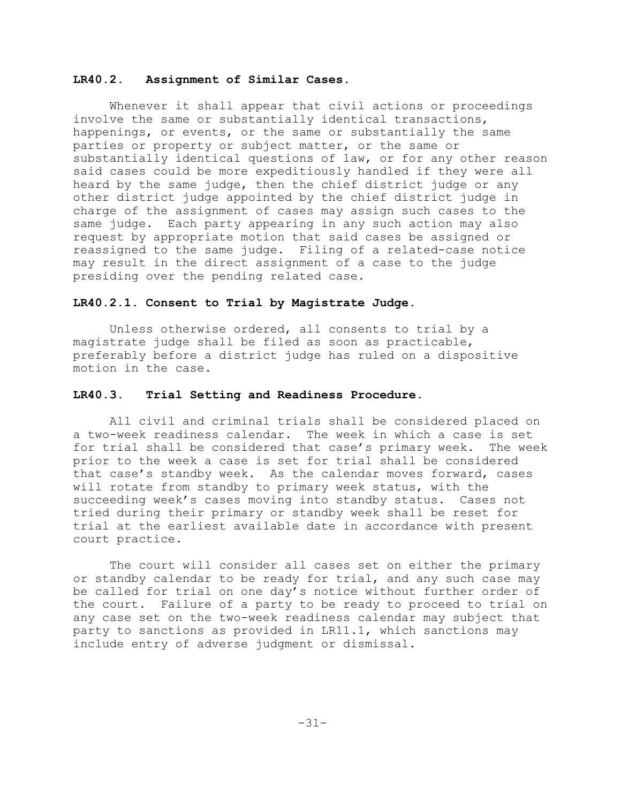#### **LR40.2. Assignment of Similar Cases.**

Whenever it shall appear that civil actions or proceedings involve the same or substantially identical transactions, happenings, or events, or the same or substantially the same parties or property or subject matter, or the same or substantially identical questions of law, or for any other reason said cases could be more expeditiously handled if they were all heard by the same judge, then the chief district judge or any other district judge appointed by the chief district judge in charge of the assignment of cases may assign such cases to the same judge. Each party appearing in any such action may also request by appropriate motion that said cases be assigned or reassigned to the same judge. Filing of a related-case notice may result in the direct assignment of a case to the judge presiding over the pending related case.

#### **LR40.2.1. Consent to Trial by Magistrate Judge.**

Unless otherwise ordered, all consents to trial by a magistrate judge shall be filed as soon as practicable, preferably before a district judge has ruled on a dispositive motion in the case.

#### **LR40.3. Trial Setting and Readiness Procedure.**

All civil and criminal trials shall be considered placed on a two-week readiness calendar. The week in which a case is set for trial shall be considered that case's primary week. The week prior to the week a case is set for trial shall be considered that case's standby week. As the calendar moves forward, cases will rotate from standby to primary week status, with the succeeding week's cases moving into standby status. Cases not tried during their primary or standby week shall be reset for trial at the earliest available date in accordance with present court practice.

The court will consider all cases set on either the primary or standby calendar to be ready for trial, and any such case may be called for trial on one day's notice without further order of the court. Failure of a party to be ready to proceed to trial on any case set on the two-week readiness calendar may subject that party to sanctions as provided in LR11.1, which sanctions may include entry of adverse judgment or dismissal.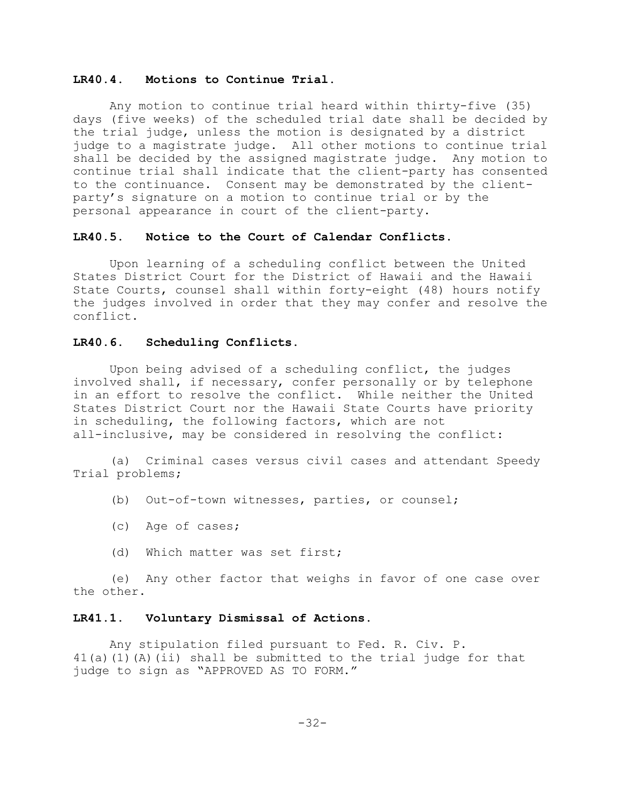### **LR40.4. Motions to Continue Trial.**

Any motion to continue trial heard within thirty-five (35) days (five weeks) of the scheduled trial date shall be decided by the trial judge, unless the motion is designated by a district judge to a magistrate judge. All other motions to continue trial shall be decided by the assigned magistrate judge. Any motion to continue trial shall indicate that the client-party has consented to the continuance. Consent may be demonstrated by the clientparty's signature on a motion to continue trial or by the personal appearance in court of the client-party.

#### **LR40.5. Notice to the Court of Calendar Conflicts.**

Upon learning of a scheduling conflict between the United States District Court for the District of Hawaii and the Hawaii State Courts, counsel shall within forty-eight (48) hours notify the judges involved in order that they may confer and resolve the conflict.

## **LR40.6. Scheduling Conflicts.**

Upon being advised of a scheduling conflict, the judges involved shall, if necessary, confer personally or by telephone in an effort to resolve the conflict. While neither the United States District Court nor the Hawaii State Courts have priority in scheduling, the following factors, which are not all-inclusive, may be considered in resolving the conflict:

(a) Criminal cases versus civil cases and attendant Speedy Trial problems;

- (b) Out-of-town witnesses, parties, or counsel;
- (c) Age of cases;
- (d) Which matter was set first;

(e) Any other factor that weighs in favor of one case over the other.

#### **LR41.1. Voluntary Dismissal of Actions.**

Any stipulation filed pursuant to Fed. R. Civ. P. 41(a)(1)(A)(ii) shall be submitted to the trial judge for that judge to sign as "APPROVED AS TO FORM."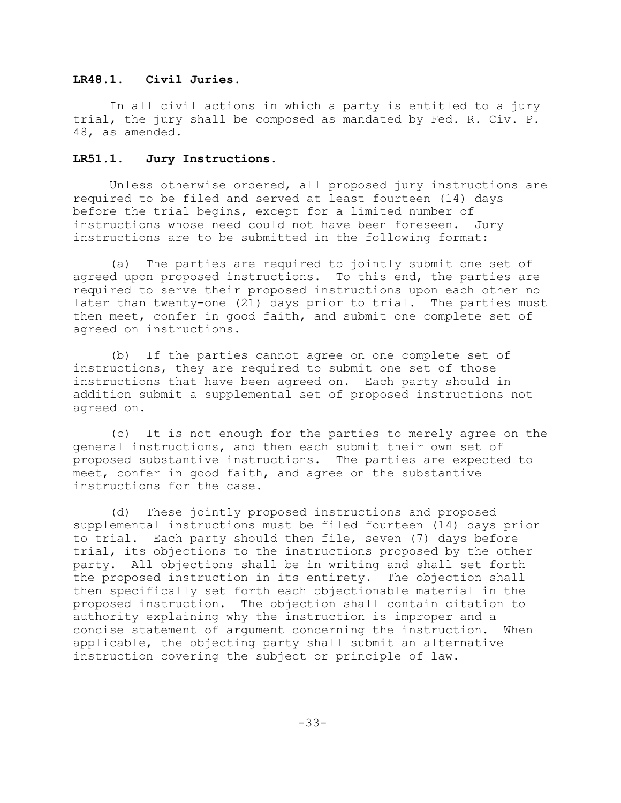## **LR48.1. Civil Juries.**

In all civil actions in which a party is entitled to a jury trial, the jury shall be composed as mandated by Fed. R. Civ. P. 48, as amended.

# **LR51.1. Jury Instructions.**

Unless otherwise ordered, all proposed jury instructions are required to be filed and served at least fourteen (14) days before the trial begins, except for a limited number of instructions whose need could not have been foreseen. Jury instructions are to be submitted in the following format:

(a) The parties are required to jointly submit one set of agreed upon proposed instructions. To this end, the parties are required to serve their proposed instructions upon each other no later than twenty-one (21) days prior to trial. The parties must then meet, confer in good faith, and submit one complete set of agreed on instructions.

(b) If the parties cannot agree on one complete set of instructions, they are required to submit one set of those instructions that have been agreed on. Each party should in addition submit a supplemental set of proposed instructions not agreed on.

(c) It is not enough for the parties to merely agree on the general instructions, and then each submit their own set of proposed substantive instructions. The parties are expected to meet, confer in good faith, and agree on the substantive instructions for the case.

(d) These jointly proposed instructions and proposed supplemental instructions must be filed fourteen (14) days prior to trial. Each party should then file, seven (7) days before trial, its objections to the instructions proposed by the other party. All objections shall be in writing and shall set forth the proposed instruction in its entirety. The objection shall then specifically set forth each objectionable material in the proposed instruction. The objection shall contain citation to authority explaining why the instruction is improper and a concise statement of argument concerning the instruction. When applicable, the objecting party shall submit an alternative instruction covering the subject or principle of law.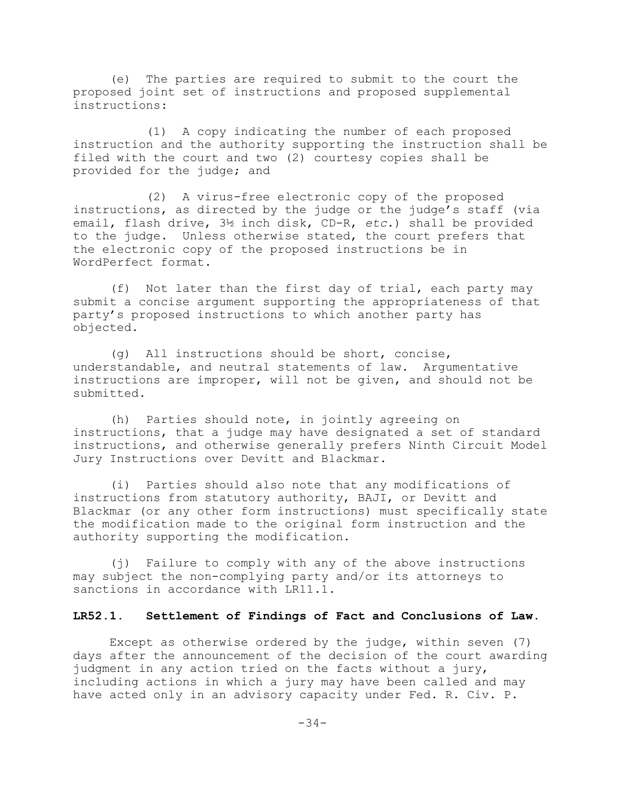(e) The parties are required to submit to the court the proposed joint set of instructions and proposed supplemental instructions:

(1) A copy indicating the number of each proposed instruction and the authority supporting the instruction shall be filed with the court and two (2) courtesy copies shall be provided for the judge; and

(2) A virus-free electronic copy of the proposed instructions, as directed by the judge or the judge's staff (via email, flash drive, 3½ inch disk, CD-R, *etc.*) shall be provided to the judge. Unless otherwise stated, the court prefers that the electronic copy of the proposed instructions be in WordPerfect format.

(f) Not later than the first day of trial, each party may submit a concise argument supporting the appropriateness of that party's proposed instructions to which another party has objected.

(g) All instructions should be short, concise, understandable, and neutral statements of law. Argumentative instructions are improper, will not be given, and should not be submitted.

(h) Parties should note, in jointly agreeing on instructions, that a judge may have designated a set of standard instructions, and otherwise generally prefers Ninth Circuit Model Jury Instructions over Devitt and Blackmar.

(i) Parties should also note that any modifications of instructions from statutory authority, BAJI, or Devitt and Blackmar (or any other form instructions) must specifically state the modification made to the original form instruction and the authority supporting the modification.

(j) Failure to comply with any of the above instructions may subject the non-complying party and/or its attorneys to sanctions in accordance with LR11.1.

# **LR52.1. Settlement of Findings of Fact and Conclusions of Law.**

Except as otherwise ordered by the judge, within seven (7) days after the announcement of the decision of the court awarding judgment in any action tried on the facts without a jury, including actions in which a jury may have been called and may have acted only in an advisory capacity under Fed. R. Civ. P.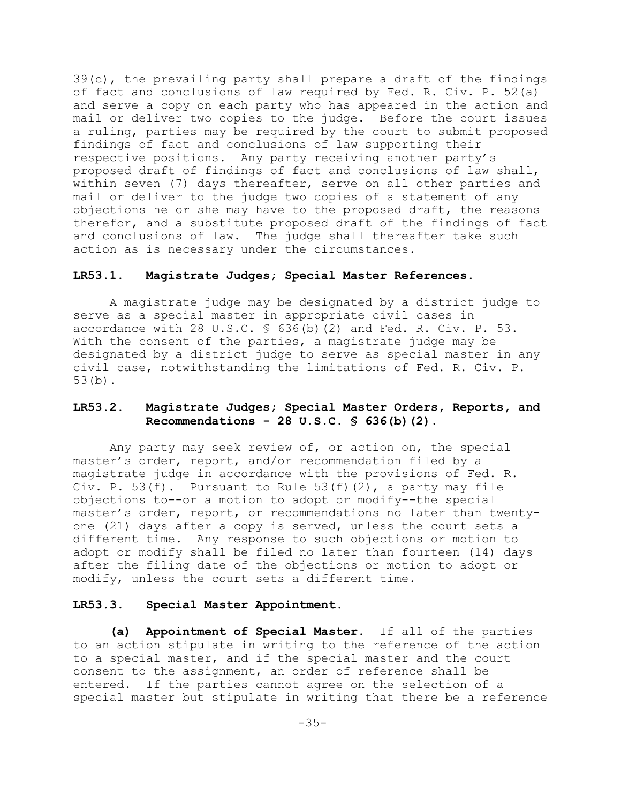39(c), the prevailing party shall prepare a draft of the findings of fact and conclusions of law required by Fed. R. Civ. P. 52(a) and serve a copy on each party who has appeared in the action and mail or deliver two copies to the judge. Before the court issues a ruling, parties may be required by the court to submit proposed findings of fact and conclusions of law supporting their respective positions. Any party receiving another party's proposed draft of findings of fact and conclusions of law shall, within seven (7) days thereafter, serve on all other parties and mail or deliver to the judge two copies of a statement of any objections he or she may have to the proposed draft, the reasons therefor, and a substitute proposed draft of the findings of fact and conclusions of law. The judge shall thereafter take such action as is necessary under the circumstances.

#### **LR53.1. Magistrate Judges; Special Master References.**

A magistrate judge may be designated by a district judge to serve as a special master in appropriate civil cases in accordance with 28 U.S.C.  $\frac{1}{5}$  636(b)(2) and Fed. R. Civ. P. 53. With the consent of the parties, a magistrate judge may be designated by a district judge to serve as special master in any civil case, notwithstanding the limitations of Fed. R. Civ. P. 53(b).

# **LR53.2. Magistrate Judges; Special Master Orders, Reports, and Recommendations - 28 U.S.C. § 636(b)(2)**.

Any party may seek review of, or action on, the special master's order, report, and/or recommendation filed by a magistrate judge in accordance with the provisions of Fed. R. Civ. P.  $53(f)$ . Pursuant to Rule  $53(f)(2)$ , a party may file objections to--or a motion to adopt or modify--the special master's order, report, or recommendations no later than twentyone (21) days after a copy is served, unless the court sets a different time. Any response to such objections or motion to adopt or modify shall be filed no later than fourteen (14) days after the filing date of the objections or motion to adopt or modify, unless the court sets a different time.

#### **LR53.3. Special Master Appointment.**

**(a) Appointment of Special Master.** If all of the parties to an action stipulate in writing to the reference of the action to a special master, and if the special master and the court consent to the assignment, an order of reference shall be entered. If the parties cannot agree on the selection of a special master but stipulate in writing that there be a reference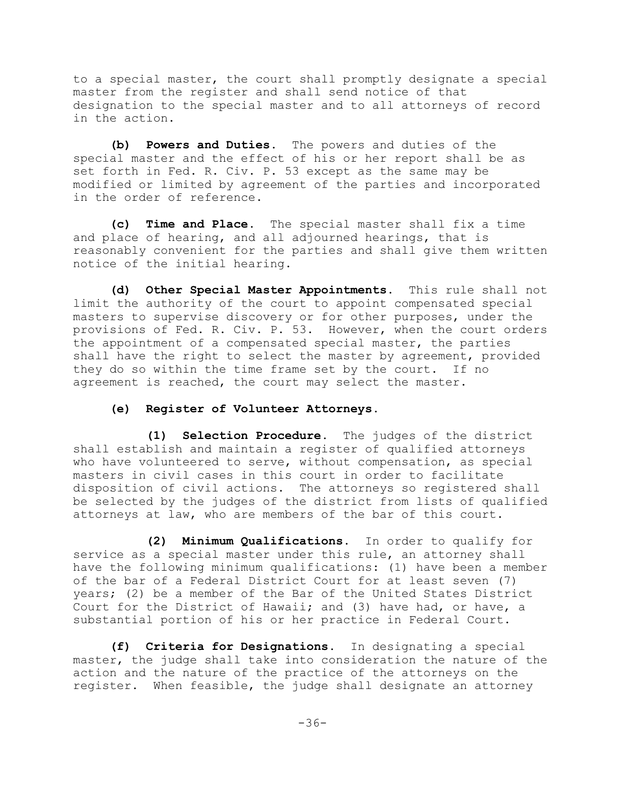to a special master, the court shall promptly designate a special master from the register and shall send notice of that designation to the special master and to all attorneys of record in the action.

**(b) Powers and Duties.** The powers and duties of the special master and the effect of his or her report shall be as set forth in Fed. R. Civ. P. 53 except as the same may be modified or limited by agreement of the parties and incorporated in the order of reference.

**(c) Time and Place.** The special master shall fix a time and place of hearing, and all adjourned hearings, that is reasonably convenient for the parties and shall give them written notice of the initial hearing.

**(d) Other Special Master Appointments**. This rule shall not limit the authority of the court to appoint compensated special masters to supervise discovery or for other purposes, under the provisions of Fed. R. Civ. P. 53. However, when the court orders the appointment of a compensated special master, the parties shall have the right to select the master by agreement, provided they do so within the time frame set by the court. If no agreement is reached, the court may select the master.

### **(e) Register of Volunteer Attorneys**.

**(1) Selection Procedure**. The judges of the district shall establish and maintain a register of qualified attorneys who have volunteered to serve, without compensation, as special masters in civil cases in this court in order to facilitate disposition of civil actions. The attorneys so registered shall be selected by the judges of the district from lists of qualified attorneys at law, who are members of the bar of this court.

**(2) Minimum Qualifications**. In order to qualify for service as a special master under this rule, an attorney shall have the following minimum qualifications: (1) have been a member of the bar of a Federal District Court for at least seven (7) years; (2) be a member of the Bar of the United States District Court for the District of Hawaii; and (3) have had, or have, a substantial portion of his or her practice in Federal Court.

**(f) Criteria for Designations**. In designating a special master, the judge shall take into consideration the nature of the action and the nature of the practice of the attorneys on the register. When feasible, the judge shall designate an attorney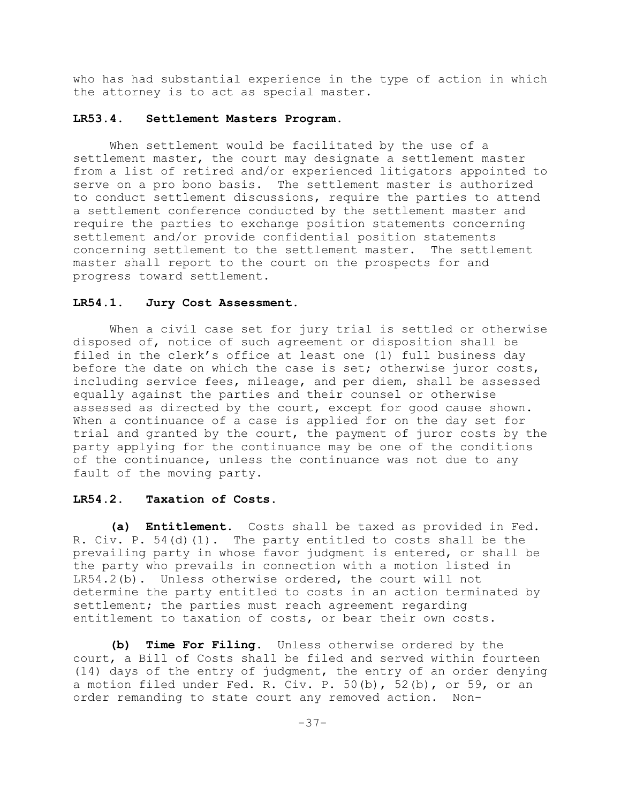who has had substantial experience in the type of action in which the attorney is to act as special master.

#### **LR53.4. Settlement Masters Program.**

When settlement would be facilitated by the use of a settlement master, the court may designate a settlement master from a list of retired and/or experienced litigators appointed to serve on a pro bono basis. The settlement master is authorized to conduct settlement discussions, require the parties to attend a settlement conference conducted by the settlement master and require the parties to exchange position statements concerning settlement and/or provide confidential position statements concerning settlement to the settlement master. The settlement master shall report to the court on the prospects for and progress toward settlement.

#### **LR54.1. Jury Cost Assessment.**

When a civil case set for jury trial is settled or otherwise disposed of, notice of such agreement or disposition shall be filed in the clerk's office at least one (1) full business day before the date on which the case is set; otherwise juror costs, including service fees, mileage, and per diem, shall be assessed equally against the parties and their counsel or otherwise assessed as directed by the court, except for good cause shown. When a continuance of a case is applied for on the day set for trial and granted by the court, the payment of juror costs by the party applying for the continuance may be one of the conditions of the continuance, unless the continuance was not due to any fault of the moving party.

#### **LR54.2. Taxation of Costs.**

**(a) Entitlement.** Costs shall be taxed as provided in Fed. R. Civ. P. 54(d)(1). The party entitled to costs shall be the prevailing party in whose favor judgment is entered, or shall be the party who prevails in connection with a motion listed in LR54.2(b). Unless otherwise ordered, the court will not determine the party entitled to costs in an action terminated by settlement; the parties must reach agreement regarding entitlement to taxation of costs, or bear their own costs.

**(b) Time For Filing.** Unless otherwise ordered by the court, a Bill of Costs shall be filed and served within fourteen (14) days of the entry of judgment, the entry of an order denying a motion filed under Fed. R. Civ. P. 50(b), 52(b), or 59, or an order remanding to state court any removed action. Non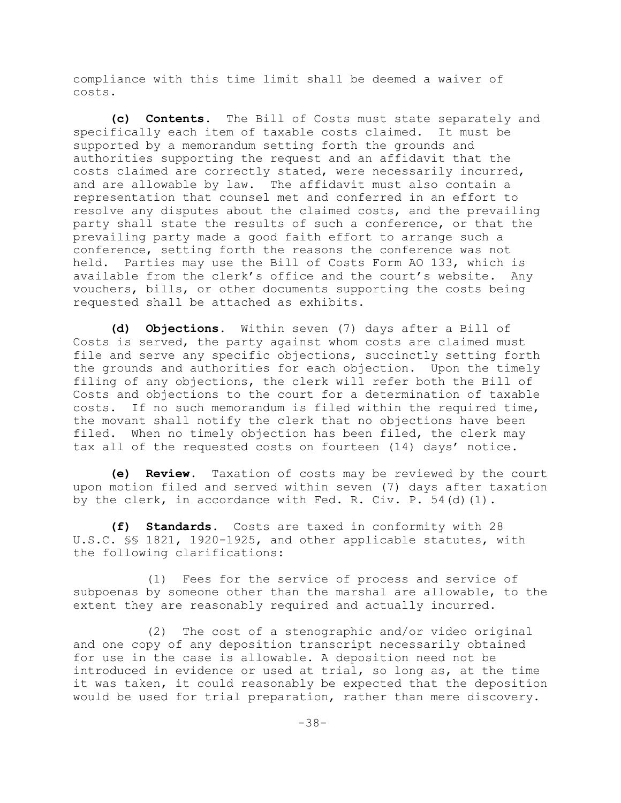compliance with this time limit shall be deemed a waiver of costs.

**(c) Contents.** The Bill of Costs must state separately and specifically each item of taxable costs claimed. It must be supported by a memorandum setting forth the grounds and authorities supporting the request and an affidavit that the costs claimed are correctly stated, were necessarily incurred, and are allowable by law. The affidavit must also contain a representation that counsel met and conferred in an effort to resolve any disputes about the claimed costs, and the prevailing party shall state the results of such a conference, or that the prevailing party made a good faith effort to arrange such a conference, setting forth the reasons the conference was not held. Parties may use the Bill of Costs Form AO 133, which is available from the clerk's office and the court's website. Any vouchers, bills, or other documents supporting the costs being requested shall be attached as exhibits.

**(d) Objections.** Within seven (7) days after a Bill of Costs is served, the party against whom costs are claimed must file and serve any specific objections, succinctly setting forth the grounds and authorities for each objection. Upon the timely filing of any objections, the clerk will refer both the Bill of Costs and objections to the court for a determination of taxable costs. If no such memorandum is filed within the required time, the movant shall notify the clerk that no objections have been filed. When no timely objection has been filed, the clerk may tax all of the requested costs on fourteen (14) days' notice.

**(e) Review.** Taxation of costs may be reviewed by the court upon motion filed and served within seven (7) days after taxation by the clerk, in accordance with Fed. R. Civ. P.  $54(d)(1)$ .

**(f) Standards.** Costs are taxed in conformity with 28 U.S.C. §§ 1821, 1920-1925, and other applicable statutes, with the following clarifications:

(1) Fees for the service of process and service of subpoenas by someone other than the marshal are allowable, to the extent they are reasonably required and actually incurred.

(2) The cost of a stenographic and/or video original and one copy of any deposition transcript necessarily obtained for use in the case is allowable. A deposition need not be introduced in evidence or used at trial, so long as, at the time it was taken, it could reasonably be expected that the deposition would be used for trial preparation, rather than mere discovery.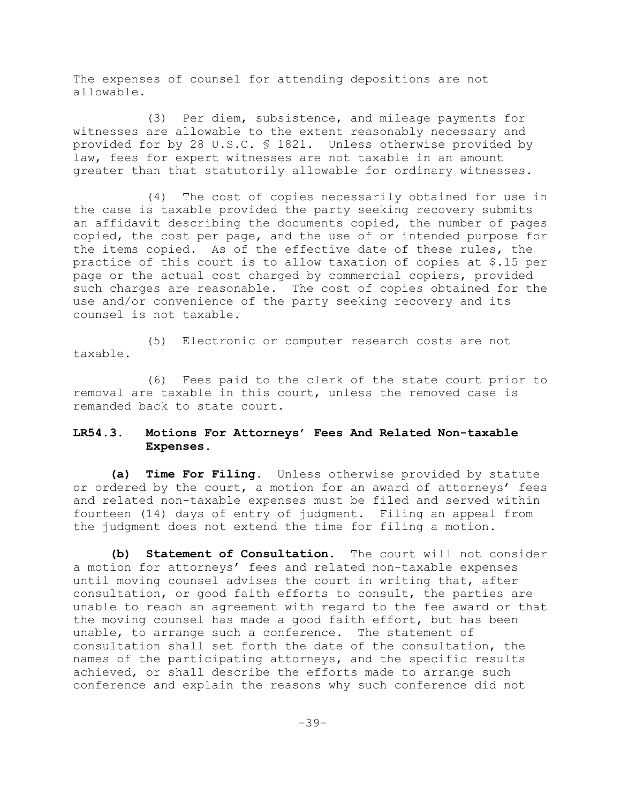The expenses of counsel for attending depositions are not allowable.

(3) Per diem, subsistence, and mileage payments for witnesses are allowable to the extent reasonably necessary and provided for by 28 U.S.C. § 1821. Unless otherwise provided by law, fees for expert witnesses are not taxable in an amount greater than that statutorily allowable for ordinary witnesses.

(4) The cost of copies necessarily obtained for use in the case is taxable provided the party seeking recovery submits an affidavit describing the documents copied, the number of pages copied, the cost per page, and the use of or intended purpose for the items copied. As of the effective date of these rules, the practice of this court is to allow taxation of copies at \$.15 per page or the actual cost charged by commercial copiers, provided such charges are reasonable. The cost of copies obtained for the use and/or convenience of the party seeking recovery and its counsel is not taxable.

(5) Electronic or computer research costs are not taxable.

(6) Fees paid to the clerk of the state court prior to removal are taxable in this court, unless the removed case is remanded back to state court.

# **LR54.3. Motions For Attorneys' Fees And Related Non-taxable Expenses.**

**(a) Time For Filing.** Unless otherwise provided by statute or ordered by the court, a motion for an award of attorneys' fees and related non-taxable expenses must be filed and served within fourteen (14) days of entry of judgment. Filing an appeal from the judgment does not extend the time for filing a motion.

**(b) Statement of Consultation.** The court will not consider a motion for attorneys' fees and related non-taxable expenses until moving counsel advises the court in writing that, after consultation, or good faith efforts to consult, the parties are unable to reach an agreement with regard to the fee award or that the moving counsel has made a good faith effort, but has been unable, to arrange such a conference. The statement of consultation shall set forth the date of the consultation, the names of the participating attorneys, and the specific results achieved, or shall describe the efforts made to arrange such conference and explain the reasons why such conference did not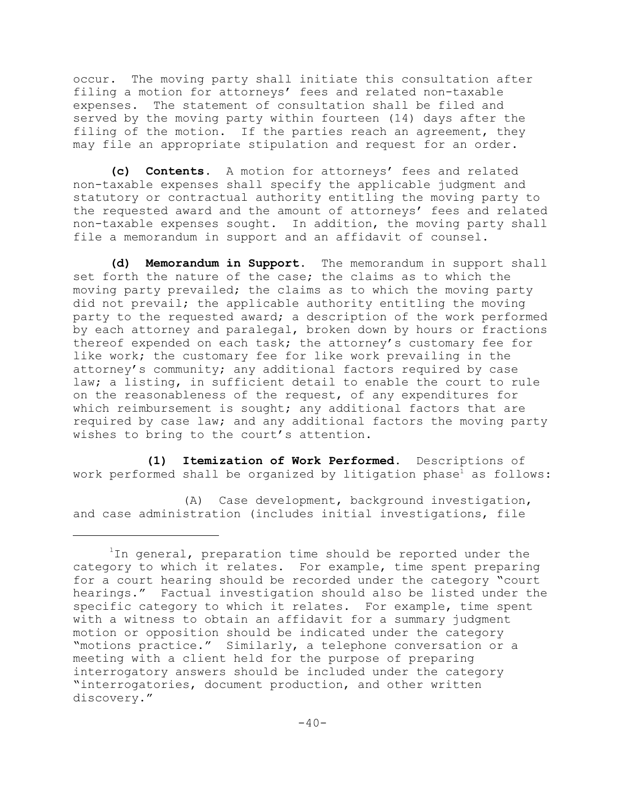occur. The moving party shall initiate this consultation after filing a motion for attorneys' fees and related non-taxable expenses. The statement of consultation shall be filed and served by the moving party within fourteen (14) days after the filing of the motion. If the parties reach an agreement, they may file an appropriate stipulation and request for an order.

**(c) Contents.** A motion for attorneys' fees and related non-taxable expenses shall specify the applicable judgment and statutory or contractual authority entitling the moving party to the requested award and the amount of attorneys' fees and related non-taxable expenses sought. In addition, the moving party shall file a memorandum in support and an affidavit of counsel.

**(d) Memorandum in Support.** The memorandum in support shall set forth the nature of the case; the claims as to which the moving party prevailed; the claims as to which the moving party did not prevail; the applicable authority entitling the moving party to the requested award; a description of the work performed by each attorney and paralegal, broken down by hours or fractions thereof expended on each task; the attorney's customary fee for like work; the customary fee for like work prevailing in the attorney's community; any additional factors required by case law; a listing, in sufficient detail to enable the court to rule on the reasonableness of the request, of any expenditures for which reimbursement is sought; any additional factors that are required by case law; and any additional factors the moving party wishes to bring to the court's attention.

**(1) Itemization of Work Performed.** Descriptions of work performed shall be organized by litigation phase<sup>1</sup> as follows:

(A) Case development, background investigation, and case administration (includes initial investigations, file

 $1$ In general, preparation time should be reported under the category to which it relates. For example, time spent preparing for a court hearing should be recorded under the category "court hearings." Factual investigation should also be listed under the specific category to which it relates. For example, time spent with a witness to obtain an affidavit for a summary judgment motion or opposition should be indicated under the category "motions practice." Similarly, a telephone conversation or a meeting with a client held for the purpose of preparing interrogatory answers should be included under the category "interrogatories, document production, and other written discovery."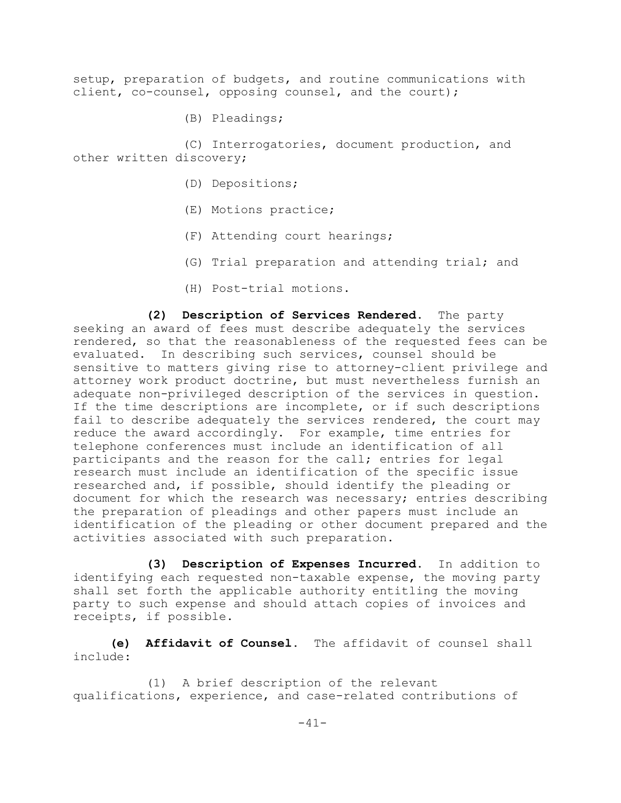setup, preparation of budgets, and routine communications with client, co-counsel, opposing counsel, and the court);

(B) Pleadings;

(C) Interrogatories, document production, and other written discovery;

- (D) Depositions;
- (E) Motions practice;
- (F) Attending court hearings;
- (G) Trial preparation and attending trial; and
- (H) Post-trial motions.

**(2) Description of Services Rendered.** The party seeking an award of fees must describe adequately the services rendered, so that the reasonableness of the requested fees can be evaluated. In describing such services, counsel should be sensitive to matters giving rise to attorney-client privilege and attorney work product doctrine, but must nevertheless furnish an adequate non-privileged description of the services in question. If the time descriptions are incomplete, or if such descriptions fail to describe adequately the services rendered, the court may reduce the award accordingly. For example, time entries for telephone conferences must include an identification of all participants and the reason for the call; entries for legal research must include an identification of the specific issue researched and, if possible, should identify the pleading or document for which the research was necessary; entries describing the preparation of pleadings and other papers must include an identification of the pleading or other document prepared and the activities associated with such preparation.

**(3) Description of Expenses Incurred.** In addition to identifying each requested non-taxable expense, the moving party shall set forth the applicable authority entitling the moving party to such expense and should attach copies of invoices and receipts, if possible.

**(e) Affidavit of Counsel.** The affidavit of counsel shall include:

(1) A brief description of the relevant qualifications, experience, and case-related contributions of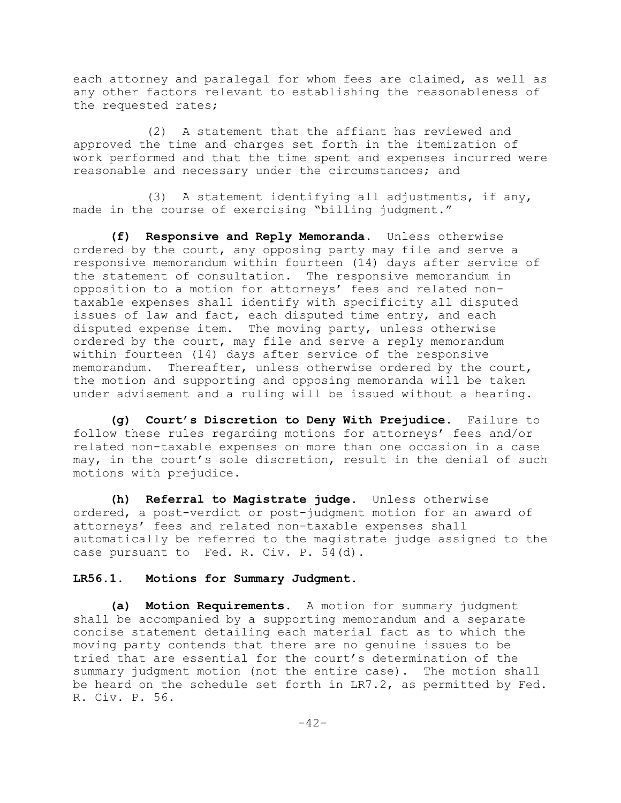each attorney and paralegal for whom fees are claimed, as well as any other factors relevant to establishing the reasonableness of the requested rates;

(2) A statement that the affiant has reviewed and approved the time and charges set forth in the itemization of work performed and that the time spent and expenses incurred were reasonable and necessary under the circumstances; and

(3) A statement identifying all adjustments, if any, made in the course of exercising "billing judgment."

**(f) Responsive and Reply Memoranda.** Unless otherwise ordered by the court, any opposing party may file and serve a responsive memorandum within fourteen (14) days after service of the statement of consultation. The responsive memorandum in opposition to a motion for attorneys' fees and related nontaxable expenses shall identify with specificity all disputed issues of law and fact, each disputed time entry, and each disputed expense item. The moving party, unless otherwise ordered by the court, may file and serve a reply memorandum within fourteen (14) days after service of the responsive memorandum. Thereafter, unless otherwise ordered by the court, the motion and supporting and opposing memoranda will be taken under advisement and a ruling will be issued without a hearing.

**(g) Court's Discretion to Deny With Prejudice.** Failure to follow these rules regarding motions for attorneys' fees and/or related non-taxable expenses on more than one occasion in a case may, in the court's sole discretion, result in the denial of such motions with prejudice.

**(h) Referral to Magistrate judge.** Unless otherwise ordered, a post-verdict or post-judgment motion for an award of attorneys' fees and related non-taxable expenses shall automatically be referred to the magistrate judge assigned to the case pursuant to Fed. R. Civ. P. 54(d).

### **LR56.1. Motions for Summary Judgment.**

**(a) Motion Requirements.** A motion for summary judgment shall be accompanied by a supporting memorandum and a separate concise statement detailing each material fact as to which the moving party contends that there are no genuine issues to be tried that are essential for the court's determination of the summary judgment motion (not the entire case). The motion shall be heard on the schedule set forth in LR7.2, as permitted by Fed. R. Civ. P. 56.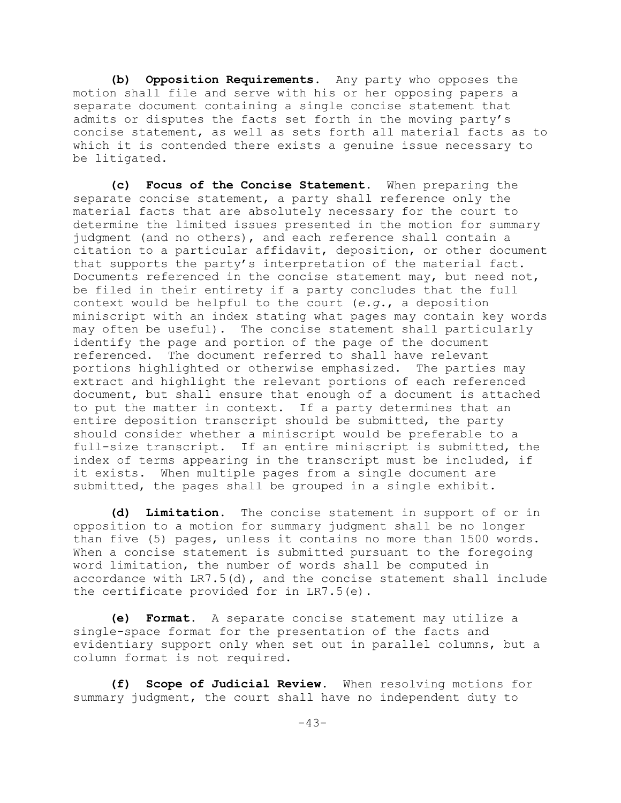**(b) Opposition Requirements.** Any party who opposes the motion shall file and serve with his or her opposing papers a separate document containing a single concise statement that admits or disputes the facts set forth in the moving party's concise statement, as well as sets forth all material facts as to which it is contended there exists a genuine issue necessary to be litigated.

**(c) Focus of the Concise Statement.** When preparing the separate concise statement, a party shall reference only the material facts that are absolutely necessary for the court to determine the limited issues presented in the motion for summary judgment (and no others), and each reference shall contain a citation to a particular affidavit, deposition, or other document that supports the party's interpretation of the material fact. Documents referenced in the concise statement may, but need not, be filed in their entirety if a party concludes that the full context would be helpful to the court (*e.g.*, a deposition miniscript with an index stating what pages may contain key words may often be useful). The concise statement shall particularly identify the page and portion of the page of the document referenced. The document referred to shall have relevant portions highlighted or otherwise emphasized. The parties may extract and highlight the relevant portions of each referenced document, but shall ensure that enough of a document is attached to put the matter in context. If a party determines that an entire deposition transcript should be submitted, the party should consider whether a miniscript would be preferable to a full-size transcript. If an entire miniscript is submitted, the index of terms appearing in the transcript must be included, if it exists. When multiple pages from a single document are submitted, the pages shall be grouped in a single exhibit.

**(d) Limitation.** The concise statement in support of or in opposition to a motion for summary judgment shall be no longer than five (5) pages, unless it contains no more than 1500 words. When a concise statement is submitted pursuant to the foregoing word limitation, the number of words shall be computed in accordance with LR7.5(d), and the concise statement shall include the certificate provided for in LR7.5(e).

**(e) Format**. A separate concise statement may utilize a single-space format for the presentation of the facts and evidentiary support only when set out in parallel columns, but a column format is not required.

**(f) Scope of Judicial Review.** When resolving motions for summary judgment, the court shall have no independent duty to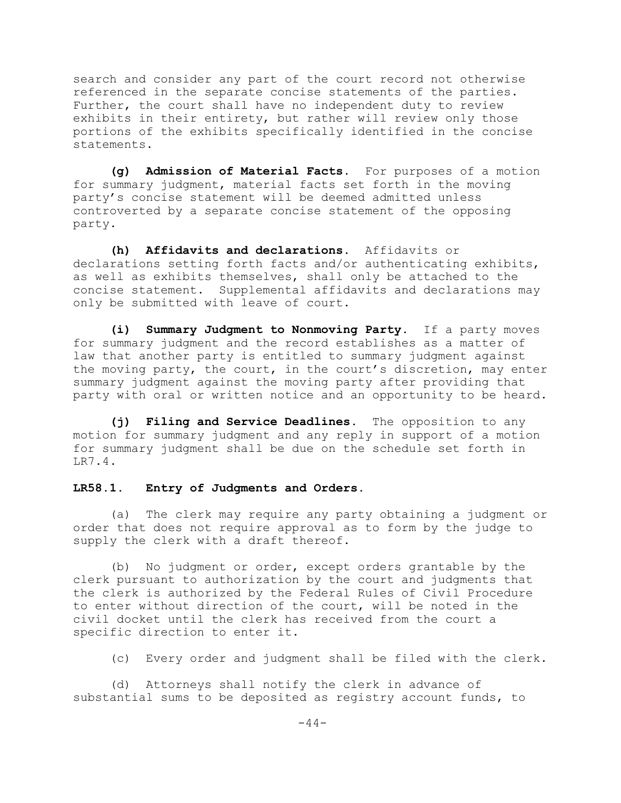search and consider any part of the court record not otherwise referenced in the separate concise statements of the parties. Further, the court shall have no independent duty to review exhibits in their entirety, but rather will review only those portions of the exhibits specifically identified in the concise statements.

**(g) Admission of Material Facts.** For purposes of a motion for summary judgment, material facts set forth in the moving party's concise statement will be deemed admitted unless controverted by a separate concise statement of the opposing party.

**(h) Affidavits and declarations.** Affidavits or declarations setting forth facts and/or authenticating exhibits, as well as exhibits themselves, shall only be attached to the concise statement. Supplemental affidavits and declarations may only be submitted with leave of court.

**(i) Summary Judgment to Nonmoving Party.** If a party moves for summary judgment and the record establishes as a matter of law that another party is entitled to summary judgment against the moving party, the court, in the court's discretion, may enter summary judgment against the moving party after providing that party with oral or written notice and an opportunity to be heard.

**(j) Filing and Service Deadlines.** The opposition to any motion for summary judgment and any reply in support of a motion for summary judgment shall be due on the schedule set forth in LR7.4.

### **LR58.1. Entry of Judgments and Orders.**

(a) The clerk may require any party obtaining a judgment or order that does not require approval as to form by the judge to supply the clerk with a draft thereof.

(b) No judgment or order, except orders grantable by the clerk pursuant to authorization by the court and judgments that the clerk is authorized by the Federal Rules of Civil Procedure to enter without direction of the court, will be noted in the civil docket until the clerk has received from the court a specific direction to enter it.

(c) Every order and judgment shall be filed with the clerk.

(d) Attorneys shall notify the clerk in advance of substantial sums to be deposited as registry account funds, to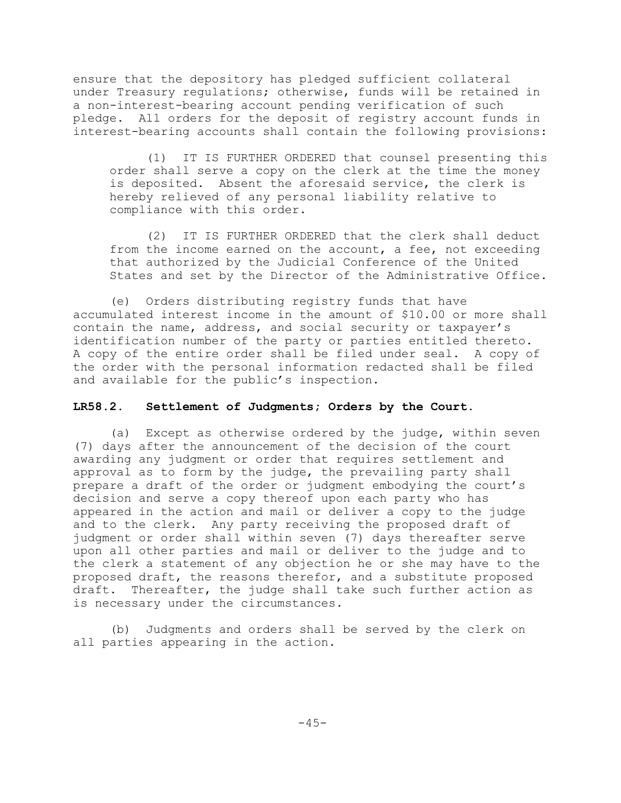ensure that the depository has pledged sufficient collateral under Treasury regulations; otherwise, funds will be retained in a non-interest-bearing account pending verification of such pledge. All orders for the deposit of registry account funds in interest-bearing accounts shall contain the following provisions:

(1) IT IS FURTHER ORDERED that counsel presenting this order shall serve a copy on the clerk at the time the money is deposited. Absent the aforesaid service, the clerk is hereby relieved of any personal liability relative to compliance with this order.

(2) IT IS FURTHER ORDERED that the clerk shall deduct from the income earned on the account, a fee, not exceeding that authorized by the Judicial Conference of the United States and set by the Director of the Administrative Office.

(e) Orders distributing registry funds that have accumulated interest income in the amount of \$10.00 or more shall contain the name, address, and social security or taxpayer's identification number of the party or parties entitled thereto. A copy of the entire order shall be filed under seal. A copy of the order with the personal information redacted shall be filed and available for the public's inspection.

## **LR58.2. Settlement of Judgments; Orders by the Court.**

(a) Except as otherwise ordered by the judge, within seven (7) days after the announcement of the decision of the court awarding any judgment or order that requires settlement and approval as to form by the judge, the prevailing party shall prepare a draft of the order or judgment embodying the court's decision and serve a copy thereof upon each party who has appeared in the action and mail or deliver a copy to the judge and to the clerk. Any party receiving the proposed draft of judgment or order shall within seven (7) days thereafter serve upon all other parties and mail or deliver to the judge and to the clerk a statement of any objection he or she may have to the proposed draft, the reasons therefor, and a substitute proposed draft. Thereafter, the judge shall take such further action as is necessary under the circumstances.

(b) Judgments and orders shall be served by the clerk on all parties appearing in the action.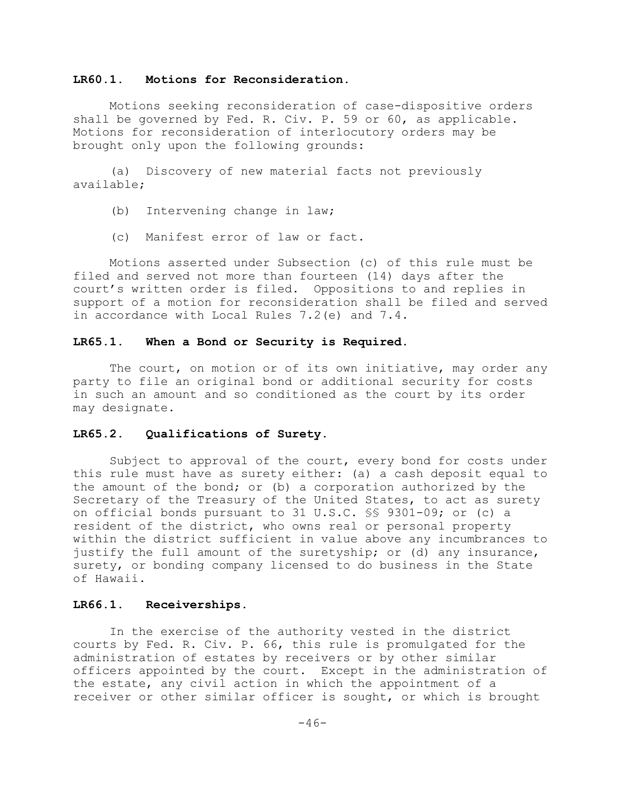### **LR60.1. Motions for Reconsideration.**

Motions seeking reconsideration of case-dispositive orders shall be governed by Fed. R. Civ. P. 59 or 60, as applicable. Motions for reconsideration of interlocutory orders may be brought only upon the following grounds:

(a) Discovery of new material facts not previously available;

- (b) Intervening change in law;
- (c) Manifest error of law or fact.

Motions asserted under Subsection (c) of this rule must be filed and served not more than fourteen (14) days after the court's written order is filed. Oppositions to and replies in support of a motion for reconsideration shall be filed and served in accordance with Local Rules 7.2(e) and 7.4.

#### **LR65.1. When a Bond or Security is Required.**

The court, on motion or of its own initiative, may order any party to file an original bond or additional security for costs in such an amount and so conditioned as the court by its order may designate.

# **LR65.2. Qualifications of Surety.**

Subject to approval of the court, every bond for costs under this rule must have as surety either: (a) a cash deposit equal to the amount of the bond; or (b) a corporation authorized by the Secretary of the Treasury of the United States, to act as surety on official bonds pursuant to 31 U.S.C. §§ 9301-09; or (c) a resident of the district, who owns real or personal property within the district sufficient in value above any incumbrances to justify the full amount of the suretyship; or (d) any insurance, surety, or bonding company licensed to do business in the State of Hawaii.

#### **LR66.1. Receiverships.**

In the exercise of the authority vested in the district courts by Fed. R. Civ. P. 66, this rule is promulgated for the administration of estates by receivers or by other similar officers appointed by the court. Except in the administration of the estate, any civil action in which the appointment of a receiver or other similar officer is sought, or which is brought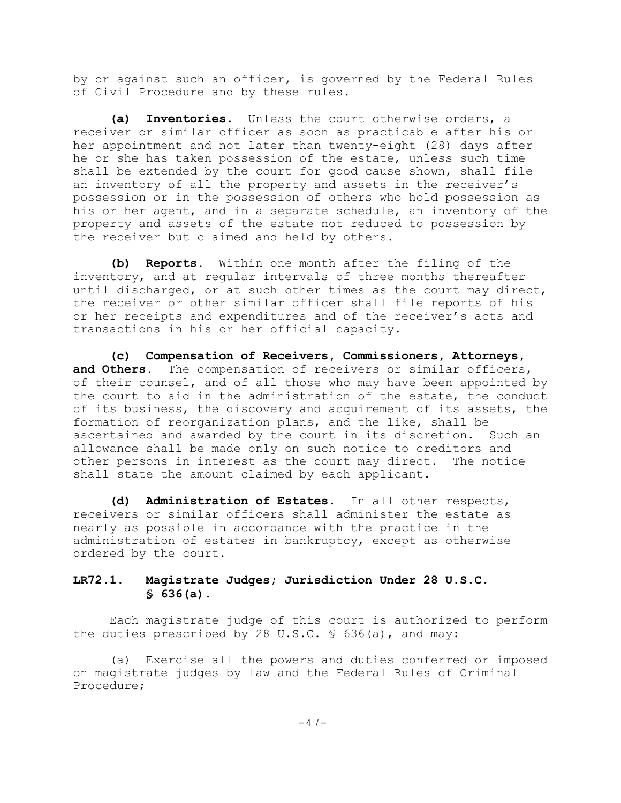by or against such an officer, is governed by the Federal Rules of Civil Procedure and by these rules.

**(a) Inventories.** Unless the court otherwise orders, a receiver or similar officer as soon as practicable after his or her appointment and not later than twenty-eight (28) days after he or she has taken possession of the estate, unless such time shall be extended by the court for good cause shown, shall file an inventory of all the property and assets in the receiver's possession or in the possession of others who hold possession as his or her agent, and in a separate schedule, an inventory of the property and assets of the estate not reduced to possession by the receiver but claimed and held by others.

**(b) Reports.** Within one month after the filing of the inventory, and at regular intervals of three months thereafter until discharged, or at such other times as the court may direct, the receiver or other similar officer shall file reports of his or her receipts and expenditures and of the receiver's acts and transactions in his or her official capacity.

**(c) Compensation of Receivers, Commissioners, Attorneys,** and Others. The compensation of receivers or similar officers, of their counsel, and of all those who may have been appointed by the court to aid in the administration of the estate, the conduct of its business, the discovery and acquirement of its assets, the formation of reorganization plans, and the like, shall be ascertained and awarded by the court in its discretion. Such an allowance shall be made only on such notice to creditors and other persons in interest as the court may direct. The notice shall state the amount claimed by each applicant.

**(d) Administration of Estates.** In all other respects, receivers or similar officers shall administer the estate as nearly as possible in accordance with the practice in the administration of estates in bankruptcy, except as otherwise ordered by the court.

# **LR72.1. Magistrate Judges; Jurisdiction Under 28 U.S.C. § 636(a).**

Each magistrate judge of this court is authorized to perform the duties prescribed by 28 U.S.C.  $\frac{636}{a}$ , and may:

(a) Exercise all the powers and duties conferred or imposed on magistrate judges by law and the Federal Rules of Criminal Procedure;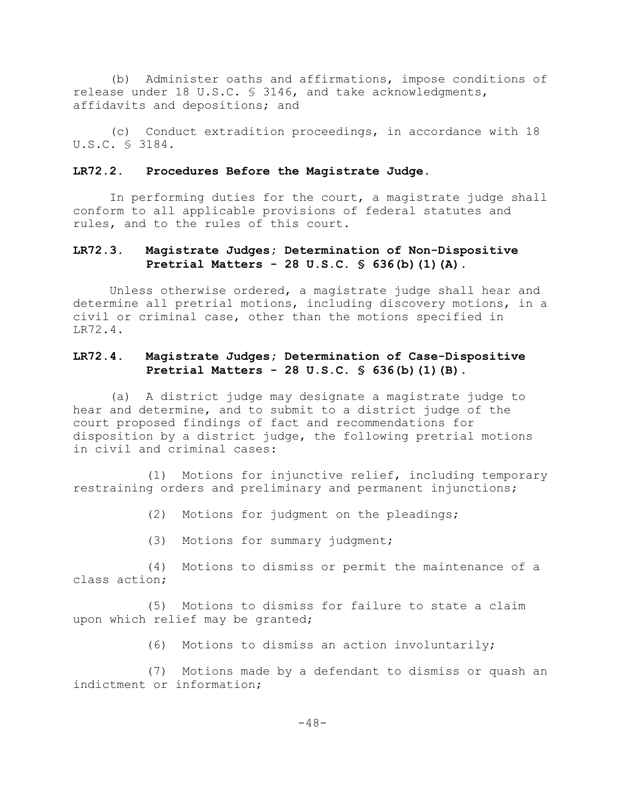(b) Administer oaths and affirmations, impose conditions of release under 18 U.S.C. § 3146, and take acknowledgments, affidavits and depositions; and

(c) Conduct extradition proceedings, in accordance with 18 U.S.C. § 3184.

#### **LR72.2. Procedures Before the Magistrate Judge.**

In performing duties for the court, a magistrate judge shall conform to all applicable provisions of federal statutes and rules, and to the rules of this court.

# **LR72.3. Magistrate Judges; Determination of Non-Dispositive Pretrial Matters - 28 U.S.C. § 636(b)(1)(A).**

Unless otherwise ordered, a magistrate judge shall hear and determine all pretrial motions, including discovery motions, in a civil or criminal case, other than the motions specified in LR72.4.

# **LR72.4. Magistrate Judges; Determination of Case-Dispositive Pretrial Matters - 28 U.S.C. § 636(b)(1)(B).**

(a) A district judge may designate a magistrate judge to hear and determine, and to submit to a district judge of the court proposed findings of fact and recommendations for disposition by a district judge, the following pretrial motions in civil and criminal cases:

(1) Motions for injunctive relief, including temporary restraining orders and preliminary and permanent injunctions;

(2) Motions for judgment on the pleadings;

(3) Motions for summary judgment;

(4) Motions to dismiss or permit the maintenance of a class action;

(5) Motions to dismiss for failure to state a claim upon which relief may be granted;

(6) Motions to dismiss an action involuntarily;

(7) Motions made by a defendant to dismiss or quash an indictment or information;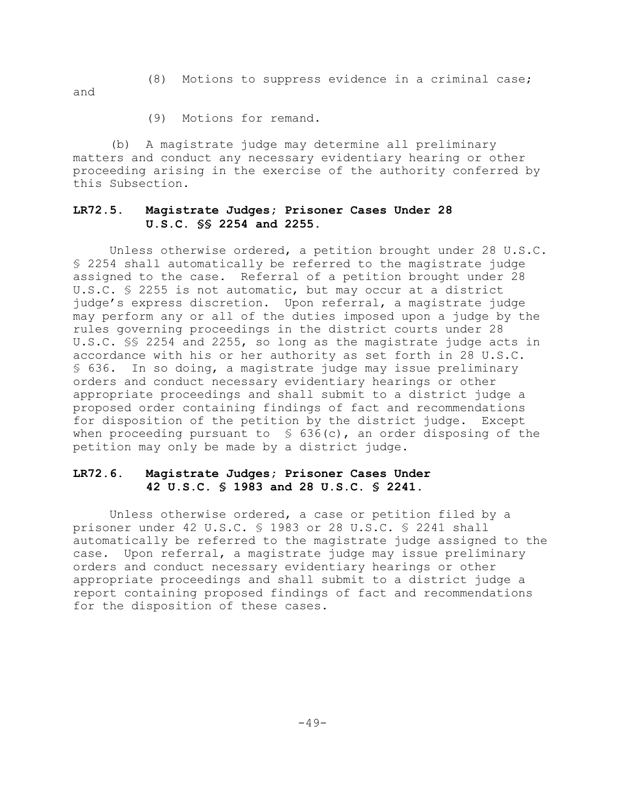(8) Motions to suppress evidence in a criminal case;

and

(9) Motions for remand.

(b) A magistrate judge may determine all preliminary matters and conduct any necessary evidentiary hearing or other proceeding arising in the exercise of the authority conferred by this Subsection.

# **LR72.5. Magistrate Judges; Prisoner Cases Under 28 U.S.C. §§ 2254 and 2255.**

Unless otherwise ordered, a petition brought under 28 U.S.C. § 2254 shall automatically be referred to the magistrate judge assigned to the case. Referral of a petition brought under 28 U.S.C. § 2255 is not automatic, but may occur at a district judge's express discretion. Upon referral, a magistrate judge may perform any or all of the duties imposed upon a judge by the rules governing proceedings in the district courts under 28 U.S.C. §§ 2254 and 2255, so long as the magistrate judge acts in accordance with his or her authority as set forth in 28 U.S.C. § 636. In so doing, a magistrate judge may issue preliminary orders and conduct necessary evidentiary hearings or other appropriate proceedings and shall submit to a district judge a proposed order containing findings of fact and recommendations for disposition of the petition by the district judge. Except when proceeding pursuant to  $\ S$  636(c), an order disposing of the petition may only be made by a district judge.

# **LR72.6. Magistrate Judges; Prisoner Cases Under 42 U.S.C. § 1983 and 28 U.S.C. § 2241.**

Unless otherwise ordered, a case or petition filed by a prisoner under 42 U.S.C. § 1983 or 28 U.S.C. § 2241 shall automatically be referred to the magistrate judge assigned to the case. Upon referral, a magistrate judge may issue preliminary orders and conduct necessary evidentiary hearings or other appropriate proceedings and shall submit to a district judge a report containing proposed findings of fact and recommendations for the disposition of these cases.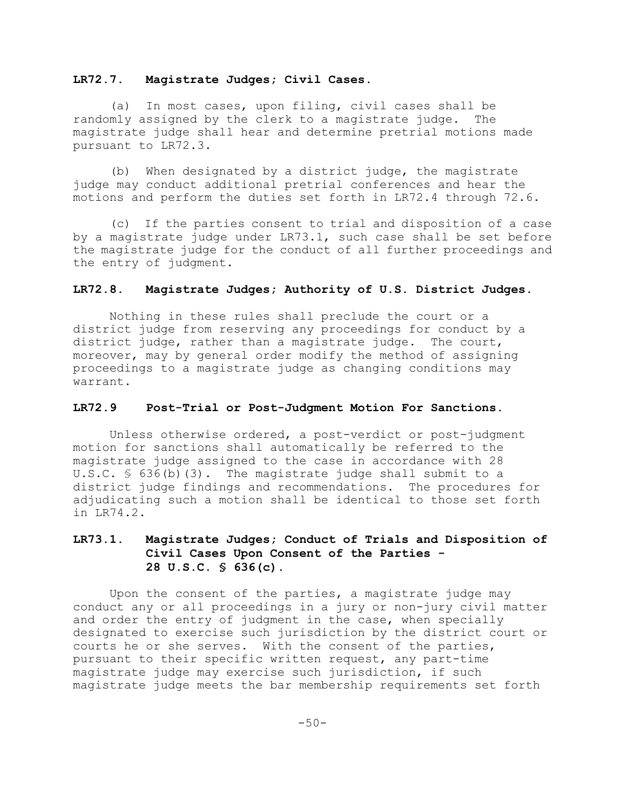## **LR72.7. Magistrate Judges; Civil Cases.**

(a) In most cases, upon filing, civil cases shall be randomly assigned by the clerk to a magistrate judge. The magistrate judge shall hear and determine pretrial motions made pursuant to LR72.3.

(b) When designated by a district judge, the magistrate judge may conduct additional pretrial conferences and hear the motions and perform the duties set forth in LR72.4 through 72.6.

(c) If the parties consent to trial and disposition of a case by a magistrate judge under LR73.1, such case shall be set before the magistrate judge for the conduct of all further proceedings and the entry of judgment.

## **LR72.8. Magistrate Judges; Authority of U.S. District Judges.**

Nothing in these rules shall preclude the court or a district judge from reserving any proceedings for conduct by a district judge, rather than a magistrate judge. The court, moreover, may by general order modify the method of assigning proceedings to a magistrate judge as changing conditions may warrant.

# **LR72.9 Post-Trial or Post-Judgment Motion For Sanctions.**

Unless otherwise ordered, a post-verdict or post-judgment motion for sanctions shall automatically be referred to the magistrate judge assigned to the case in accordance with 28 U.S.C. § 636(b)(3). The magistrate judge shall submit to a district judge findings and recommendations. The procedures for adjudicating such a motion shall be identical to those set forth in LR74.2.

# **LR73.1. Magistrate Judges; Conduct of Trials and Disposition of Civil Cases Upon Consent of the Parties - 28 U.S.C. § 636(c).**

Upon the consent of the parties, a magistrate judge may conduct any or all proceedings in a jury or non-jury civil matter and order the entry of judgment in the case, when specially designated to exercise such jurisdiction by the district court or courts he or she serves. With the consent of the parties, pursuant to their specific written request, any part-time magistrate judge may exercise such jurisdiction, if such magistrate judge meets the bar membership requirements set forth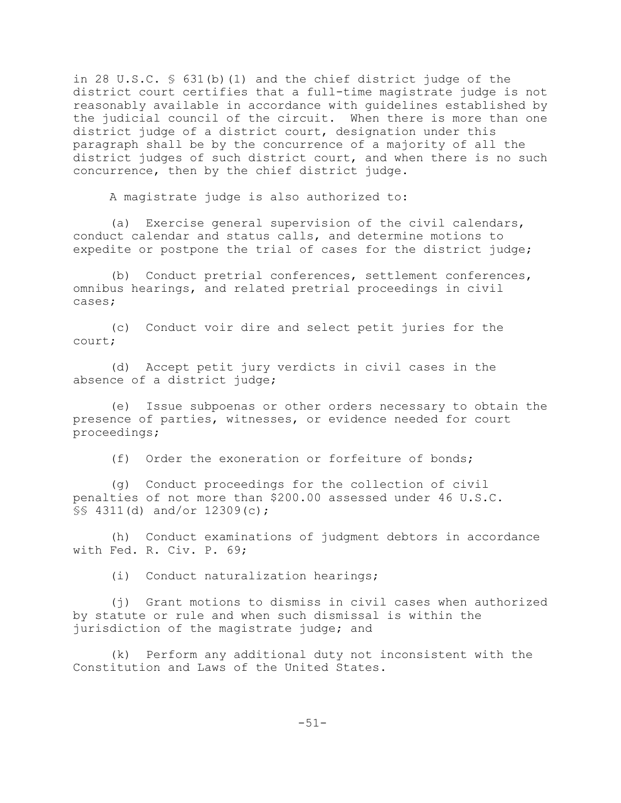in 28 U.S.C. § 631(b)(1) and the chief district judge of the district court certifies that a full-time magistrate judge is not reasonably available in accordance with guidelines established by the judicial council of the circuit. When there is more than one district judge of a district court, designation under this paragraph shall be by the concurrence of a majority of all the district judges of such district court, and when there is no such concurrence, then by the chief district judge.

A magistrate judge is also authorized to:

(a) Exercise general supervision of the civil calendars, conduct calendar and status calls, and determine motions to expedite or postpone the trial of cases for the district judge;

(b) Conduct pretrial conferences, settlement conferences, omnibus hearings, and related pretrial proceedings in civil cases;

(c) Conduct voir dire and select petit juries for the court;

(d) Accept petit jury verdicts in civil cases in the absence of a district judge;

(e) Issue subpoenas or other orders necessary to obtain the presence of parties, witnesses, or evidence needed for court proceedings;

(f) Order the exoneration or forfeiture of bonds;

(g) Conduct proceedings for the collection of civil penalties of not more than \$200.00 assessed under 46 U.S.C. §§ 4311(d) and/or 12309(c);

(h) Conduct examinations of judgment debtors in accordance with Fed. R. Civ. P. 69;

(i) Conduct naturalization hearings;

(j) Grant motions to dismiss in civil cases when authorized by statute or rule and when such dismissal is within the jurisdiction of the magistrate judge; and

(k) Perform any additional duty not inconsistent with the Constitution and Laws of the United States.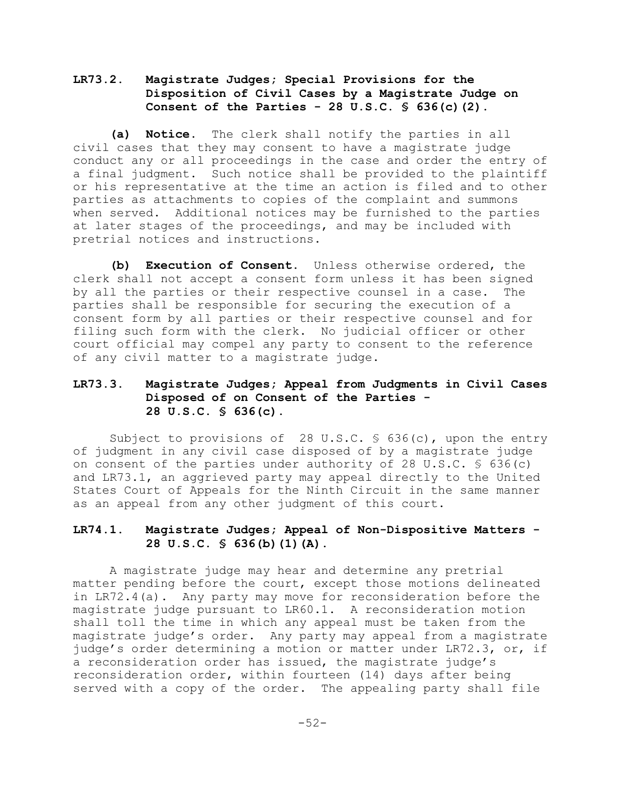# **LR73.2. Magistrate Judges; Special Provisions for the Disposition of Civil Cases by a Magistrate Judge on Consent of the Parties - 28 U.S.C. § 636(c)(2).**

**(a) Notice.** The clerk shall notify the parties in all civil cases that they may consent to have a magistrate judge conduct any or all proceedings in the case and order the entry of a final judgment. Such notice shall be provided to the plaintiff or his representative at the time an action is filed and to other parties as attachments to copies of the complaint and summons when served. Additional notices may be furnished to the parties at later stages of the proceedings, and may be included with pretrial notices and instructions.

**(b) Execution of Consent.** Unless otherwise ordered, the clerk shall not accept a consent form unless it has been signed by all the parties or their respective counsel in a case. The parties shall be responsible for securing the execution of a consent form by all parties or their respective counsel and for filing such form with the clerk. No judicial officer or other court official may compel any party to consent to the reference of any civil matter to a magistrate judge.

# **LR73.3. Magistrate Judges; Appeal from Judgments in Civil Cases Disposed of on Consent of the Parties - 28 U.S.C. § 636(c).**

Subject to provisions of 28 U.S.C. § 636(c), upon the entry of judgment in any civil case disposed of by a magistrate judge on consent of the parties under authority of 28 U.S.C.  $\frac{6}{5}$  636(c) and LR73.1, an aggrieved party may appeal directly to the United States Court of Appeals for the Ninth Circuit in the same manner as an appeal from any other judgment of this court.

# **LR74.1. Magistrate Judges; Appeal of Non-Dispositive Matters - 28 U.S.C. § 636(b)(1)(A).**

A magistrate judge may hear and determine any pretrial matter pending before the court, except those motions delineated in LR72.4(a). Any party may move for reconsideration before the magistrate judge pursuant to LR60.1. A reconsideration motion shall toll the time in which any appeal must be taken from the magistrate judge's order. Any party may appeal from a magistrate judge's order determining a motion or matter under LR72.3, or, if a reconsideration order has issued, the magistrate judge's reconsideration order, within fourteen (14) days after being served with a copy of the order. The appealing party shall file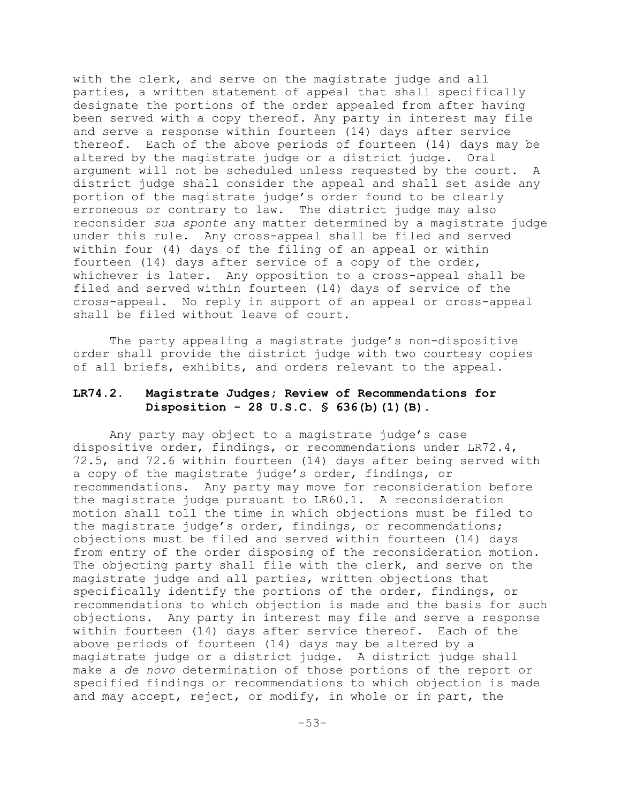with the clerk, and serve on the magistrate judge and all parties, a written statement of appeal that shall specifically designate the portions of the order appealed from after having been served with a copy thereof. Any party in interest may file and serve a response within fourteen (14) days after service thereof. Each of the above periods of fourteen (14) days may be altered by the magistrate judge or a district judge. Oral argument will not be scheduled unless requested by the court. A district judge shall consider the appeal and shall set aside any portion of the magistrate judge's order found to be clearly erroneous or contrary to law. The district judge may also reconsider *sua sponte* any matter determined by a magistrate judge under this rule. Any cross-appeal shall be filed and served within four (4) days of the filing of an appeal or within fourteen (14) days after service of a copy of the order, whichever is later. Any opposition to a cross-appeal shall be filed and served within fourteen (14) days of service of the cross-appeal. No reply in support of an appeal or cross-appeal shall be filed without leave of court.

The party appealing a magistrate judge's non-dispositive order shall provide the district judge with two courtesy copies of all briefs, exhibits, and orders relevant to the appeal.

# **LR74.2. Magistrate Judges; Review of Recommendations for Disposition - 28 U.S.C. § 636(b)(1)(B).**

Any party may object to a magistrate judge's case dispositive order, findings, or recommendations under LR72.4, 72.5, and 72.6 within fourteen (14) days after being served with a copy of the magistrate judge's order, findings, or recommendations. Any party may move for reconsideration before the magistrate judge pursuant to LR60.1. A reconsideration motion shall toll the time in which objections must be filed to the magistrate judge's order, findings, or recommendations; objections must be filed and served within fourteen (14) days from entry of the order disposing of the reconsideration motion. The objecting party shall file with the clerk, and serve on the magistrate judge and all parties, written objections that specifically identify the portions of the order, findings, or recommendations to which objection is made and the basis for such objections. Any party in interest may file and serve a response within fourteen (14) days after service thereof. Each of the above periods of fourteen (14) days may be altered by a magistrate judge or a district judge. A district judge shall make a *de novo* determination of those portions of the report or specified findings or recommendations to which objection is made and may accept, reject, or modify, in whole or in part, the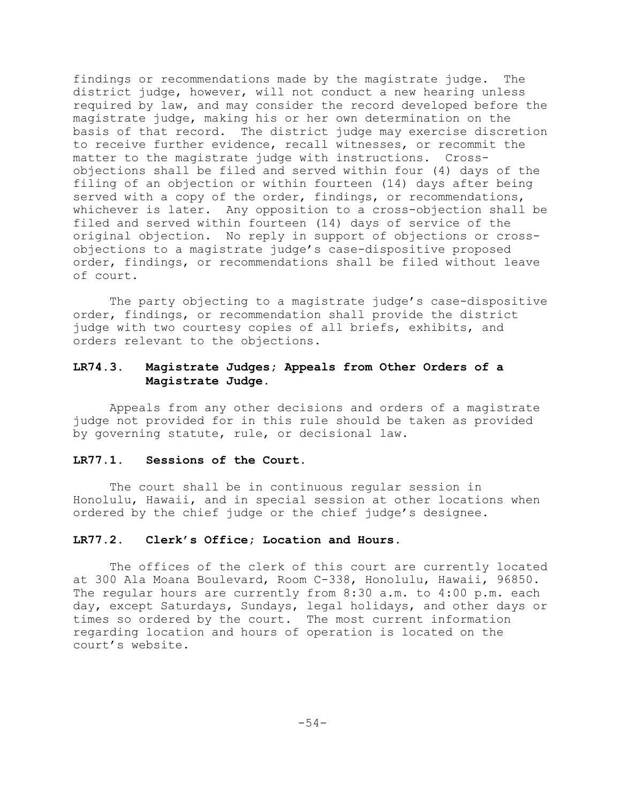findings or recommendations made by the magistrate judge. The district judge, however, will not conduct a new hearing unless required by law, and may consider the record developed before the magistrate judge, making his or her own determination on the basis of that record. The district judge may exercise discretion to receive further evidence, recall witnesses, or recommit the matter to the magistrate judge with instructions. Crossobjections shall be filed and served within four (4) days of the filing of an objection or within fourteen (14) days after being served with a copy of the order, findings, or recommendations, whichever is later. Any opposition to a cross-objection shall be filed and served within fourteen (14) days of service of the original objection. No reply in support of objections or crossobjections to a magistrate judge's case-dispositive proposed order, findings, or recommendations shall be filed without leave of court.

The party objecting to a magistrate judge's case-dispositive order, findings, or recommendation shall provide the district judge with two courtesy copies of all briefs, exhibits, and orders relevant to the objections.

# **LR74.3. Magistrate Judges; Appeals from Other Orders of a Magistrate Judge.**

Appeals from any other decisions and orders of a magistrate judge not provided for in this rule should be taken as provided by governing statute, rule, or decisional law.

### **LR77.1. Sessions of the Court.**

The court shall be in continuous regular session in Honolulu, Hawaii, and in special session at other locations when ordered by the chief judge or the chief judge's designee.

# **LR77.2. Clerk's Office; Location and Hours.**

The offices of the clerk of this court are currently located at 300 Ala Moana Boulevard, Room C-338, Honolulu, Hawaii, 96850. The regular hours are currently from 8:30 a.m. to 4:00 p.m. each day, except Saturdays, Sundays, legal holidays, and other days or times so ordered by the court. The most current information regarding location and hours of operation is located on the court's website.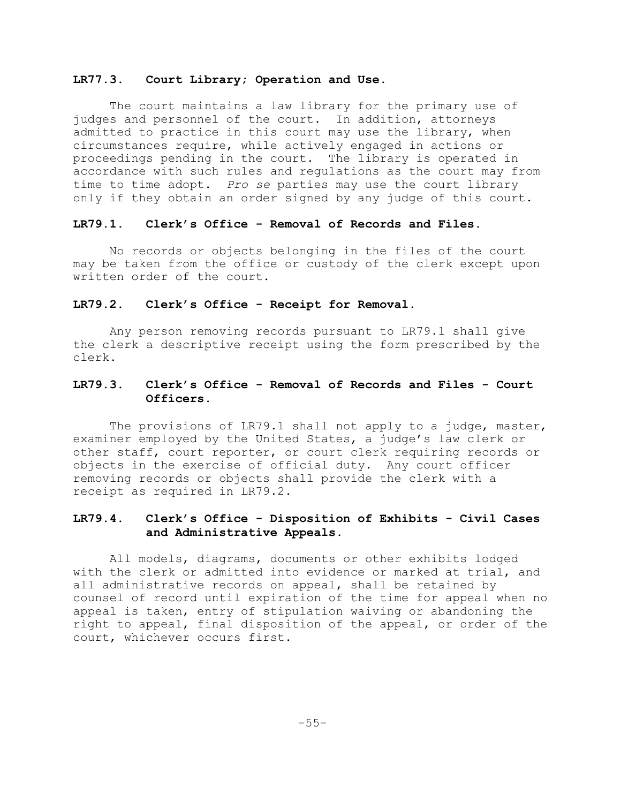### **LR77.3. Court Library; Operation and Use.**

The court maintains a law library for the primary use of judges and personnel of the court. In addition, attorneys admitted to practice in this court may use the library, when circumstances require, while actively engaged in actions or proceedings pending in the court. The library is operated in accordance with such rules and regulations as the court may from time to time adopt. *Pro se* parties may use the court library only if they obtain an order signed by any judge of this court.

## **LR79.1. Clerk's Office - Removal of Records and Files.**

No records or objects belonging in the files of the court may be taken from the office or custody of the clerk except upon written order of the court.

#### **LR79.2. Clerk's Office - Receipt for Removal.**

Any person removing records pursuant to LR79.1 shall give the clerk a descriptive receipt using the form prescribed by the clerk.

# **LR79.3. Clerk's Office - Removal of Records and Files - Court Officers.**

The provisions of LR79.1 shall not apply to a judge, master, examiner employed by the United States, a judge's law clerk or other staff, court reporter, or court clerk requiring records or objects in the exercise of official duty. Any court officer removing records or objects shall provide the clerk with a receipt as required in LR79.2.

# **LR79.4. Clerk's Office - Disposition of Exhibits - Civil Cases and Administrative Appeals.**

All models, diagrams, documents or other exhibits lodged with the clerk or admitted into evidence or marked at trial, and all administrative records on appeal, shall be retained by counsel of record until expiration of the time for appeal when no appeal is taken, entry of stipulation waiving or abandoning the right to appeal, final disposition of the appeal, or order of the court, whichever occurs first.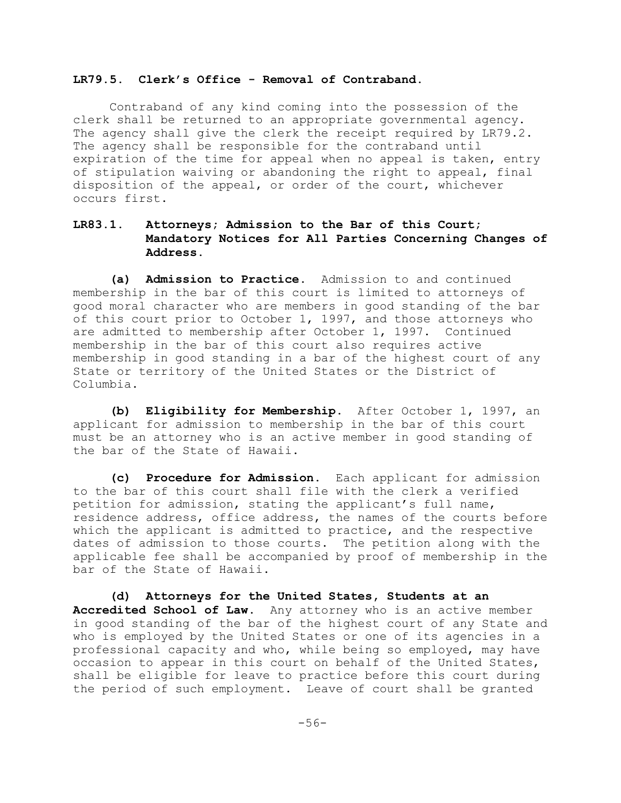### **LR79.5. Clerk's Office - Removal of Contraband.**

Contraband of any kind coming into the possession of the clerk shall be returned to an appropriate governmental agency. The agency shall give the clerk the receipt required by LR79.2. The agency shall be responsible for the contraband until expiration of the time for appeal when no appeal is taken, entry of stipulation waiving or abandoning the right to appeal, final disposition of the appeal, or order of the court, whichever occurs first.

# **LR83.1. Attorneys; Admission to the Bar of this Court; Mandatory Notices for All Parties Concerning Changes of Address.**

**(a) Admission to Practice.** Admission to and continued membership in the bar of this court is limited to attorneys of good moral character who are members in good standing of the bar of this court prior to October 1, 1997, and those attorneys who are admitted to membership after October 1, 1997. Continued membership in the bar of this court also requires active membership in good standing in a bar of the highest court of any State or territory of the United States or the District of Columbia.

**(b) Eligibility for Membership.** After October 1, 1997, an applicant for admission to membership in the bar of this court must be an attorney who is an active member in good standing of the bar of the State of Hawaii.

**(c) Procedure for Admission.** Each applicant for admission to the bar of this court shall file with the clerk a verified petition for admission, stating the applicant's full name, residence address, office address, the names of the courts before which the applicant is admitted to practice, and the respective dates of admission to those courts. The petition along with the applicable fee shall be accompanied by proof of membership in the bar of the State of Hawaii.

**(d) Attorneys for the United States, Students at an Accredited School of Law**. Any attorney who is an active member in good standing of the bar of the highest court of any State and who is employed by the United States or one of its agencies in a professional capacity and who, while being so employed, may have occasion to appear in this court on behalf of the United States, shall be eligible for leave to practice before this court during the period of such employment. Leave of court shall be granted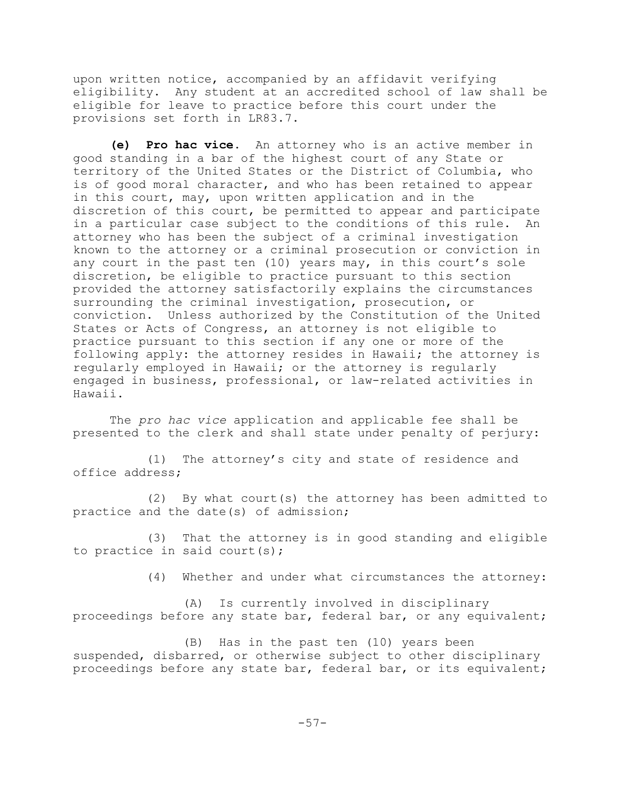upon written notice, accompanied by an affidavit verifying eligibility. Any student at an accredited school of law shall be eligible for leave to practice before this court under the provisions set forth in LR83.7.

**(e) Pro hac vice**. An attorney who is an active member in good standing in a bar of the highest court of any State or territory of the United States or the District of Columbia, who is of good moral character, and who has been retained to appear in this court, may, upon written application and in the discretion of this court, be permitted to appear and participate in a particular case subject to the conditions of this rule. An attorney who has been the subject of a criminal investigation known to the attorney or a criminal prosecution or conviction in any court in the past ten (10) years may, in this court's sole discretion, be eligible to practice pursuant to this section provided the attorney satisfactorily explains the circumstances surrounding the criminal investigation, prosecution, or conviction. Unless authorized by the Constitution of the United States or Acts of Congress, an attorney is not eligible to practice pursuant to this section if any one or more of the following apply: the attorney resides in Hawaii; the attorney is regularly employed in Hawaii; or the attorney is regularly engaged in business, professional, or law-related activities in Hawaii.

The *pro hac vice* application and applicable fee shall be presented to the clerk and shall state under penalty of perjury:

(1) The attorney's city and state of residence and office address;

(2) By what court(s) the attorney has been admitted to practice and the date(s) of admission;

(3) That the attorney is in good standing and eligible to practice in said court(s);

(4) Whether and under what circumstances the attorney:

(A) Is currently involved in disciplinary proceedings before any state bar, federal bar, or any equivalent;

(B) Has in the past ten (10) years been suspended, disbarred, or otherwise subject to other disciplinary proceedings before any state bar, federal bar, or its equivalent;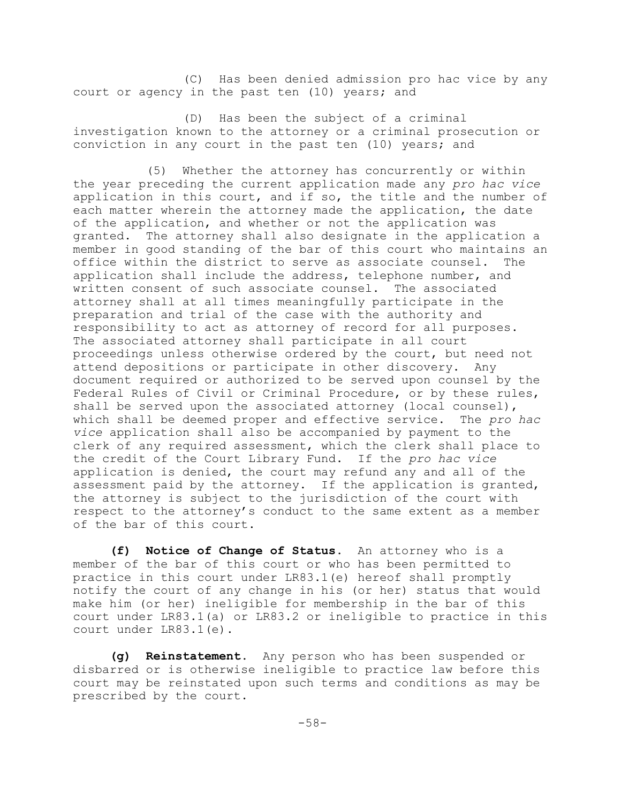(C) Has been denied admission pro hac vice by any court or agency in the past ten (10) years; and

(D) Has been the subject of a criminal investigation known to the attorney or a criminal prosecution or conviction in any court in the past ten (10) years; and

(5) Whether the attorney has concurrently or within the year preceding the current application made any *pro hac vice* application in this court, and if so, the title and the number of each matter wherein the attorney made the application, the date of the application, and whether or not the application was granted. The attorney shall also designate in the application a member in good standing of the bar of this court who maintains an office within the district to serve as associate counsel. The application shall include the address, telephone number, and written consent of such associate counsel. The associated attorney shall at all times meaningfully participate in the preparation and trial of the case with the authority and responsibility to act as attorney of record for all purposes. The associated attorney shall participate in all court proceedings unless otherwise ordered by the court, but need not attend depositions or participate in other discovery. Any document required or authorized to be served upon counsel by the Federal Rules of Civil or Criminal Procedure, or by these rules, shall be served upon the associated attorney (local counsel), which shall be deemed proper and effective service. The *pro hac vice* application shall also be accompanied by payment to the clerk of any required assessment, which the clerk shall place to the credit of the Court Library Fund. If the *pro hac vice* application is denied, the court may refund any and all of the assessment paid by the attorney. If the application is granted, the attorney is subject to the jurisdiction of the court with respect to the attorney's conduct to the same extent as a member of the bar of this court.

**(f) Notice of Change of Status.** An attorney who is a member of the bar of this court or who has been permitted to practice in this court under LR83.1(e) hereof shall promptly notify the court of any change in his (or her) status that would make him (or her) ineligible for membership in the bar of this court under LR83.1(a) or LR83.2 or ineligible to practice in this court under LR83.1(e).

**(g) Reinstatement**. Any person who has been suspended or disbarred or is otherwise ineligible to practice law before this court may be reinstated upon such terms and conditions as may be prescribed by the court.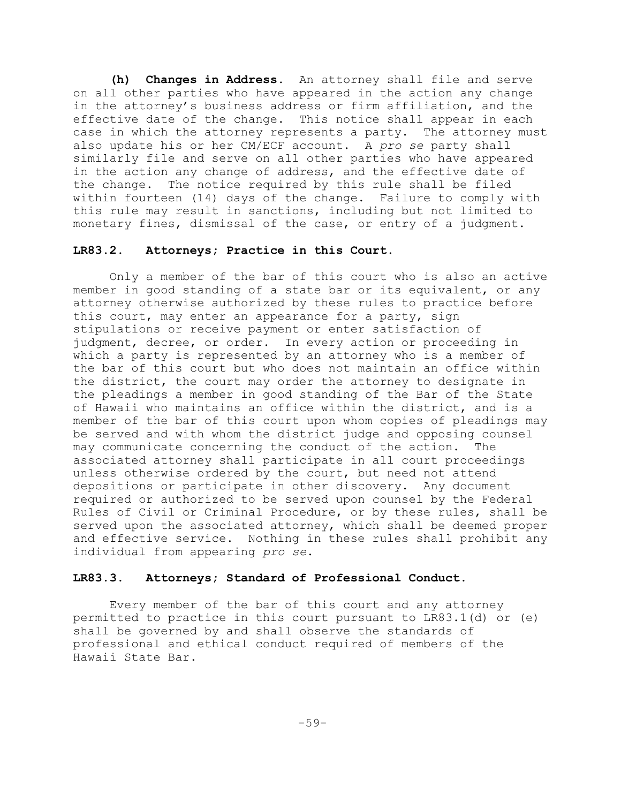**(h) Changes in Address.** An attorney shall file and serve on all other parties who have appeared in the action any change in the attorney's business address or firm affiliation, and the effective date of the change. This notice shall appear in each case in which the attorney represents a party. The attorney must also update his or her CM/ECF account. A *pro se* party shall similarly file and serve on all other parties who have appeared in the action any change of address, and the effective date of the change. The notice required by this rule shall be filed within fourteen (14) days of the change. Failure to comply with this rule may result in sanctions, including but not limited to monetary fines, dismissal of the case, or entry of a judgment.

# **LR83.2. Attorneys; Practice in this Court.**

Only a member of the bar of this court who is also an active member in good standing of a state bar or its equivalent, or any attorney otherwise authorized by these rules to practice before this court, may enter an appearance for a party, sign stipulations or receive payment or enter satisfaction of judgment, decree, or order. In every action or proceeding in which a party is represented by an attorney who is a member of the bar of this court but who does not maintain an office within the district, the court may order the attorney to designate in the pleadings a member in good standing of the Bar of the State of Hawaii who maintains an office within the district, and is a member of the bar of this court upon whom copies of pleadings may be served and with whom the district judge and opposing counsel may communicate concerning the conduct of the action. The associated attorney shall participate in all court proceedings unless otherwise ordered by the court, but need not attend depositions or participate in other discovery. Any document required or authorized to be served upon counsel by the Federal Rules of Civil or Criminal Procedure, or by these rules, shall be served upon the associated attorney, which shall be deemed proper and effective service. Nothing in these rules shall prohibit any individual from appearing *pro se*.

### **LR83.3. Attorneys; Standard of Professional Conduct.**

Every member of the bar of this court and any attorney permitted to practice in this court pursuant to LR83.1(d) or (e) shall be governed by and shall observe the standards of professional and ethical conduct required of members of the Hawaii State Bar.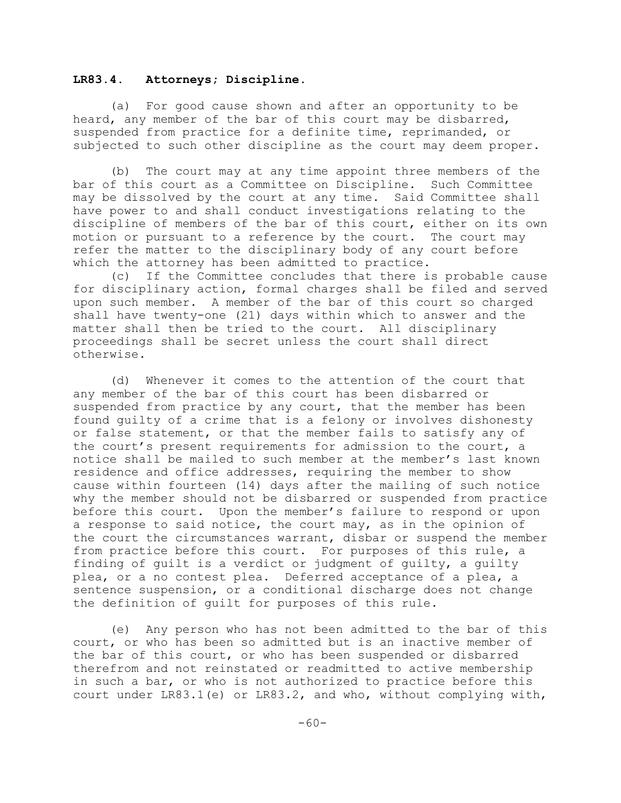#### **LR83.4. Attorneys; Discipline.**

(a) For good cause shown and after an opportunity to be heard, any member of the bar of this court may be disbarred, suspended from practice for a definite time, reprimanded, or subjected to such other discipline as the court may deem proper.

(b) The court may at any time appoint three members of the bar of this court as a Committee on Discipline. Such Committee may be dissolved by the court at any time. Said Committee shall have power to and shall conduct investigations relating to the discipline of members of the bar of this court, either on its own motion or pursuant to a reference by the court. The court may refer the matter to the disciplinary body of any court before which the attorney has been admitted to practice.

(c) If the Committee concludes that there is probable cause for disciplinary action, formal charges shall be filed and served upon such member. A member of the bar of this court so charged shall have twenty-one (21) days within which to answer and the matter shall then be tried to the court. All disciplinary proceedings shall be secret unless the court shall direct otherwise.

(d) Whenever it comes to the attention of the court that any member of the bar of this court has been disbarred or suspended from practice by any court, that the member has been found guilty of a crime that is a felony or involves dishonesty or false statement, or that the member fails to satisfy any of the court's present requirements for admission to the court, a notice shall be mailed to such member at the member's last known residence and office addresses, requiring the member to show cause within fourteen (14) days after the mailing of such notice why the member should not be disbarred or suspended from practice before this court. Upon the member's failure to respond or upon a response to said notice, the court may, as in the opinion of the court the circumstances warrant, disbar or suspend the member from practice before this court. For purposes of this rule, a finding of guilt is a verdict or judgment of guilty, a guilty plea, or a no contest plea. Deferred acceptance of a plea, a sentence suspension, or a conditional discharge does not change the definition of guilt for purposes of this rule.

(e) Any person who has not been admitted to the bar of this court, or who has been so admitted but is an inactive member of the bar of this court, or who has been suspended or disbarred therefrom and not reinstated or readmitted to active membership in such a bar, or who is not authorized to practice before this court under LR83.1(e) or LR83.2, and who, without complying with,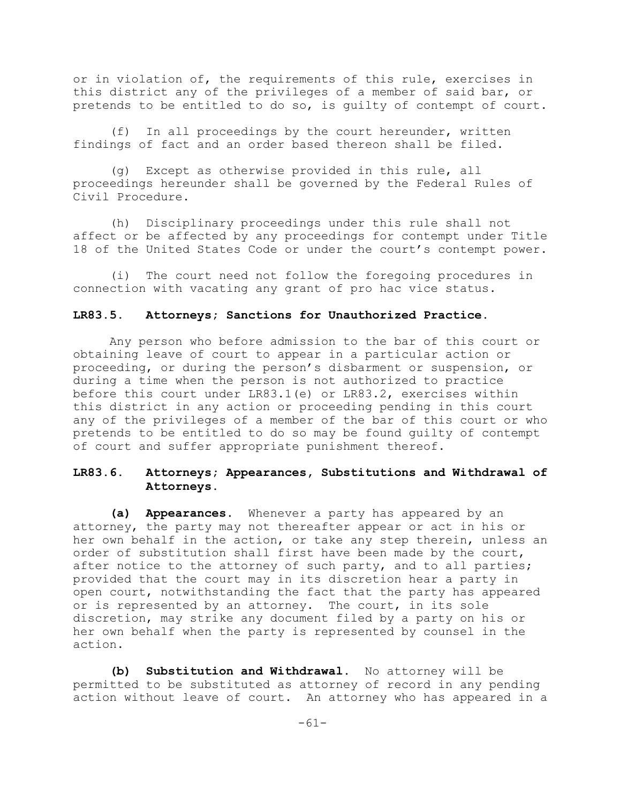or in violation of, the requirements of this rule, exercises in this district any of the privileges of a member of said bar, or pretends to be entitled to do so, is guilty of contempt of court.

(f) In all proceedings by the court hereunder, written findings of fact and an order based thereon shall be filed.

(g) Except as otherwise provided in this rule, all proceedings hereunder shall be governed by the Federal Rules of Civil Procedure.

(h) Disciplinary proceedings under this rule shall not affect or be affected by any proceedings for contempt under Title 18 of the United States Code or under the court's contempt power.

(i) The court need not follow the foregoing procedures in connection with vacating any grant of pro hac vice status.

#### **LR83.5. Attorneys; Sanctions for Unauthorized Practice.**

Any person who before admission to the bar of this court or obtaining leave of court to appear in a particular action or proceeding, or during the person's disbarment or suspension, or during a time when the person is not authorized to practice before this court under LR83.1(e) or LR83.2, exercises within this district in any action or proceeding pending in this court any of the privileges of a member of the bar of this court or who pretends to be entitled to do so may be found guilty of contempt of court and suffer appropriate punishment thereof.

## **LR83.6. Attorneys; Appearances, Substitutions and Withdrawal of Attorneys.**

**(a) Appearances.** Whenever a party has appeared by an attorney, the party may not thereafter appear or act in his or her own behalf in the action, or take any step therein, unless an order of substitution shall first have been made by the court, after notice to the attorney of such party, and to all parties; provided that the court may in its discretion hear a party in open court, notwithstanding the fact that the party has appeared or is represented by an attorney. The court, in its sole discretion, may strike any document filed by a party on his or her own behalf when the party is represented by counsel in the action.

**(b) Substitution and Withdrawal.** No attorney will be permitted to be substituted as attorney of record in any pending action without leave of court. An attorney who has appeared in a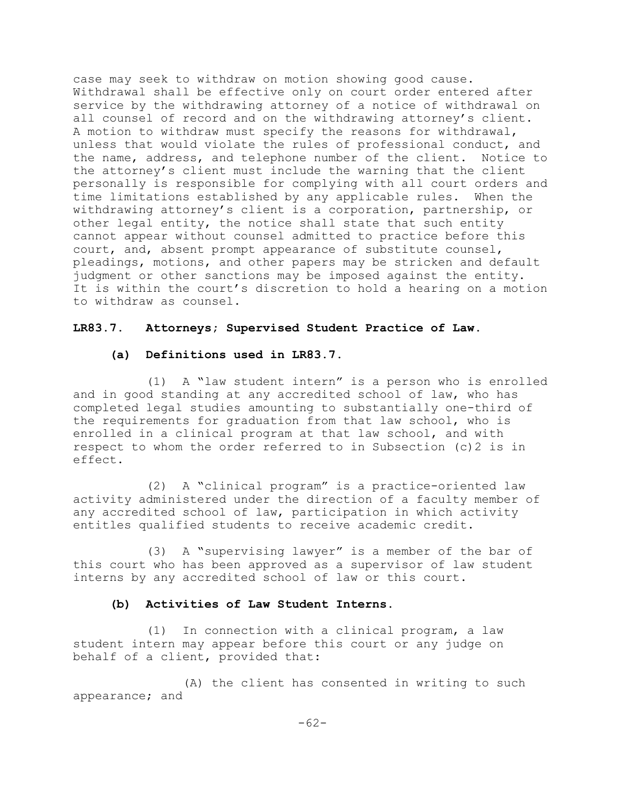case may seek to withdraw on motion showing good cause. Withdrawal shall be effective only on court order entered after service by the withdrawing attorney of a notice of withdrawal on all counsel of record and on the withdrawing attorney's client. A motion to withdraw must specify the reasons for withdrawal, unless that would violate the rules of professional conduct, and the name, address, and telephone number of the client. Notice to the attorney's client must include the warning that the client personally is responsible for complying with all court orders and time limitations established by any applicable rules. When the withdrawing attorney's client is a corporation, partnership, or other legal entity, the notice shall state that such entity cannot appear without counsel admitted to practice before this court, and, absent prompt appearance of substitute counsel, pleadings, motions, and other papers may be stricken and default judgment or other sanctions may be imposed against the entity. It is within the court's discretion to hold a hearing on a motion to withdraw as counsel.

## **LR83.7. Attorneys; Supervised Student Practice of Law.**

## **(a) Definitions used in LR83.7.**

(1) A "law student intern" is a person who is enrolled and in good standing at any accredited school of law, who has completed legal studies amounting to substantially one-third of the requirements for graduation from that law school, who is enrolled in a clinical program at that law school, and with respect to whom the order referred to in Subsection (c)2 is in effect.

(2) A "clinical program" is a practice-oriented law activity administered under the direction of a faculty member of any accredited school of law, participation in which activity entitles qualified students to receive academic credit.

(3) A "supervising lawyer" is a member of the bar of this court who has been approved as a supervisor of law student interns by any accredited school of law or this court.

## **(b) Activities of Law Student Interns.**

(1) In connection with a clinical program, a law student intern may appear before this court or any judge on behalf of a client, provided that:

(A) the client has consented in writing to such appearance; and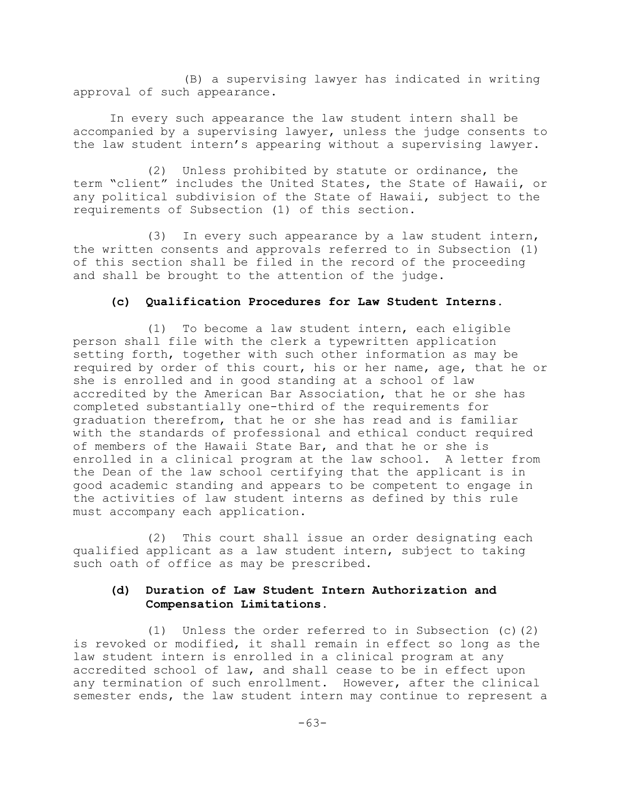(B) a supervising lawyer has indicated in writing approval of such appearance.

In every such appearance the law student intern shall be accompanied by a supervising lawyer, unless the judge consents to the law student intern's appearing without a supervising lawyer.

(2) Unless prohibited by statute or ordinance, the term "client" includes the United States, the State of Hawaii, or any political subdivision of the State of Hawaii, subject to the requirements of Subsection (1) of this section.

(3) In every such appearance by a law student intern, the written consents and approvals referred to in Subsection (1) of this section shall be filed in the record of the proceeding and shall be brought to the attention of the judge.

### **(c) Qualification Procedures for Law Student Interns.**

(1) To become a law student intern, each eligible person shall file with the clerk a typewritten application setting forth, together with such other information as may be required by order of this court, his or her name, age, that he or she is enrolled and in good standing at a school of law accredited by the American Bar Association, that he or she has completed substantially one-third of the requirements for graduation therefrom, that he or she has read and is familiar with the standards of professional and ethical conduct required of members of the Hawaii State Bar, and that he or she is enrolled in a clinical program at the law school. A letter from the Dean of the law school certifying that the applicant is in good academic standing and appears to be competent to engage in the activities of law student interns as defined by this rule must accompany each application.

(2) This court shall issue an order designating each qualified applicant as a law student intern, subject to taking such oath of office as may be prescribed.

## **(d) Duration of Law Student Intern Authorization and Compensation Limitations.**

(1) Unless the order referred to in Subsection (c)(2) is revoked or modified, it shall remain in effect so long as the law student intern is enrolled in a clinical program at any accredited school of law, and shall cease to be in effect upon any termination of such enrollment. However, after the clinical semester ends, the law student intern may continue to represent a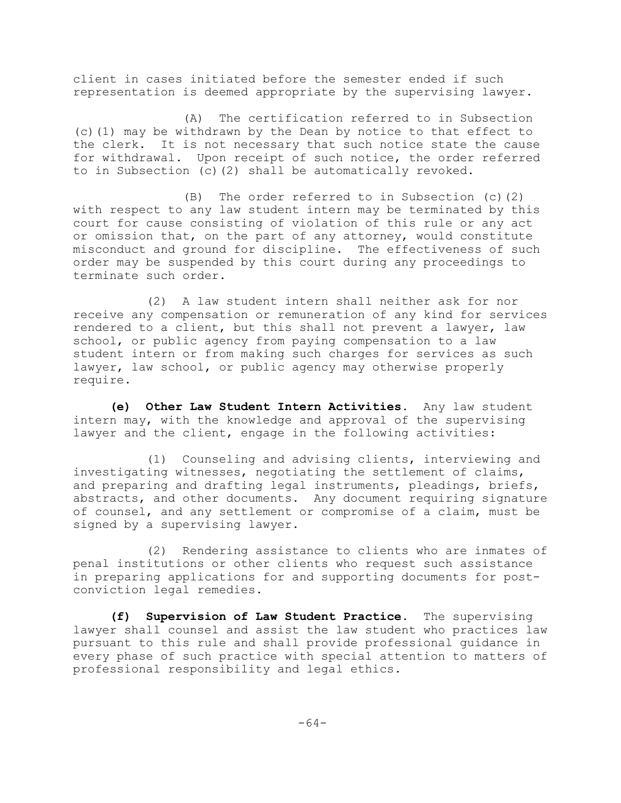client in cases initiated before the semester ended if such representation is deemed appropriate by the supervising lawyer.

(A) The certification referred to in Subsection (c)(1) may be withdrawn by the Dean by notice to that effect to the clerk. It is not necessary that such notice state the cause for withdrawal. Upon receipt of such notice, the order referred to in Subsection (c)(2) shall be automatically revoked.

(B) The order referred to in Subsection (c)(2) with respect to any law student intern may be terminated by this court for cause consisting of violation of this rule or any act or omission that, on the part of any attorney, would constitute misconduct and ground for discipline. The effectiveness of such order may be suspended by this court during any proceedings to terminate such order.

(2) A law student intern shall neither ask for nor receive any compensation or remuneration of any kind for services rendered to a client, but this shall not prevent a lawyer, law school, or public agency from paying compensation to a law student intern or from making such charges for services as such lawyer, law school, or public agency may otherwise properly require.

**(e) Other Law Student Intern Activities.** Any law student intern may, with the knowledge and approval of the supervising lawyer and the client, engage in the following activities:

(1) Counseling and advising clients, interviewing and investigating witnesses, negotiating the settlement of claims, and preparing and drafting legal instruments, pleadings, briefs, abstracts, and other documents. Any document requiring signature of counsel, and any settlement or compromise of a claim, must be signed by a supervising lawyer.

(2) Rendering assistance to clients who are inmates of penal institutions or other clients who request such assistance in preparing applications for and supporting documents for postconviction legal remedies.

**(f) Supervision of Law Student Practice.** The supervising lawyer shall counsel and assist the law student who practices law pursuant to this rule and shall provide professional guidance in every phase of such practice with special attention to matters of professional responsibility and legal ethics.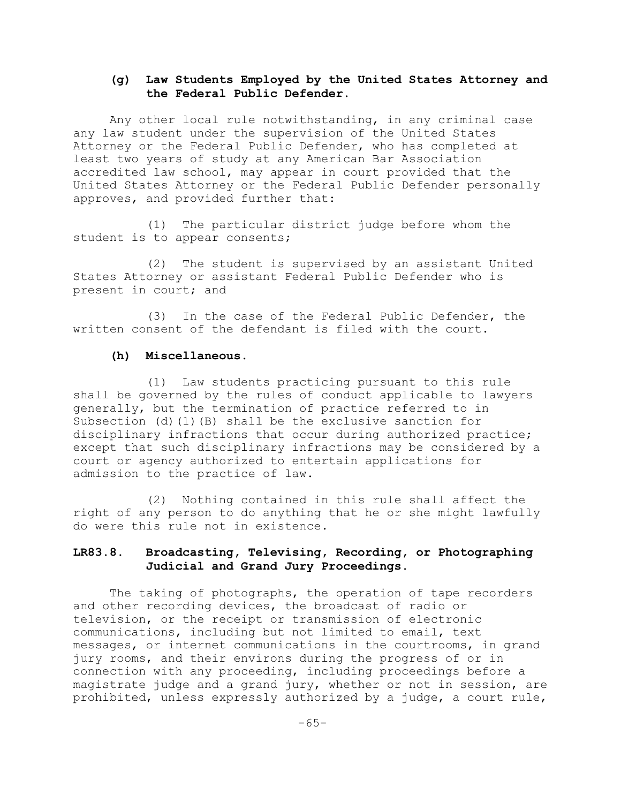# **(g) Law Students Employed by the United States Attorney and the Federal Public Defender**.

Any other local rule notwithstanding, in any criminal case any law student under the supervision of the United States Attorney or the Federal Public Defender, who has completed at least two years of study at any American Bar Association accredited law school, may appear in court provided that the United States Attorney or the Federal Public Defender personally approves, and provided further that:

(1) The particular district judge before whom the student is to appear consents;

(2) The student is supervised by an assistant United States Attorney or assistant Federal Public Defender who is present in court; and

(3) In the case of the Federal Public Defender, the written consent of the defendant is filed with the court.

#### **(h) Miscellaneous.**

(1) Law students practicing pursuant to this rule shall be governed by the rules of conduct applicable to lawyers generally, but the termination of practice referred to in Subsection (d)(1)(B) shall be the exclusive sanction for disciplinary infractions that occur during authorized practice; except that such disciplinary infractions may be considered by a court or agency authorized to entertain applications for admission to the practice of law.

(2) Nothing contained in this rule shall affect the right of any person to do anything that he or she might lawfully do were this rule not in existence.

# **LR83.8. Broadcasting, Televising, Recording, or Photographing Judicial and Grand Jury Proceedings.**

The taking of photographs, the operation of tape recorders and other recording devices, the broadcast of radio or television, or the receipt or transmission of electronic communications, including but not limited to email, text messages, or internet communications in the courtrooms, in grand jury rooms, and their environs during the progress of or in connection with any proceeding, including proceedings before a magistrate judge and a grand jury, whether or not in session, are prohibited, unless expressly authorized by a judge, a court rule,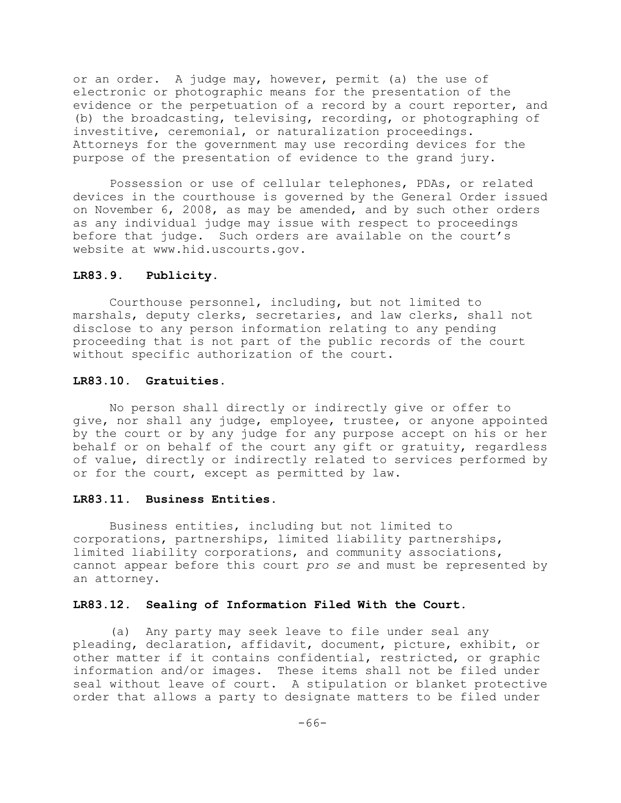or an order. A judge may, however, permit (a) the use of electronic or photographic means for the presentation of the evidence or the perpetuation of a record by a court reporter, and (b) the broadcasting, televising, recording, or photographing of investitive, ceremonial, or naturalization proceedings. Attorneys for the government may use recording devices for the purpose of the presentation of evidence to the grand jury.

Possession or use of cellular telephones, PDAs, or related devices in the courthouse is governed by the General Order issued on November 6, 2008, as may be amended, and by such other orders as any individual judge may issue with respect to proceedings before that judge. Such orders are available on the court's website at www.hid.uscourts.gov.

#### **LR83.9. Publicity.**

Courthouse personnel, including, but not limited to marshals, deputy clerks, secretaries, and law clerks, shall not disclose to any person information relating to any pending proceeding that is not part of the public records of the court without specific authorization of the court.

#### **LR83.10. Gratuities.**

No person shall directly or indirectly give or offer to give, nor shall any judge, employee, trustee, or anyone appointed by the court or by any judge for any purpose accept on his or her behalf or on behalf of the court any gift or gratuity, regardless of value, directly or indirectly related to services performed by or for the court, except as permitted by law.

#### **LR83.11. Business Entities.**

Business entities, including but not limited to corporations, partnerships, limited liability partnerships, limited liability corporations, and community associations, cannot appear before this court *pro se* and must be represented by an attorney.

#### **LR83.12. Sealing of Information Filed With the Court.**

(a) Any party may seek leave to file under seal any pleading, declaration, affidavit, document, picture, exhibit, or other matter if it contains confidential, restricted, or graphic information and/or images. These items shall not be filed under seal without leave of court. A stipulation or blanket protective order that allows a party to designate matters to be filed under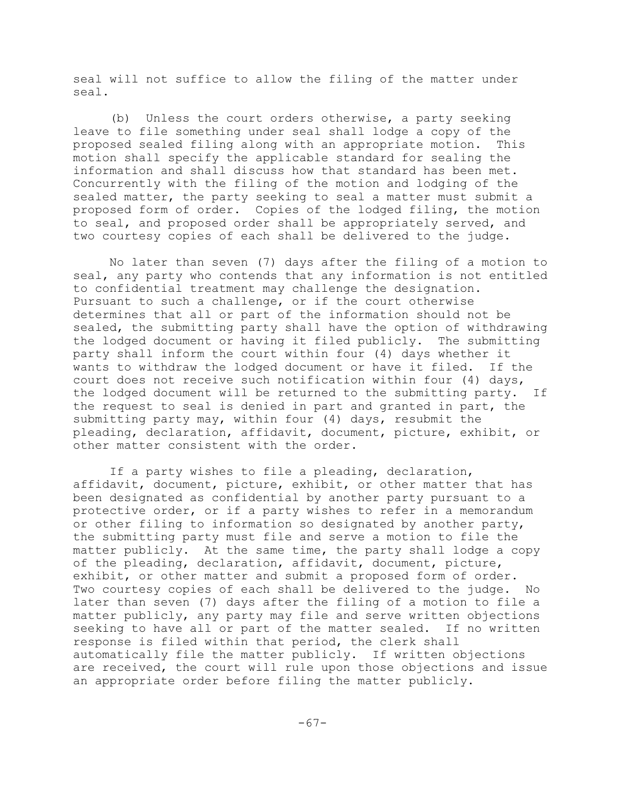seal will not suffice to allow the filing of the matter under seal.

(b) Unless the court orders otherwise, a party seeking leave to file something under seal shall lodge a copy of the proposed sealed filing along with an appropriate motion. This motion shall specify the applicable standard for sealing the information and shall discuss how that standard has been met. Concurrently with the filing of the motion and lodging of the sealed matter, the party seeking to seal a matter must submit a proposed form of order. Copies of the lodged filing, the motion to seal, and proposed order shall be appropriately served, and two courtesy copies of each shall be delivered to the judge.

No later than seven (7) days after the filing of a motion to seal, any party who contends that any information is not entitled to confidential treatment may challenge the designation. Pursuant to such a challenge, or if the court otherwise determines that all or part of the information should not be sealed, the submitting party shall have the option of withdrawing the lodged document or having it filed publicly. The submitting party shall inform the court within four (4) days whether it wants to withdraw the lodged document or have it filed. If the court does not receive such notification within four (4) days, the lodged document will be returned to the submitting party. If the request to seal is denied in part and granted in part, the submitting party may, within four (4) days, resubmit the pleading, declaration, affidavit, document, picture, exhibit, or other matter consistent with the order.

If a party wishes to file a pleading, declaration, affidavit, document, picture, exhibit, or other matter that has been designated as confidential by another party pursuant to a protective order, or if a party wishes to refer in a memorandum or other filing to information so designated by another party, the submitting party must file and serve a motion to file the matter publicly. At the same time, the party shall lodge a copy of the pleading, declaration, affidavit, document, picture, exhibit, or other matter and submit a proposed form of order. Two courtesy copies of each shall be delivered to the judge. No later than seven (7) days after the filing of a motion to file a matter publicly, any party may file and serve written objections seeking to have all or part of the matter sealed. If no written response is filed within that period, the clerk shall automatically file the matter publicly. If written objections are received, the court will rule upon those objections and issue an appropriate order before filing the matter publicly.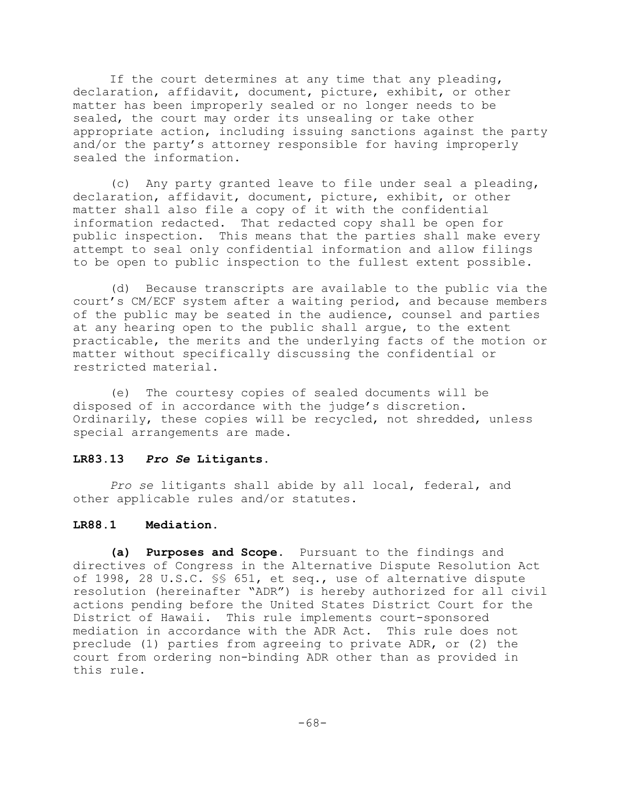If the court determines at any time that any pleading, declaration, affidavit, document, picture, exhibit, or other matter has been improperly sealed or no longer needs to be sealed, the court may order its unsealing or take other appropriate action, including issuing sanctions against the party and/or the party's attorney responsible for having improperly sealed the information.

(c) Any party granted leave to file under seal a pleading, declaration, affidavit, document, picture, exhibit, or other matter shall also file a copy of it with the confidential information redacted. That redacted copy shall be open for public inspection. This means that the parties shall make every attempt to seal only confidential information and allow filings to be open to public inspection to the fullest extent possible.

(d) Because transcripts are available to the public via the court's CM/ECF system after a waiting period, and because members of the public may be seated in the audience, counsel and parties at any hearing open to the public shall argue, to the extent practicable, the merits and the underlying facts of the motion or matter without specifically discussing the confidential or restricted material.

(e) The courtesy copies of sealed documents will be disposed of in accordance with the judge's discretion. Ordinarily, these copies will be recycled, not shredded, unless special arrangements are made.

### **LR83.13** *Pro Se* **Litigants.**

*Pro se* litigants shall abide by all local, federal, and other applicable rules and/or statutes.

# **LR88.1 Mediation.**

**(a) Purposes and Scope.** Pursuant to the findings and directives of Congress in the Alternative Dispute Resolution Act of 1998, 28 U.S.C. §§ 651, et seq., use of alternative dispute resolution (hereinafter "ADR") is hereby authorized for all civil actions pending before the United States District Court for the District of Hawaii. This rule implements court-sponsored mediation in accordance with the ADR Act. This rule does not preclude (1) parties from agreeing to private ADR, or (2) the court from ordering non-binding ADR other than as provided in this rule.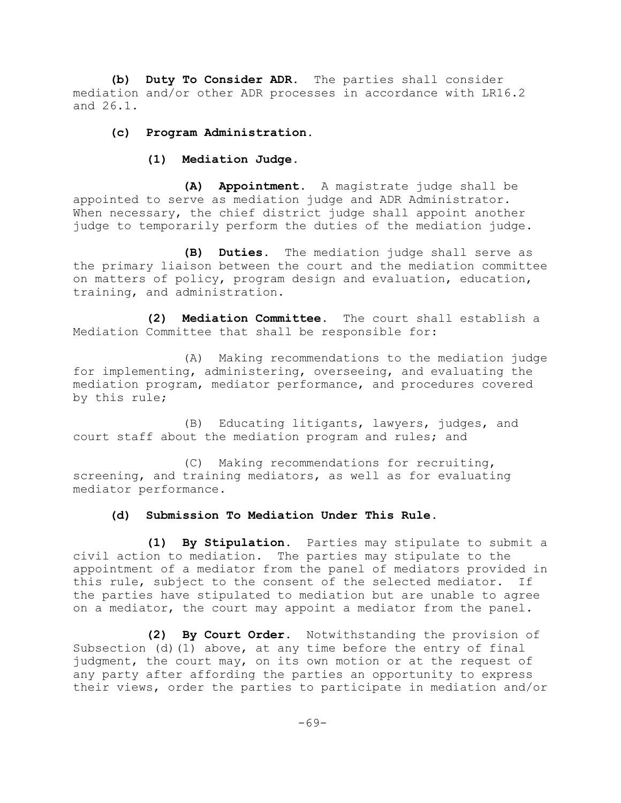**(b) Duty To Consider ADR.** The parties shall consider mediation and/or other ADR processes in accordance with LR16.2 and 26.1.

## **(c) Program Administration.**

**(1) Mediation Judge.**

**(A) Appointment.** A magistrate judge shall be appointed to serve as mediation judge and ADR Administrator. When necessary, the chief district judge shall appoint another judge to temporarily perform the duties of the mediation judge.

**(B) Duties.** The mediation judge shall serve as the primary liaison between the court and the mediation committee on matters of policy, program design and evaluation, education, training, and administration.

**(2) Mediation Committee.** The court shall establish a Mediation Committee that shall be responsible for:

(A) Making recommendations to the mediation judge for implementing, administering, overseeing, and evaluating the mediation program, mediator performance, and procedures covered by this rule;

(B) Educating litigants, lawyers, judges, and court staff about the mediation program and rules; and

(C) Making recommendations for recruiting, screening, and training mediators, as well as for evaluating mediator performance.

### **(d) Submission To Mediation Under This Rule**.

**(1) By Stipulation.** Parties may stipulate to submit a civil action to mediation. The parties may stipulate to the appointment of a mediator from the panel of mediators provided in this rule, subject to the consent of the selected mediator. If the parties have stipulated to mediation but are unable to agree on a mediator, the court may appoint a mediator from the panel.

**(2) By Court Order.** Notwithstanding the provision of Subsection (d)(1) above, at any time before the entry of final judgment, the court may, on its own motion or at the request of any party after affording the parties an opportunity to express their views, order the parties to participate in mediation and/or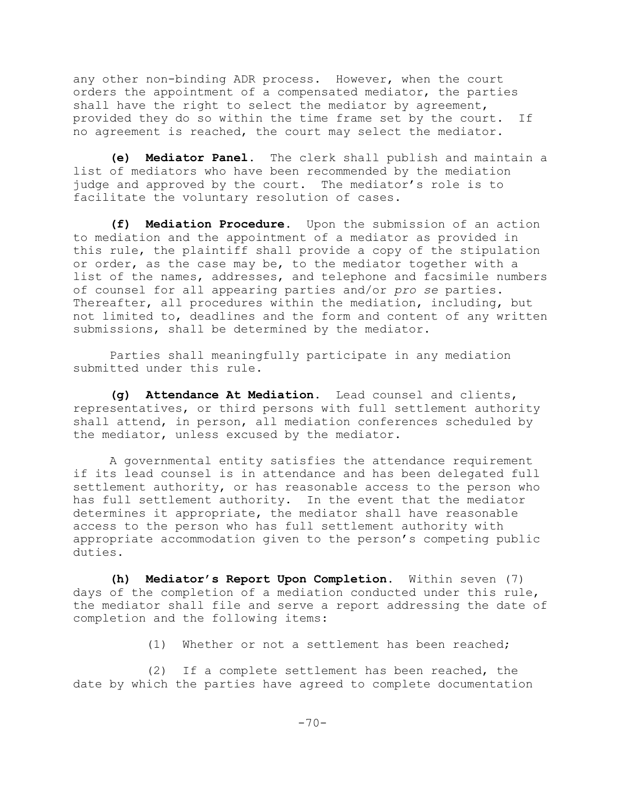any other non-binding ADR process. However, when the court orders the appointment of a compensated mediator, the parties shall have the right to select the mediator by agreement, provided they do so within the time frame set by the court. If no agreement is reached, the court may select the mediator.

**(e) Mediator Panel.** The clerk shall publish and maintain a list of mediators who have been recommended by the mediation judge and approved by the court. The mediator's role is to facilitate the voluntary resolution of cases.

**(f) Mediation Procedure.** Upon the submission of an action to mediation and the appointment of a mediator as provided in this rule, the plaintiff shall provide a copy of the stipulation or order, as the case may be, to the mediator together with a list of the names, addresses, and telephone and facsimile numbers of counsel for all appearing parties and/or *pro se* parties. Thereafter, all procedures within the mediation, including, but not limited to, deadlines and the form and content of any written submissions, shall be determined by the mediator.

Parties shall meaningfully participate in any mediation submitted under this rule.

**(g) Attendance At Mediation.** Lead counsel and clients, representatives, or third persons with full settlement authority shall attend, in person, all mediation conferences scheduled by the mediator, unless excused by the mediator.

A governmental entity satisfies the attendance requirement if its lead counsel is in attendance and has been delegated full settlement authority, or has reasonable access to the person who has full settlement authority. In the event that the mediator determines it appropriate, the mediator shall have reasonable access to the person who has full settlement authority with appropriate accommodation given to the person's competing public duties.

**(h) Mediator's Report Upon Completion.** Within seven (7) days of the completion of a mediation conducted under this rule, the mediator shall file and serve a report addressing the date of completion and the following items:

(1) Whether or not a settlement has been reached;

(2) If a complete settlement has been reached, the date by which the parties have agreed to complete documentation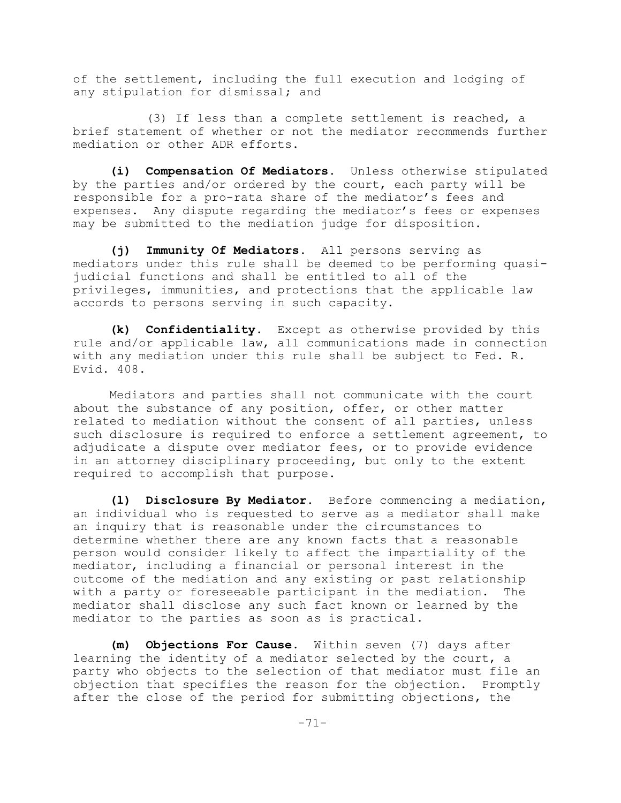of the settlement, including the full execution and lodging of any stipulation for dismissal; and

(3) If less than a complete settlement is reached, a brief statement of whether or not the mediator recommends further mediation or other ADR efforts.

**(i) Compensation Of Mediators.** Unless otherwise stipulated by the parties and/or ordered by the court, each party will be responsible for a pro-rata share of the mediator's fees and expenses. Any dispute regarding the mediator's fees or expenses may be submitted to the mediation judge for disposition.

**(j) Immunity Of Mediators.** All persons serving as mediators under this rule shall be deemed to be performing quasijudicial functions and shall be entitled to all of the privileges, immunities, and protections that the applicable law accords to persons serving in such capacity.

**(k) Confidentiality.** Except as otherwise provided by this rule and/or applicable law, all communications made in connection with any mediation under this rule shall be subject to Fed. R. Evid. 408.

Mediators and parties shall not communicate with the court about the substance of any position, offer, or other matter related to mediation without the consent of all parties, unless such disclosure is required to enforce a settlement agreement, to adjudicate a dispute over mediator fees, or to provide evidence in an attorney disciplinary proceeding, but only to the extent required to accomplish that purpose.

**(l) Disclosure By Mediator.** Before commencing a mediation, an individual who is requested to serve as a mediator shall make an inquiry that is reasonable under the circumstances to determine whether there are any known facts that a reasonable person would consider likely to affect the impartiality of the mediator, including a financial or personal interest in the outcome of the mediation and any existing or past relationship with a party or foreseeable participant in the mediation. The mediator shall disclose any such fact known or learned by the mediator to the parties as soon as is practical.

**(m) Objections For Cause.** Within seven (7) days after learning the identity of a mediator selected by the court, a party who objects to the selection of that mediator must file an objection that specifies the reason for the objection. Promptly after the close of the period for submitting objections, the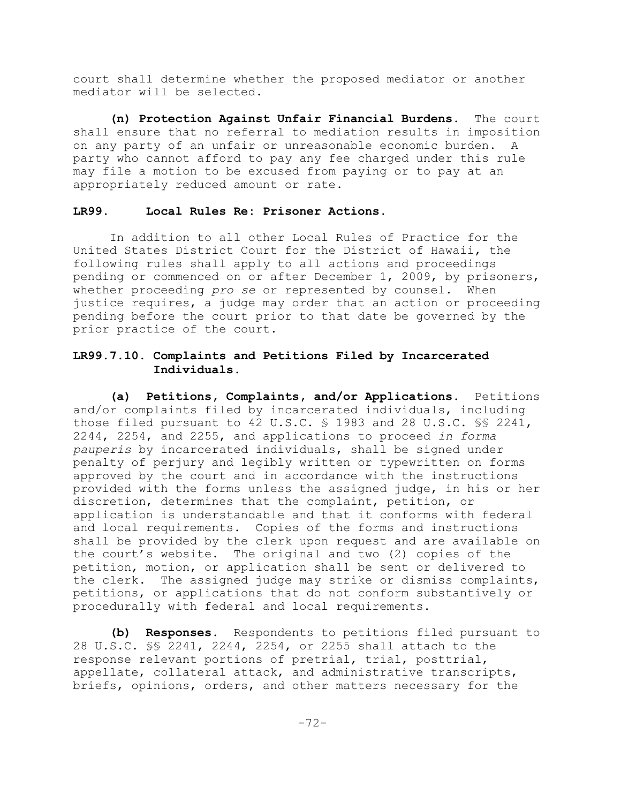court shall determine whether the proposed mediator or another mediator will be selected.

**(n) Protection Against Unfair Financial Burdens.** The court shall ensure that no referral to mediation results in imposition on any party of an unfair or unreasonable economic burden. A party who cannot afford to pay any fee charged under this rule may file a motion to be excused from paying or to pay at an appropriately reduced amount or rate.

# **LR99. Local Rules Re: Prisoner Actions**.

In addition to all other Local Rules of Practice for the United States District Court for the District of Hawaii, the following rules shall apply to all actions and proceedings pending or commenced on or after December 1, 2009, by prisoners, whether proceeding *pro se* or represented by counsel. When justice requires, a judge may order that an action or proceeding pending before the court prior to that date be governed by the prior practice of the court.

# **LR99.7.10. Complaints and Petitions Filed by Incarcerated Individuals.**

**(a) Petitions, Complaints, and/or Applications.** Petitions and/or complaints filed by incarcerated individuals, including those filed pursuant to 42 U.S.C. § 1983 and 28 U.S.C. §§ 2241, 2244, 2254, and 2255, and applications to proceed *in forma pauperis* by incarcerated individuals, shall be signed under penalty of perjury and legibly written or typewritten on forms approved by the court and in accordance with the instructions provided with the forms unless the assigned judge, in his or her discretion, determines that the complaint, petition, or application is understandable and that it conforms with federal and local requirements. Copies of the forms and instructions shall be provided by the clerk upon request and are available on the court's website. The original and two (2) copies of the petition, motion, or application shall be sent or delivered to the clerk. The assigned judge may strike or dismiss complaints, petitions, or applications that do not conform substantively or procedurally with federal and local requirements.

**(b) Responses.** Respondents to petitions filed pursuant to 28 U.S.C. §§ 2241, 2244, 2254, or 2255 shall attach to the response relevant portions of pretrial, trial, posttrial, appellate, collateral attack, and administrative transcripts, briefs, opinions, orders, and other matters necessary for the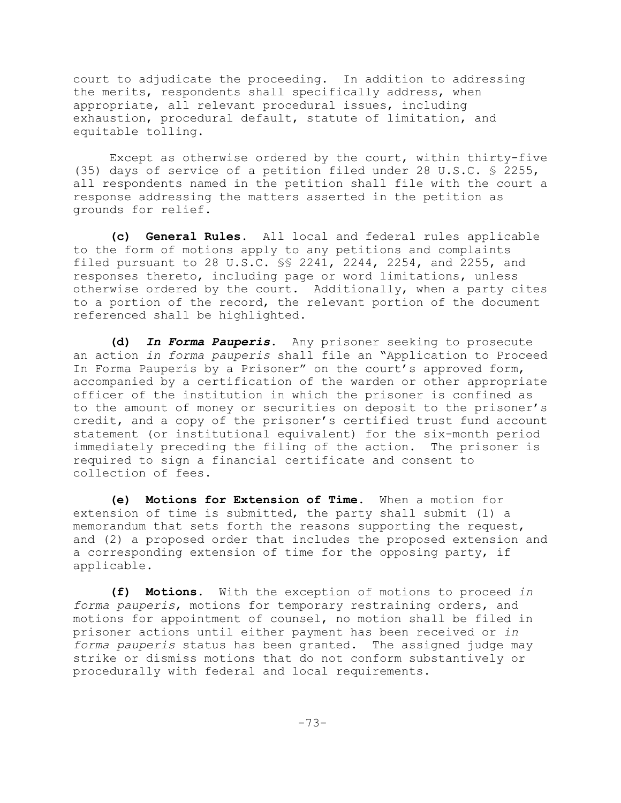court to adjudicate the proceeding. In addition to addressing the merits, respondents shall specifically address, when appropriate, all relevant procedural issues, including exhaustion, procedural default, statute of limitation, and equitable tolling.

Except as otherwise ordered by the court, within thirty-five (35) days of service of a petition filed under 28 U.S.C. § 2255, all respondents named in the petition shall file with the court a response addressing the matters asserted in the petition as grounds for relief.

**(c) General Rules.** All local and federal rules applicable to the form of motions apply to any petitions and complaints filed pursuant to 28 U.S.C. §§ 2241, 2244, 2254, and 2255, and responses thereto, including page or word limitations, unless otherwise ordered by the court. Additionally, when a party cites to a portion of the record, the relevant portion of the document referenced shall be highlighted.

**(d)** *In Forma Pauperis***.** Any prisoner seeking to prosecute an action *in forma pauperis* shall file an "Application to Proceed In Forma Pauperis by a Prisoner" on the court's approved form, accompanied by a certification of the warden or other appropriate officer of the institution in which the prisoner is confined as to the amount of money or securities on deposit to the prisoner's credit, and a copy of the prisoner's certified trust fund account statement (or institutional equivalent) for the six-month period immediately preceding the filing of the action. The prisoner is required to sign a financial certificate and consent to collection of fees.

**(e) Motions for Extension of Time.** When a motion for extension of time is submitted, the party shall submit (1) a memorandum that sets forth the reasons supporting the request, and (2) a proposed order that includes the proposed extension and a corresponding extension of time for the opposing party, if applicable.

**(f) Motions.** With the exception of motions to proceed *in forma pauperis*, motions for temporary restraining orders, and motions for appointment of counsel, no motion shall be filed in prisoner actions until either payment has been received or *in forma pauperis* status has been granted. The assigned judge may strike or dismiss motions that do not conform substantively or procedurally with federal and local requirements.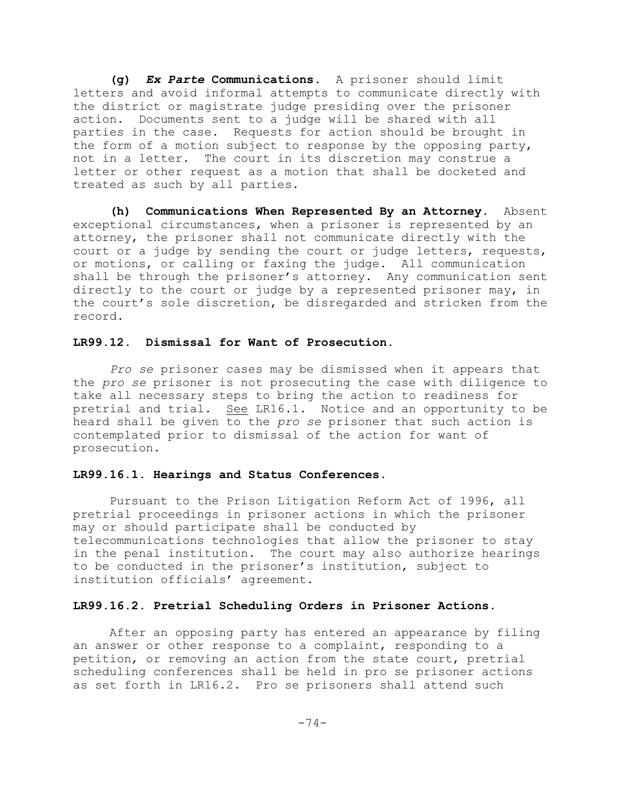**(g)** *Ex Parte* **Communications.** A prisoner should limit letters and avoid informal attempts to communicate directly with the district or magistrate judge presiding over the prisoner action. Documents sent to a judge will be shared with all parties in the case. Requests for action should be brought in the form of a motion subject to response by the opposing party, not in a letter. The court in its discretion may construe a letter or other request as a motion that shall be docketed and treated as such by all parties.

**(h) Communications When Represented By an Attorney.** Absent exceptional circumstances, when a prisoner is represented by an attorney, the prisoner shall not communicate directly with the court or a judge by sending the court or judge letters, requests, or motions, or calling or faxing the judge. All communication shall be through the prisoner's attorney. Any communication sent directly to the court or judge by a represented prisoner may, in the court's sole discretion, be disregarded and stricken from the record.

## **LR99.12. Dismissal for Want of Prosecution.**

*Pro se* prisoner cases may be dismissed when it appears that the *pro se* prisoner is not prosecuting the case with diligence to take all necessary steps to bring the action to readiness for pretrial and trial. See LR16.1. Notice and an opportunity to be heard shall be given to the *pro se* prisoner that such action is contemplated prior to dismissal of the action for want of prosecution.

## **LR99.16.1**. **Hearings and Status Conferences**.

Pursuant to the Prison Litigation Reform Act of 1996, all pretrial proceedings in prisoner actions in which the prisoner may or should participate shall be conducted by telecommunications technologies that allow the prisoner to stay in the penal institution. The court may also authorize hearings to be conducted in the prisoner's institution, subject to institution officials' agreement.

## **LR99.16.2. Pretrial Scheduling Orders in Prisoner Actions**.

After an opposing party has entered an appearance by filing an answer or other response to a complaint, responding to a petition, or removing an action from the state court, pretrial scheduling conferences shall be held in pro se prisoner actions as set forth in LR16.2. Pro se prisoners shall attend such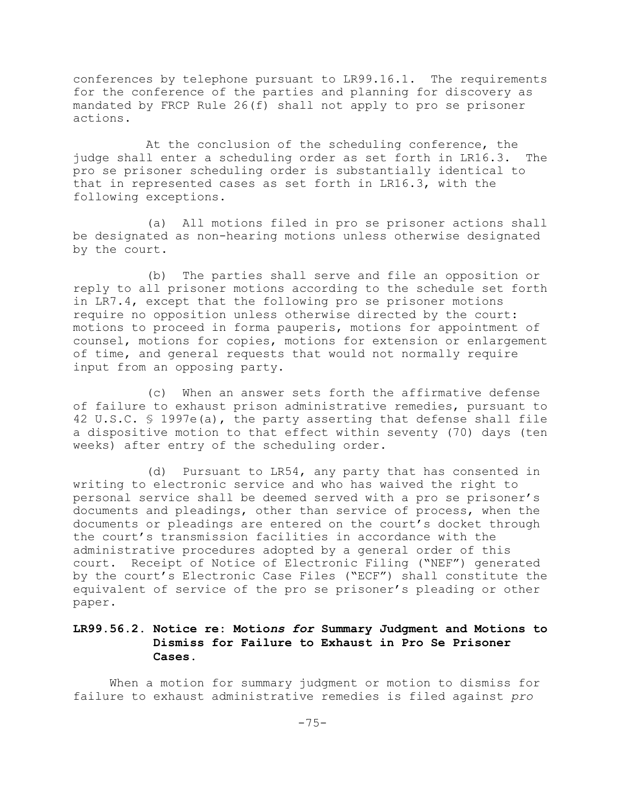conferences by telephone pursuant to LR99.16.1. The requirements for the conference of the parties and planning for discovery as mandated by FRCP Rule 26(f) shall not apply to pro se prisoner actions.

At the conclusion of the scheduling conference, the judge shall enter a scheduling order as set forth in LR16.3. The pro se prisoner scheduling order is substantially identical to that in represented cases as set forth in LR16.3, with the following exceptions.

(a) All motions filed in pro se prisoner actions shall be designated as non-hearing motions unless otherwise designated by the court.

(b) The parties shall serve and file an opposition or reply to all prisoner motions according to the schedule set forth in LR7.4, except that the following pro se prisoner motions require no opposition unless otherwise directed by the court: motions to proceed in forma pauperis, motions for appointment of counsel, motions for copies, motions for extension or enlargement of time, and general requests that would not normally require input from an opposing party.

(c) When an answer sets forth the affirmative defense of failure to exhaust prison administrative remedies, pursuant to 42 U.S.C. § 1997e(a), the party asserting that defense shall file a dispositive motion to that effect within seventy (70) days (ten weeks) after entry of the scheduling order.

(d) Pursuant to LR54, any party that has consented in writing to electronic service and who has waived the right to personal service shall be deemed served with a pro se prisoner's documents and pleadings, other than service of process, when the documents or pleadings are entered on the court's docket through the court's transmission facilities in accordance with the administrative procedures adopted by a general order of this court. Receipt of Notice of Electronic Filing ("NEF") generated by the court's Electronic Case Files ("ECF") shall constitute the equivalent of service of the pro se prisoner's pleading or other paper.

# **LR99.56.2. Notice re: Motio***ns for* **Summary Judgment and Motions to Dismiss for Failure to Exhaust in Pro Se Prisoner Cases.**

When a motion for summary judgment or motion to dismiss for failure to exhaust administrative remedies is filed against *pro*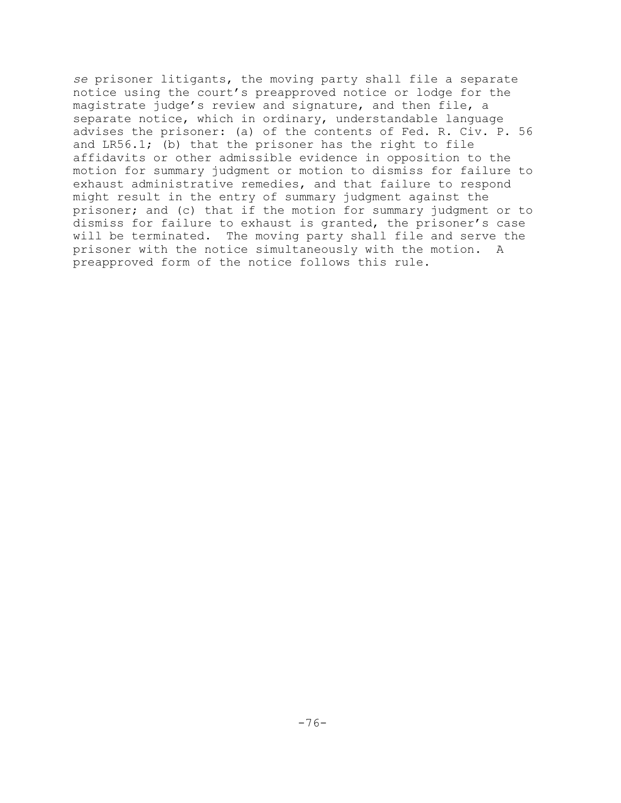*se* prisoner litigants, the moving party shall file a separate notice using the court's preapproved notice or lodge for the magistrate judge's review and signature, and then file, a separate notice, which in ordinary, understandable language advises the prisoner: (a) of the contents of Fed. R. Civ. P. 56 and LR56.1; (b) that the prisoner has the right to file affidavits or other admissible evidence in opposition to the motion for summary judgment or motion to dismiss for failure to exhaust administrative remedies, and that failure to respond might result in the entry of summary judgment against the prisoner; and (c) that if the motion for summary judgment or to dismiss for failure to exhaust is granted, the prisoner's case will be terminated. The moving party shall file and serve the prisoner with the notice simultaneously with the motion. A preapproved form of the notice follows this rule.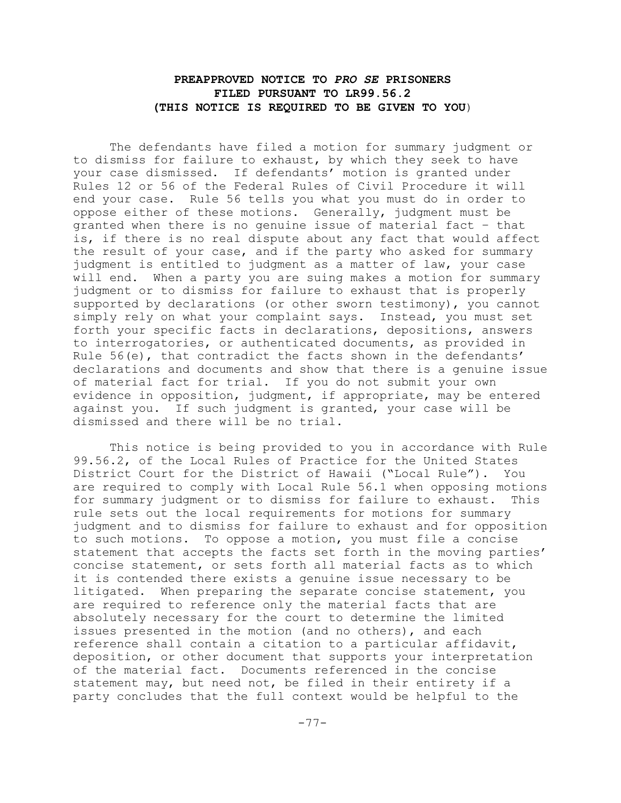# **PREAPPROVED NOTICE TO** *PRO SE* **PRISONERS FILED PURSUANT TO LR99.56.2 (THIS NOTICE IS REQUIRED TO BE GIVEN TO YOU**)

The defendants have filed a motion for summary judgment or to dismiss for failure to exhaust, by which they seek to have your case dismissed. If defendants' motion is granted under Rules 12 or 56 of the Federal Rules of Civil Procedure it will end your case. Rule 56 tells you what you must do in order to oppose either of these motions. Generally, judgment must be granted when there is no genuine issue of material fact – that is, if there is no real dispute about any fact that would affect the result of your case, and if the party who asked for summary judgment is entitled to judgment as a matter of law, your case will end. When a party you are suing makes a motion for summary judgment or to dismiss for failure to exhaust that is properly supported by declarations (or other sworn testimony), you cannot simply rely on what your complaint says. Instead, you must set forth your specific facts in declarations, depositions, answers to interrogatories, or authenticated documents, as provided in Rule 56(e), that contradict the facts shown in the defendants' declarations and documents and show that there is a genuine issue of material fact for trial. If you do not submit your own evidence in opposition, judgment, if appropriate, may be entered against you. If such judgment is granted, your case will be dismissed and there will be no trial.

This notice is being provided to you in accordance with Rule 99.56.2, of the Local Rules of Practice for the United States District Court for the District of Hawaii ("Local Rule"). You are required to comply with Local Rule 56.1 when opposing motions for summary judgment or to dismiss for failure to exhaust. This rule sets out the local requirements for motions for summary judgment and to dismiss for failure to exhaust and for opposition to such motions. To oppose a motion, you must file a concise statement that accepts the facts set forth in the moving parties' concise statement, or sets forth all material facts as to which it is contended there exists a genuine issue necessary to be litigated. When preparing the separate concise statement, you are required to reference only the material facts that are absolutely necessary for the court to determine the limited issues presented in the motion (and no others), and each reference shall contain a citation to a particular affidavit, deposition, or other document that supports your interpretation of the material fact. Documents referenced in the concise statement may, but need not, be filed in their entirety if a party concludes that the full context would be helpful to the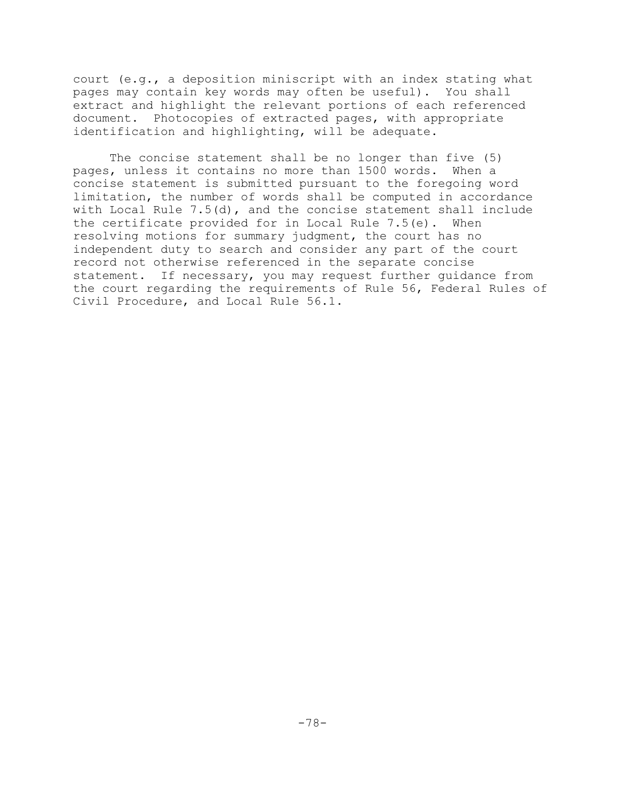court (e.g., a deposition miniscript with an index stating what pages may contain key words may often be useful). You shall extract and highlight the relevant portions of each referenced document. Photocopies of extracted pages, with appropriate identification and highlighting, will be adequate.

The concise statement shall be no longer than five (5) pages, unless it contains no more than 1500 words. When a concise statement is submitted pursuant to the foregoing word limitation, the number of words shall be computed in accordance with Local Rule  $7.5(d)$ , and the concise statement shall include the certificate provided for in Local Rule 7.5(e). When resolving motions for summary judgment, the court has no independent duty to search and consider any part of the court record not otherwise referenced in the separate concise statement. If necessary, you may request further guidance from the court regarding the requirements of Rule 56, Federal Rules of Civil Procedure, and Local Rule 56.1.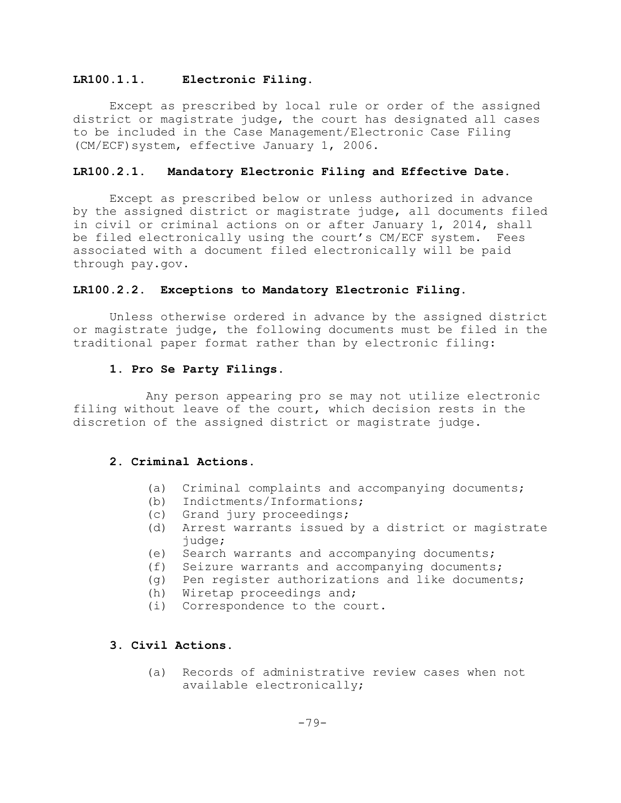## **LR100.1.1. Electronic Filing.**

Except as prescribed by local rule or order of the assigned district or magistrate judge, the court has designated all cases to be included in the Case Management/Electronic Case Filing (CM/ECF)system, effective January 1, 2006.

## **LR100.2.1. Mandatory Electronic Filing and Effective Date.**

Except as prescribed below or unless authorized in advance by the assigned district or magistrate judge, all documents filed in civil or criminal actions on or after January 1, 2014, shall be filed electronically using the court's CM/ECF system. Fees associated with a document filed electronically will be paid through pay.gov.

## **LR100.2.2**. **Exceptions to Mandatory Electronic Filing.**

Unless otherwise ordered in advance by the assigned district or magistrate judge, the following documents must be filed in the traditional paper format rather than by electronic filing:

## **1. Pro Se Party Filings**.

Any person appearing pro se may not utilize electronic filing without leave of the court, which decision rests in the discretion of the assigned district or magistrate judge.

### **2**. **Criminal Actions**.

- (a) Criminal complaints and accompanying documents;
- (b) Indictments/Informations;
- (c) Grand jury proceedings;
- (d) Arrest warrants issued by a district or magistrate judge;
- (e) Search warrants and accompanying documents;
- (f) Seizure warrants and accompanying documents;
- (g) Pen register authorizations and like documents;
- (h) Wiretap proceedings and;
- (i) Correspondence to the court.

# **3**. **Civil Actions**.

(a) Records of administrative review cases when not available electronically;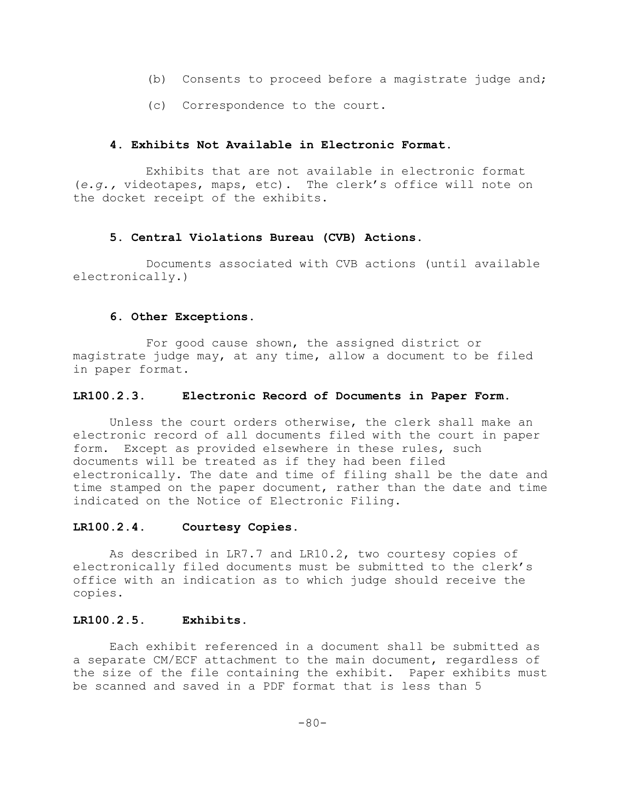- (b) Consents to proceed before a magistrate judge and;
- (c) Correspondence to the court.

## **4. Exhibits Not Available in Electronic Format.**

Exhibits that are not available in electronic format (*e.g.,* videotapes, maps, etc). The clerk's office will note on the docket receipt of the exhibits.

# **5. Central Violations Bureau (CVB) Actions**.

Documents associated with CVB actions (until available electronically.)

## **6. Other Exceptions.**

For good cause shown, the assigned district or magistrate judge may, at any time, allow a document to be filed in paper format.

## **LR100.2.3. Electronic Record of Documents in Paper Form.**

Unless the court orders otherwise, the clerk shall make an electronic record of all documents filed with the court in paper form. Except as provided elsewhere in these rules, such documents will be treated as if they had been filed electronically. The date and time of filing shall be the date and time stamped on the paper document, rather than the date and time indicated on the Notice of Electronic Filing.

## **LR100.2.4. Courtesy Copies.**

As described in LR7.7 and LR10.2, two courtesy copies of electronically filed documents must be submitted to the clerk's office with an indication as to which judge should receive the copies.

## **LR100.2.5. Exhibits.**

Each exhibit referenced in a document shall be submitted as a separate CM/ECF attachment to the main document, regardless of the size of the file containing the exhibit. Paper exhibits must be scanned and saved in a PDF format that is less than 5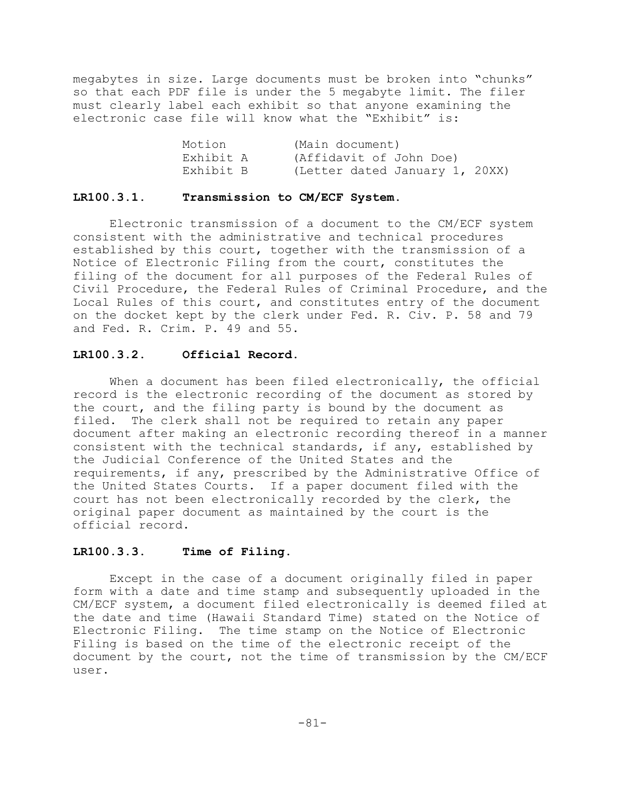megabytes in size. Large documents must be broken into "chunks" so that each PDF file is under the 5 megabyte limit. The filer must clearly label each exhibit so that anyone examining the electronic case file will know what the "Exhibit" is:

| Motion    | (Main document)                |  |
|-----------|--------------------------------|--|
| Exhibit A | (Affidavit of John Doe)        |  |
| Exhibit B | (Letter dated January 1, 20XX) |  |

### **LR100.3.1. Transmission to CM/ECF System.**

Electronic transmission of a document to the CM/ECF system consistent with the administrative and technical procedures established by this court, together with the transmission of a Notice of Electronic Filing from the court, constitutes the filing of the document for all purposes of the Federal Rules of Civil Procedure, the Federal Rules of Criminal Procedure, and the Local Rules of this court, and constitutes entry of the document on the docket kept by the clerk under Fed. R. Civ. P. 58 and 79 and Fed. R. Crim. P. 49 and 55.

# **LR100**.**3.2. Official Record.**

When a document has been filed electronically, the official record is the electronic recording of the document as stored by the court, and the filing party is bound by the document as filed. The clerk shall not be required to retain any paper document after making an electronic recording thereof in a manner consistent with the technical standards, if any, established by the Judicial Conference of the United States and the requirements, if any, prescribed by the Administrative Office of the United States Courts. If a paper document filed with the court has not been electronically recorded by the clerk, the original paper document as maintained by the court is the official record.

# **LR100.3.3. Time of Filing.**

Except in the case of a document originally filed in paper form with a date and time stamp and subsequently uploaded in the CM/ECF system, a document filed electronically is deemed filed at the date and time (Hawaii Standard Time) stated on the Notice of Electronic Filing. The time stamp on the Notice of Electronic Filing is based on the time of the electronic receipt of the document by the court, not the time of transmission by the CM/ECF user.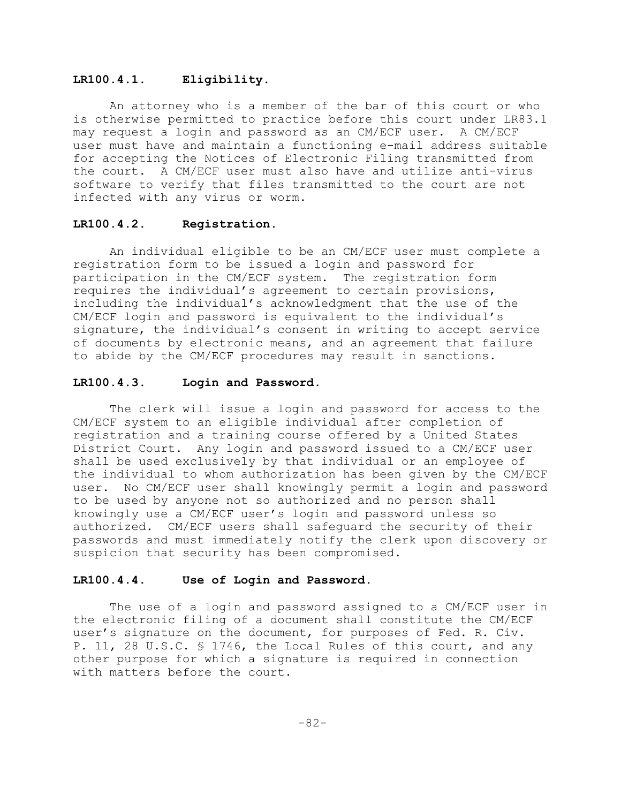#### **LR100.4.1. Eligibility.**

An attorney who is a member of the bar of this court or who is otherwise permitted to practice before this court under LR83.1 may request a login and password as an CM/ECF user. A CM/ECF user must have and maintain a functioning e-mail address suitable for accepting the Notices of Electronic Filing transmitted from the court. A CM/ECF user must also have and utilize anti-virus software to verify that files transmitted to the court are not infected with any virus or worm.

### **LR100.4.2. Registration.**

An individual eligible to be an CM/ECF user must complete a registration form to be issued a login and password for participation in the CM/ECF system. The registration form requires the individual's agreement to certain provisions, including the individual's acknowledgment that the use of the CM/ECF login and password is equivalent to the individual's signature, the individual's consent in writing to accept service of documents by electronic means, and an agreement that failure to abide by the CM/ECF procedures may result in sanctions.

### **LR100.4.3. Login and Password.**

The clerk will issue a login and password for access to the CM/ECF system to an eligible individual after completion of registration and a training course offered by a United States District Court. Any login and password issued to a CM/ECF user shall be used exclusively by that individual or an employee of the individual to whom authorization has been given by the CM/ECF user. No CM/ECF user shall knowingly permit a login and password to be used by anyone not so authorized and no person shall knowingly use a CM/ECF user's login and password unless so authorized. CM/ECF users shall safeguard the security of their passwords and must immediately notify the clerk upon discovery or suspicion that security has been compromised.

### **LR100.4.4. Use of Login and Password.**

The use of a login and password assigned to a CM/ECF user in the electronic filing of a document shall constitute the CM/ECF user's signature on the document, for purposes of Fed. R. Civ. P. 11, 28 U.S.C. § 1746, the Local Rules of this court, and any other purpose for which a signature is required in connection with matters before the court.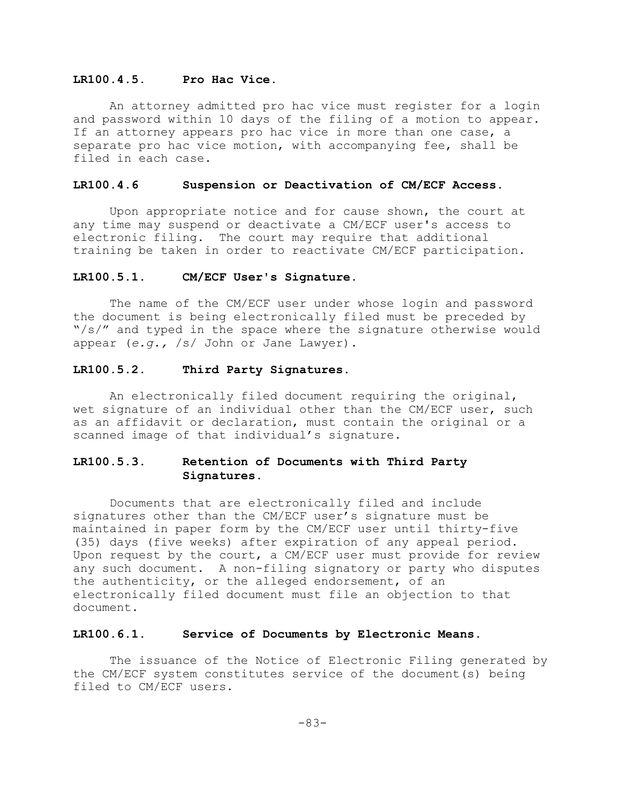### **LR100.4.5. Pro Hac Vice.**

An attorney admitted pro hac vice must register for a login and password within 10 days of the filing of a motion to appear. If an attorney appears pro hac vice in more than one case, a separate pro hac vice motion, with accompanying fee, shall be filed in each case.

#### **LR100.4.6 Suspension or Deactivation of CM/ECF Access.**

Upon appropriate notice and for cause shown, the court at any time may suspend or deactivate a CM/ECF user's access to electronic filing. The court may require that additional training be taken in order to reactivate CM/ECF participation.

#### **LR100.5.1. CM/ECF User's Signature.**

The name of the CM/ECF user under whose login and password the document is being electronically filed must be preceded by  $\sqrt{s}/\%$  and typed in the space where the signature otherwise would appear (*e.g.,* /s/ John or Jane Lawyer).

#### **LR100.5.2. Third Party Signatures.**

An electronically filed document requiring the original, wet signature of an individual other than the CM/ECF user, such as an affidavit or declaration, must contain the original or a scanned image of that individual's signature.

# **LR100.5.3. Retention of Documents with Third Party Signatures.**

Documents that are electronically filed and include signatures other than the CM/ECF user's signature must be maintained in paper form by the CM/ECF user until thirty-five (35) days (five weeks) after expiration of any appeal period. Upon request by the court, a CM/ECF user must provide for review any such document. A non-filing signatory or party who disputes the authenticity, or the alleged endorsement, of an electronically filed document must file an objection to that document.

#### **LR100.6.1. Service of Documents by Electronic Means.**

The issuance of the Notice of Electronic Filing generated by the CM/ECF system constitutes service of the document(s) being filed to CM/ECF users.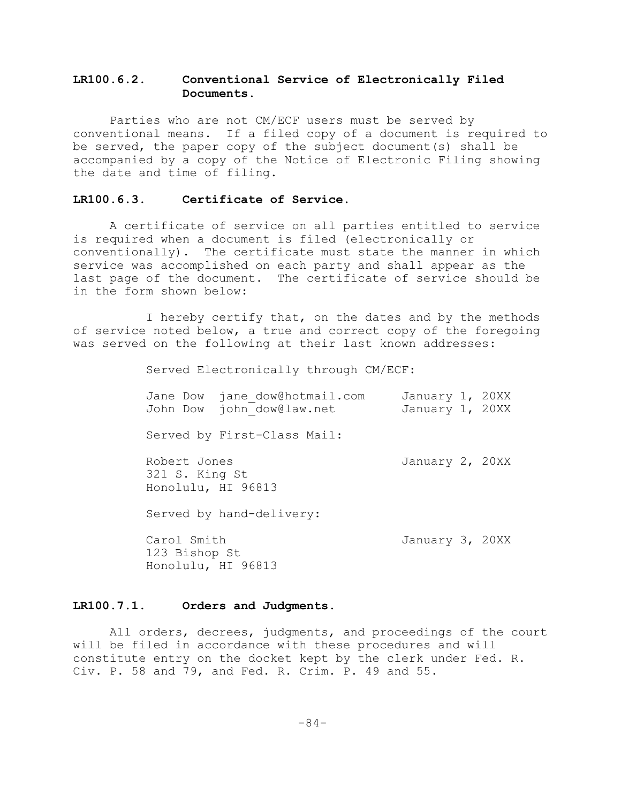# **LR100.6.2. Conventional Service of Electronically Filed Documents.**

Parties who are not CM/ECF users must be served by conventional means. If a filed copy of a document is required to be served, the paper copy of the subject document(s) shall be accompanied by a copy of the Notice of Electronic Filing showing the date and time of filing.

#### **LR100.6.3. Certificate of Service.**

A certificate of service on all parties entitled to service is required when a document is filed (electronically or conventionally). The certificate must state the manner in which service was accomplished on each party and shall appear as the last page of the document. The certificate of service should be in the form shown below:

I hereby certify that, on the dates and by the methods of service noted below, a true and correct copy of the foregoing was served on the following at their last known addresses:

Served Electronically through CM/ECF:

| Jane Dow<br>John Dow                                 | jane dow@hotmail.com<br>john dow@law.net | January 1, 20XX<br>January 1, 20XX |  |
|------------------------------------------------------|------------------------------------------|------------------------------------|--|
|                                                      | Served by First-Class Mail:              |                                    |  |
| Robert Jones<br>321 S. King St<br>Honolulu, HI 96813 |                                          | January 2, 20XX                    |  |
|                                                      | Served by hand-delivery:                 |                                    |  |
| Carol Smith<br>123 Bishop St<br>Honolulu, HI 96813   |                                          | January 3, 20XX                    |  |

### **LR100.7.1. Orders and Judgments.**

All orders, decrees, judgments, and proceedings of the court will be filed in accordance with these procedures and will constitute entry on the docket kept by the clerk under Fed. R. Civ. P. 58 and 79, and Fed. R. Crim. P. 49 and 55.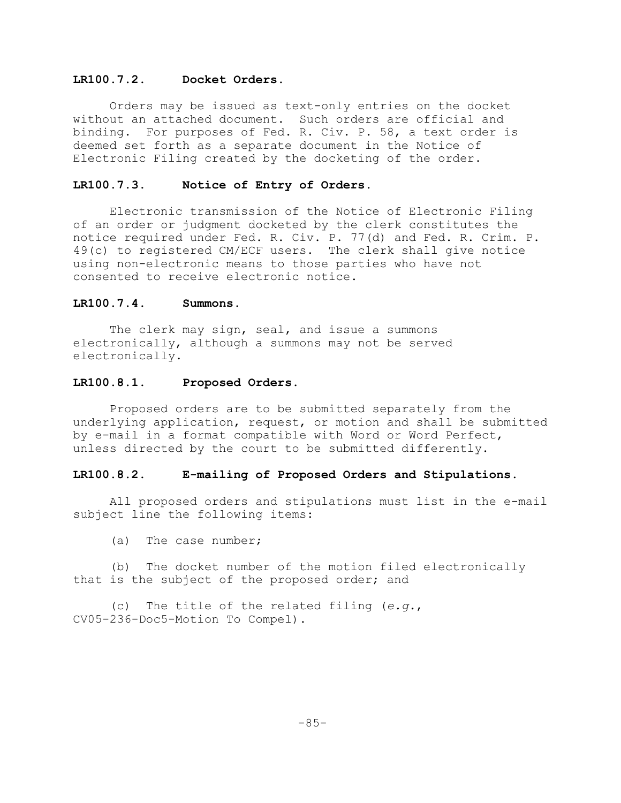## **LR100.7.2. Docket Orders.**

Orders may be issued as text-only entries on the docket without an attached document. Such orders are official and binding. For purposes of Fed. R. Civ. P. 58, a text order is deemed set forth as a separate document in the Notice of Electronic Filing created by the docketing of the order.

### **LR100.7.3. Notice of Entry of Orders.**

Electronic transmission of the Notice of Electronic Filing of an order or judgment docketed by the clerk constitutes the notice required under Fed. R. Civ. P. 77(d) and Fed. R. Crim. P. 49(c) to registered CM/ECF users. The clerk shall give notice using non-electronic means to those parties who have not consented to receive electronic notice.

### **LR100.7.4. Summons.**

The clerk may sign, seal, and issue a summons electronically, although a summons may not be served electronically.

#### **LR100.8.1. Proposed Orders.**

Proposed orders are to be submitted separately from the underlying application, request, or motion and shall be submitted by e-mail in a format compatible with Word or Word Perfect, unless directed by the court to be submitted differently.

## **LR100.8.2. E-mailing of Proposed Orders and Stipulations.**

All proposed orders and stipulations must list in the e-mail subject line the following items:

(a) The case number;

(b) The docket number of the motion filed electronically that is the subject of the proposed order; and

(c) The title of the related filing (*e.g.*, CV05-236-Doc5-Motion To Compel).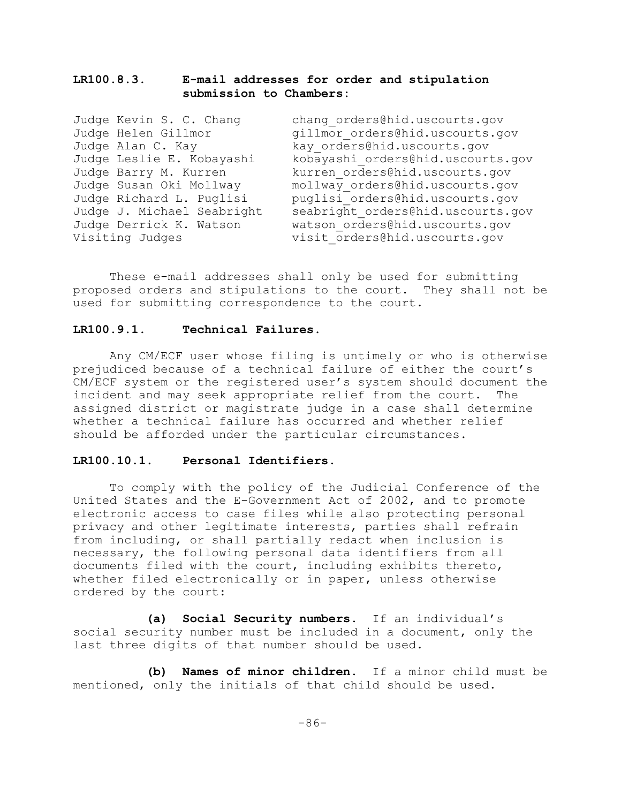# **LR100.8.3. E-mail addresses for order and stipulation submission to Chambers:**

Judge Kevin S. C. Chang chang orders@hid.uscourts.gov Judge Helen Gillmor and gillmor orders@hid.uscourts.gov Judge Alan C. Kay kay orders@hid.uscourts.gov Judge Leslie E. Kobayashi kobayashi\_orders@hid.uscourts.gov<br>Judge Barry M. Kurren kurren orders@hid.uscourts.qov kurren orders@hid.uscourts.gov Judge Susan Oki Mollway mollway\_orders@hid.uscourts.gov Judge Richard L. Puglisi puglisi orders@hid.uscourts.gov Judge J. Michael Seabright seabright\_orders@hid.uscourts.gov Judge Derrick K. Watson watson\_orders@hid.uscourts.gov Visiting Judges and visit orders@hid.uscourts.gov

These e-mail addresses shall only be used for submitting proposed orders and stipulations to the court. They shall not be used for submitting correspondence to the court.

### **LR100.9.1. Technical Failures**.

Any CM/ECF user whose filing is untimely or who is otherwise prejudiced because of a technical failure of either the court's CM/ECF system or the registered user's system should document the incident and may seek appropriate relief from the court. The assigned district or magistrate judge in a case shall determine whether a technical failure has occurred and whether relief should be afforded under the particular circumstances.

#### **LR100.10.1. Personal Identifiers.**

To comply with the policy of the Judicial Conference of the United States and the E-Government Act of 2002, and to promote electronic access to case files while also protecting personal privacy and other legitimate interests, parties shall refrain from including, or shall partially redact when inclusion is necessary, the following personal data identifiers from all documents filed with the court, including exhibits thereto, whether filed electronically or in paper, unless otherwise ordered by the court:

**(a) Social Security numbers.** If an individual's social security number must be included in a document, only the last three digits of that number should be used.

**(b) Names of minor children.** If a minor child must be mentioned, only the initials of that child should be used.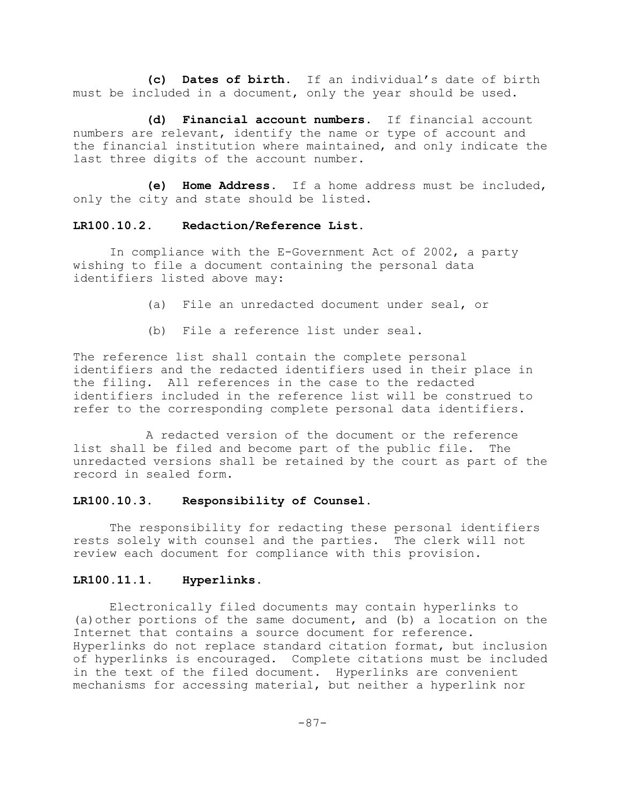**(c) Dates of birth.** If an individual's date of birth must be included in a document, only the year should be used.

**(d) Financial account numbers.** If financial account numbers are relevant, identify the name or type of account and the financial institution where maintained, and only indicate the last three digits of the account number.

**(e) Home Address.** If a home address must be included, only the city and state should be listed.

## **LR100.10.2. Redaction/Reference List.**

In compliance with the E-Government Act of 2002, a party wishing to file a document containing the personal data identifiers listed above may:

- (a) File an unredacted document under seal, or
- (b) File a reference list under seal.

The reference list shall contain the complete personal identifiers and the redacted identifiers used in their place in the filing. All references in the case to the redacted identifiers included in the reference list will be construed to refer to the corresponding complete personal data identifiers.

A redacted version of the document or the reference list shall be filed and become part of the public file. The unredacted versions shall be retained by the court as part of the record in sealed form.

## **LR100.10.3. Responsibility of Counsel.**

The responsibility for redacting these personal identifiers rests solely with counsel and the parties. The clerk will not review each document for compliance with this provision.

### **LR100.11.1. Hyperlinks**.

Electronically filed documents may contain hyperlinks to (a)other portions of the same document, and (b) a location on the Internet that contains a source document for reference. Hyperlinks do not replace standard citation format, but inclusion of hyperlinks is encouraged. Complete citations must be included in the text of the filed document. Hyperlinks are convenient mechanisms for accessing material, but neither a hyperlink nor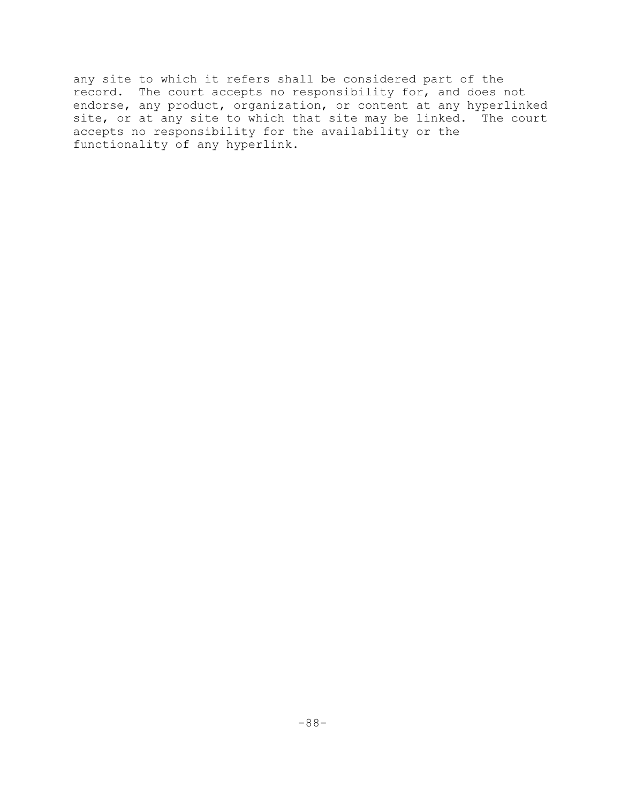any site to which it refers shall be considered part of the record. The court accepts no responsibility for, and does not endorse, any product, organization, or content at any hyperlinked site, or at any site to which that site may be linked. The court accepts no responsibility for the availability or the functionality of any hyperlink.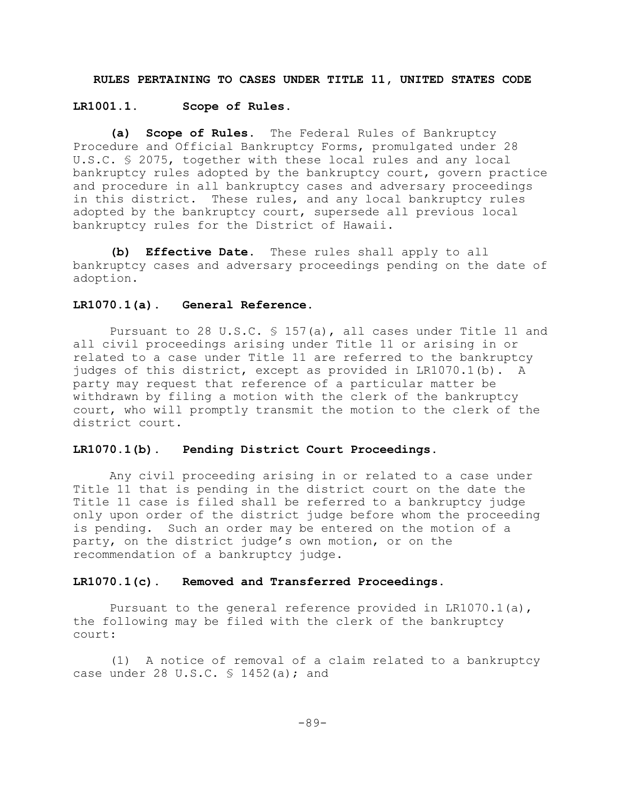### **RULES PERTAINING TO CASES UNDER TITLE 11, UNITED STATES CODE**

#### **LR1001.1. Scope of Rules.**

**(a) Scope of Rules.** The Federal Rules of Bankruptcy Procedure and Official Bankruptcy Forms, promulgated under 28 U.S.C. § 2075, together with these local rules and any local bankruptcy rules adopted by the bankruptcy court, govern practice and procedure in all bankruptcy cases and adversary proceedings in this district. These rules, and any local bankruptcy rules adopted by the bankruptcy court, supersede all previous local bankruptcy rules for the District of Hawaii.

**(b) Effective Date.** These rules shall apply to all bankruptcy cases and adversary proceedings pending on the date of adoption.

## **LR1070.1(a). General Reference.**

Pursuant to 28 U.S.C.  $\frac{157}{a}$ , all cases under Title 11 and all civil proceedings arising under Title 11 or arising in or related to a case under Title 11 are referred to the bankruptcy judges of this district, except as provided in LR1070.1(b). A party may request that reference of a particular matter be withdrawn by filing a motion with the clerk of the bankruptcy court, who will promptly transmit the motion to the clerk of the district court.

#### **LR1070.1(b). Pending District Court Proceedings.**

Any civil proceeding arising in or related to a case under Title 11 that is pending in the district court on the date the Title 11 case is filed shall be referred to a bankruptcy judge only upon order of the district judge before whom the proceeding is pending. Such an order may be entered on the motion of a party, on the district judge's own motion, or on the recommendation of a bankruptcy judge.

#### **LR1070.1(c). Removed and Transferred Proceedings.**

Pursuant to the general reference provided in LR1070.1(a), the following may be filed with the clerk of the bankruptcy court:

(1) A notice of removal of a claim related to a bankruptcy case under 28 U.S.C.  $\frac{1452}{a}$ ; and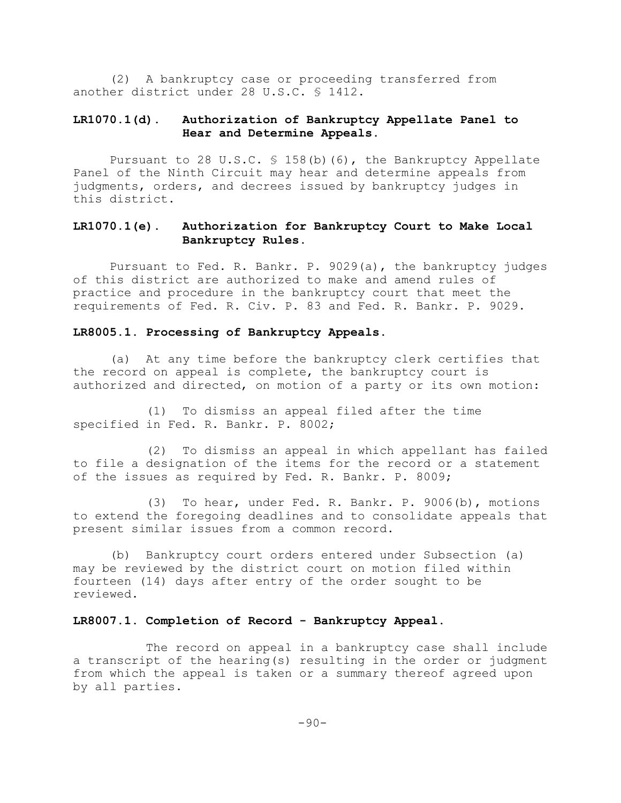(2) A bankruptcy case or proceeding transferred from another district under 28 U.S.C. § 1412.

# **LR1070.1(d). Authorization of Bankruptcy Appellate Panel to Hear and Determine Appeals.**

Pursuant to 28 U.S.C. § 158(b)(6), the Bankruptcy Appellate Panel of the Ninth Circuit may hear and determine appeals from judgments, orders, and decrees issued by bankruptcy judges in this district.

# **LR1070.1(e). Authorization for Bankruptcy Court to Make Local Bankruptcy Rules.**

Pursuant to Fed. R. Bankr. P. 9029(a), the bankruptcy judges of this district are authorized to make and amend rules of practice and procedure in the bankruptcy court that meet the requirements of Fed. R. Civ. P. 83 and Fed. R. Bankr. P. 9029.

#### **LR8005.1. Processing of Bankruptcy Appeals**.

(a) At any time before the bankruptcy clerk certifies that the record on appeal is complete, the bankruptcy court is authorized and directed, on motion of a party or its own motion:

(1) To dismiss an appeal filed after the time specified in Fed. R. Bankr. P. 8002;

(2) To dismiss an appeal in which appellant has failed to file a designation of the items for the record or a statement of the issues as required by Fed. R. Bankr. P. 8009;

(3) To hear, under Fed. R. Bankr. P. 9006(b), motions to extend the foregoing deadlines and to consolidate appeals that present similar issues from a common record.

(b) Bankruptcy court orders entered under Subsection (a) may be reviewed by the district court on motion filed within fourteen (14) days after entry of the order sought to be reviewed.

#### **LR8007.1. Completion of Record - Bankruptcy Appeal**.

The record on appeal in a bankruptcy case shall include a transcript of the hearing(s) resulting in the order or judgment from which the appeal is taken or a summary thereof agreed upon by all parties.